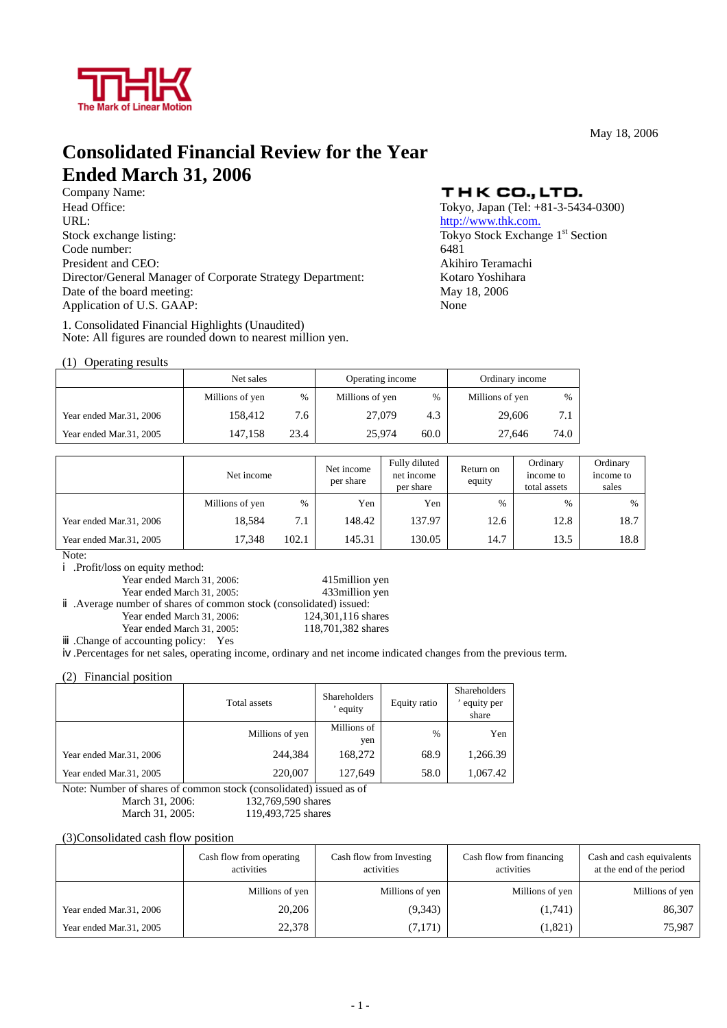

May 18, 2006

# **Consolidated Financial Review for the Year Ended March 31, 2006**

Company Name: Head Office:<br>
Tokyo, Japan (Tel: +81-3-5434-0300)<br>
URL:<br>
http://www.thk.com. Stock exchange listing: Tokyo Stock Exchange 1<sup>st</sup> Section Code number: 6481 President and CEO: Akihiro Teramachi Director/General Manager of Corporate Strategy Department: Kotaro Yoshihara Date of the board meeting: May 18, 2006 Application of U.S. GAAP: None

1. Consolidated Financial Highlights (Unaudited) Note: All figures are rounded down to nearest million yen.

### (1) Operating results

# THK CO., LTD.

http://www.thk.com.

|                         | Net sales       |      | Operating income |      | Ordinary income |               |
|-------------------------|-----------------|------|------------------|------|-----------------|---------------|
|                         | Millions of yen | $\%$ | Millions of yen  | $\%$ | Millions of yen | $\frac{0}{0}$ |
| Year ended Mar.31, 2006 | 158.412         | 7.6  | 27,079           | 4.3  | 29,606          | 7.1           |
| Year ended Mar.31, 2005 | 147.158         | 23.4 | 25,974           | 60.0 | 27,646          | 74.0          |

|                         | Net income      |       | Net income<br>per share | Fully diluted<br>net income<br>per share | Return on<br>equity | Ordinary<br>income to<br>total assets | Ordinary<br>income to<br>sales |
|-------------------------|-----------------|-------|-------------------------|------------------------------------------|---------------------|---------------------------------------|--------------------------------|
|                         | Millions of yen | $\%$  | Yen                     | Yen                                      | %                   | $\%$                                  | $\%$                           |
| Year ended Mar.31, 2006 | 18.584          | 7.1   | 148.42                  | 137.97                                   | 12.6                | 12.8                                  | 18.7                           |
| Year ended Mar.31, 2005 | 17.348          | 102.1 | 145.31                  | 130.05                                   | 14.7                | 13.5                                  | 18.8                           |

Note:

.Profit/loss on equity method:

Year ended March 31, 2006: 415million yen

Year ended March 31, 2005: 433million yen

.Average number of shares of common stock (consolidated) issued:

Year ended March 31, 2006: 124,301,116 shares

Year ended March 31, 2005: 118,701,382 shares

.Change of accounting policy: Yes

.Percentages for net sales, operating income, ordinary and net income indicated changes from the previous term.

(2) Financial position

|                         | Total assets                    | <b>Shareholders</b><br>equity | Equity ratio  | <b>Shareholders</b><br>equity per<br>share |
|-------------------------|---------------------------------|-------------------------------|---------------|--------------------------------------------|
|                         | Millions of yen                 | Millions of<br>yen            | $\frac{0}{6}$ | Yen                                        |
| Year ended Mar.31, 2006 | 244,384                         | 168,272                       | 68.9          | 1,266.39                                   |
| Year ended Mar.31, 2005 | 220,007                         | 127,649                       | 58.0          | 1,067.42                                   |
|                         | NE NE LOLO CONTRA LOLO NE NE LO |                               |               |                                            |

Note: Number of shares of common stock (consolidated) issued as of March 31, 2006: 132,769,590 shares March 31, 2005: 119,493,725 shares

(3)Consolidated cash flow position

|                         | Cash flow from operating<br>activities | Cash flow from Investing<br>activities | Cash flow from financing<br>activities | Cash and cash equivalents<br>at the end of the period |
|-------------------------|----------------------------------------|----------------------------------------|----------------------------------------|-------------------------------------------------------|
|                         | Millions of yen                        | Millions of yen                        | Millions of yen                        | Millions of yen                                       |
| Year ended Mar.31, 2006 | 20,206                                 | (9,343)                                | (1,741)                                | 86,307                                                |
| Year ended Mar.31, 2005 | 22,378                                 | (7,171)                                | (1, 821)                               | 75,987                                                |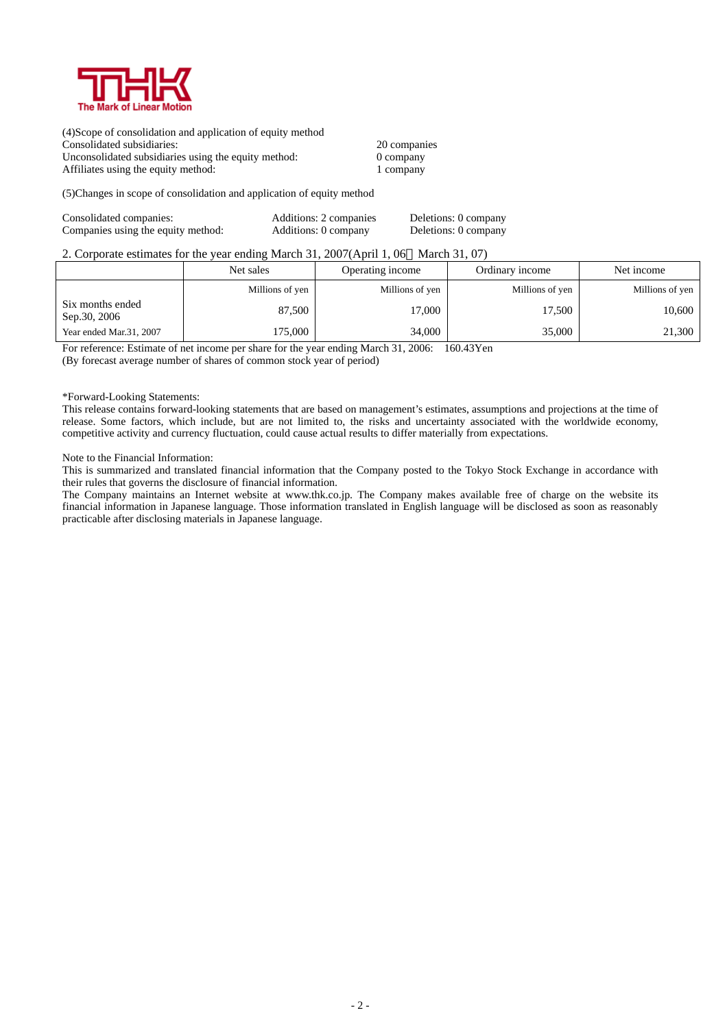

(4)Scope of consolidation and application of equity method Consolidated subsidiaries: 20 companies Unconsolidated subsidiaries using the equity method: 0 company Affiliates using the equity method: 1 company

(5)Changes in scope of consolidation and application of equity method

| Consolidated companies:            | Additions: 2 companies | Deletions: 0 company |
|------------------------------------|------------------------|----------------------|
| Companies using the equity method: | Additions: 0 company   | Deletions: 0 company |

### 2. Corporate estimates for the year ending March 31, 2007(April 1, 06 March 31, 07)

|                                  | Net sales       | Operating income | Ordinary income | Net income      |
|----------------------------------|-----------------|------------------|-----------------|-----------------|
|                                  | Millions of yen | Millions of yen  | Millions of yen | Millions of yen |
| Six months ended<br>Sep.30, 2006 | 87,500          | 17,000           | 17,500          | 10,600          |
| Year ended Mar.31, 2007          | 175.000         | 34,000           | 35,000          | 21,300          |

For reference: Estimate of net income per share for the year ending March 31, 2006: 160.43Yen

(By forecast average number of shares of common stock year of period)

#### \*Forward-Looking Statements:

This release contains forward-looking statements that are based on management's estimates, assumptions and projections at the time of release. Some factors, which include, but are not limited to, the risks and uncertainty associated with the worldwide economy, competitive activity and currency fluctuation, could cause actual results to differ materially from expectations.

#### Note to the Financial Information:

This is summarized and translated financial information that the Company posted to the Tokyo Stock Exchange in accordance with their rules that governs the disclosure of financial information.

The Company maintains an Internet website at www.thk.co.jp. The Company makes available free of charge on the website its financial information in Japanese language. Those information translated in English language will be disclosed as soon as reasonably practicable after disclosing materials in Japanese language.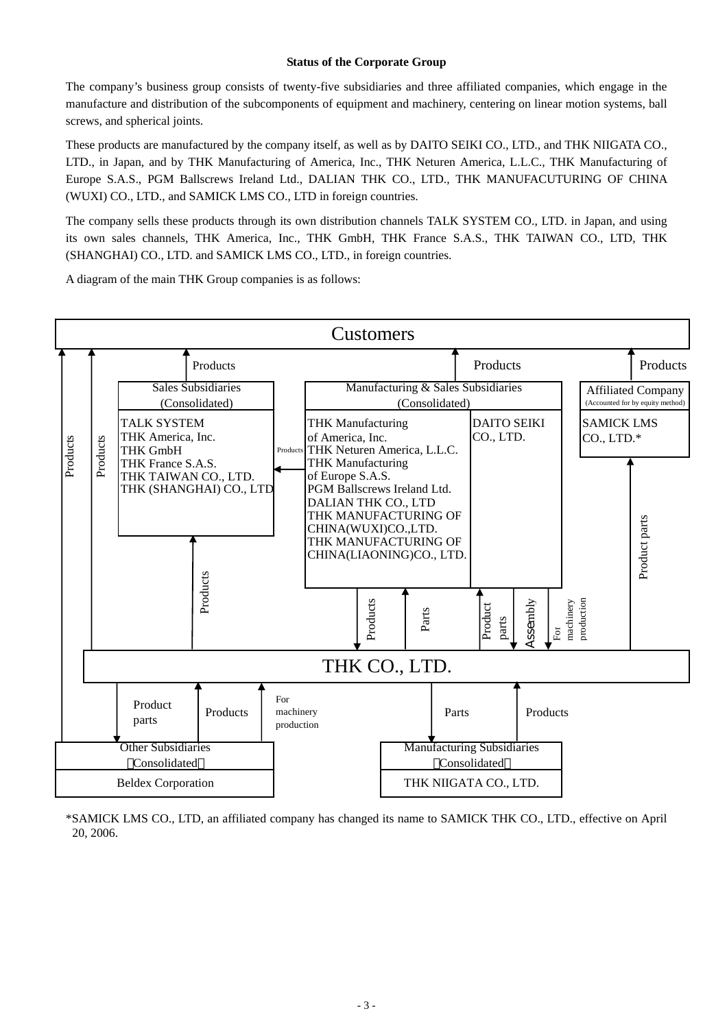### **Status of the Corporate Group**

The company's business group consists of twenty-five subsidiaries and three affiliated companies, which engage in the manufacture and distribution of the subcomponents of equipment and machinery, centering on linear motion systems, ball screws, and spherical joints.

These products are manufactured by the company itself, as well as by DAITO SEIKI CO., LTD., and THK NIIGATA CO., LTD., in Japan, and by THK Manufacturing of America, Inc., THK Neturen America, L.L.C., THK Manufacturing of Europe S.A.S., PGM Ballscrews Ireland Ltd., DALIAN THK CO., LTD., THK MANUFACUTURING OF CHINA (WUXI) CO., LTD., and SAMICK LMS CO., LTD in foreign countries.

The company sells these products through its own distribution channels TALK SYSTEM CO., LTD. in Japan, and using its own sales channels, THK America, Inc., THK GmbH, THK France S.A.S., THK TAIWAN CO., LTD, THK (SHANGHAI) CO., LTD. and SAMICK LMS CO., LTD., in foreign countries.

A diagram of the main THK Group companies is as follows:



\*SAMICK LMS CO., LTD, an affiliated company has changed its name to SAMICK THK CO., LTD., effective on April 20, 2006.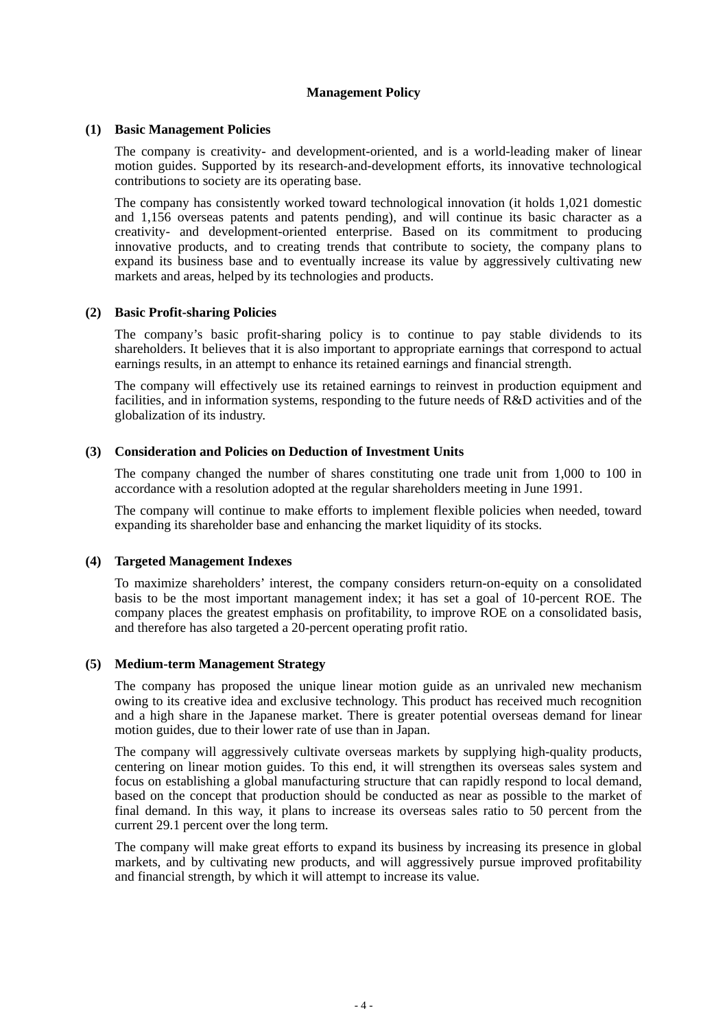# **Management Policy**

### **(1) Basic Management Policies**

The company is creativity- and development-oriented, and is a world-leading maker of linear motion guides. Supported by its research-and-development efforts, its innovative technological contributions to society are its operating base.

The company has consistently worked toward technological innovation (it holds 1,021 domestic and 1,156 overseas patents and patents pending), and will continue its basic character as a creativity- and development-oriented enterprise. Based on its commitment to producing innovative products, and to creating trends that contribute to society, the company plans to expand its business base and to eventually increase its value by aggressively cultivating new markets and areas, helped by its technologies and products.

# **(2) Basic Profit-sharing Policies**

The company's basic profit-sharing policy is to continue to pay stable dividends to its shareholders. It believes that it is also important to appropriate earnings that correspond to actual earnings results, in an attempt to enhance its retained earnings and financial strength.

The company will effectively use its retained earnings to reinvest in production equipment and facilities, and in information systems, responding to the future needs of R&D activities and of the globalization of its industry.

# **(3) Consideration and Policies on Deduction of Investment Units**

The company changed the number of shares constituting one trade unit from 1,000 to 100 in accordance with a resolution adopted at the regular shareholders meeting in June 1991.

The company will continue to make efforts to implement flexible policies when needed, toward expanding its shareholder base and enhancing the market liquidity of its stocks.

# **(4) Targeted Management Indexes**

To maximize shareholders' interest, the company considers return-on-equity on a consolidated basis to be the most important management index; it has set a goal of 10-percent ROE. The company places the greatest emphasis on profitability, to improve ROE on a consolidated basis, and therefore has also targeted a 20-percent operating profit ratio.

### **(5) Medium-term Management Strategy**

The company has proposed the unique linear motion guide as an unrivaled new mechanism owing to its creative idea and exclusive technology. This product has received much recognition and a high share in the Japanese market. There is greater potential overseas demand for linear motion guides, due to their lower rate of use than in Japan.

The company will aggressively cultivate overseas markets by supplying high-quality products, centering on linear motion guides. To this end, it will strengthen its overseas sales system and focus on establishing a global manufacturing structure that can rapidly respond to local demand, based on the concept that production should be conducted as near as possible to the market of final demand. In this way, it plans to increase its overseas sales ratio to 50 percent from the current 29.1 percent over the long term.

The company will make great efforts to expand its business by increasing its presence in global markets, and by cultivating new products, and will aggressively pursue improved profitability and financial strength, by which it will attempt to increase its value.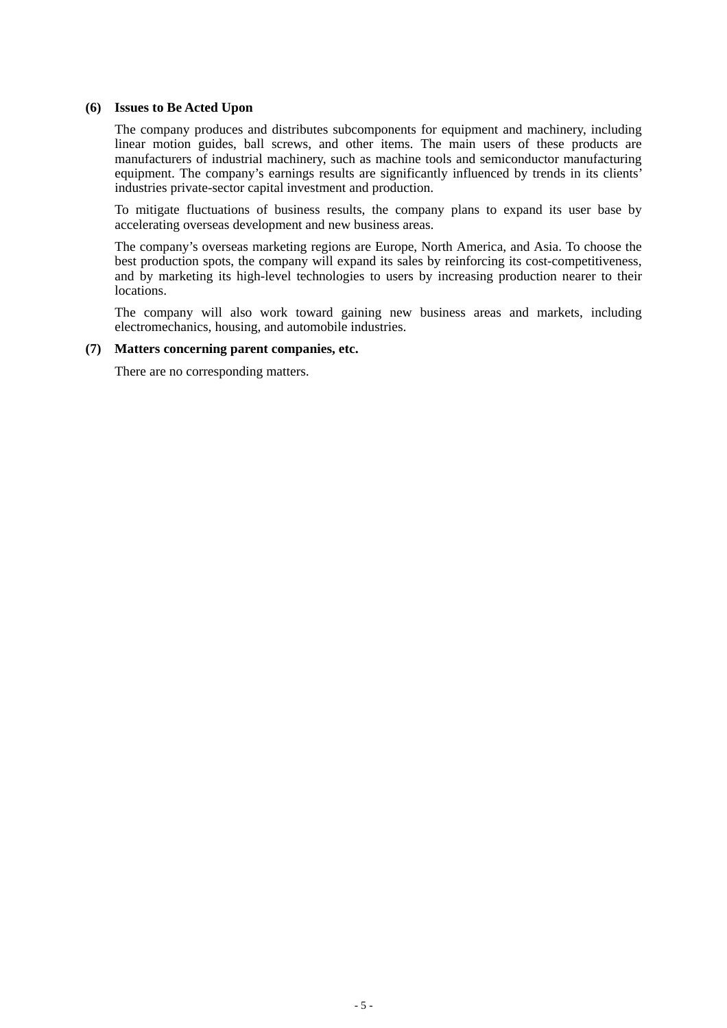### **(6) Issues to Be Acted Upon**

The company produces and distributes subcomponents for equipment and machinery, including linear motion guides, ball screws, and other items. The main users of these products are manufacturers of industrial machinery, such as machine tools and semiconductor manufacturing equipment. The company's earnings results are significantly influenced by trends in its clients' industries private-sector capital investment and production.

To mitigate fluctuations of business results, the company plans to expand its user base by accelerating overseas development and new business areas.

The company's overseas marketing regions are Europe, North America, and Asia. To choose the best production spots, the company will expand its sales by reinforcing its cost-competitiveness, and by marketing its high-level technologies to users by increasing production nearer to their locations.

The company will also work toward gaining new business areas and markets, including electromechanics, housing, and automobile industries.

### **(7) Matters concerning parent companies, etc.**

There are no corresponding matters.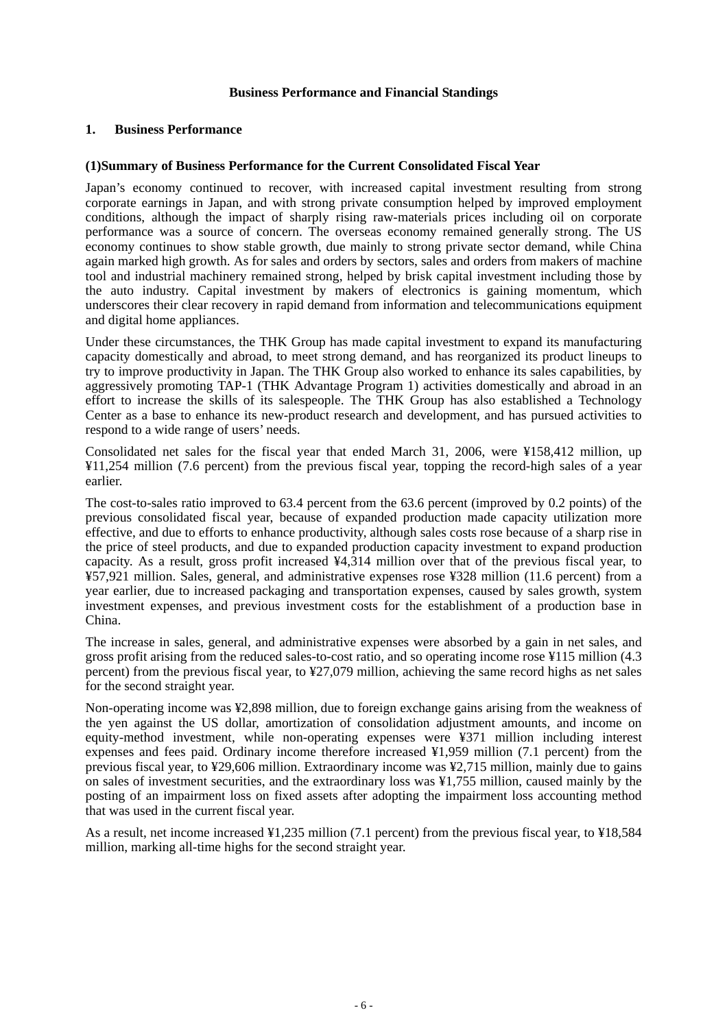# **Business Performance and Financial Standings**

# **1. Business Performance**

# **(1)Summary of Business Performance for the Current Consolidated Fiscal Year**

Japan's economy continued to recover, with increased capital investment resulting from strong corporate earnings in Japan, and with strong private consumption helped by improved employment conditions, although the impact of sharply rising raw-materials prices including oil on corporate performance was a source of concern. The overseas economy remained generally strong. The US economy continues to show stable growth, due mainly to strong private sector demand, while China again marked high growth. As for sales and orders by sectors, sales and orders from makers of machine tool and industrial machinery remained strong, helped by brisk capital investment including those by the auto industry. Capital investment by makers of electronics is gaining momentum, which underscores their clear recovery in rapid demand from information and telecommunications equipment and digital home appliances.

Under these circumstances, the THK Group has made capital investment to expand its manufacturing capacity domestically and abroad, to meet strong demand, and has reorganized its product lineups to try to improve productivity in Japan. The THK Group also worked to enhance its sales capabilities, by aggressively promoting TAP-1 (THK Advantage Program 1) activities domestically and abroad in an effort to increase the skills of its salespeople. The THK Group has also established a Technology Center as a base to enhance its new-product research and development, and has pursued activities to respond to a wide range of users' needs.

Consolidated net sales for the fiscal year that ended March 31, 2006, were ¥158,412 million, up ¥11,254 million (7.6 percent) from the previous fiscal year, topping the record-high sales of a year earlier.

The cost-to-sales ratio improved to 63.4 percent from the 63.6 percent (improved by 0.2 points) of the previous consolidated fiscal year, because of expanded production made capacity utilization more effective, and due to efforts to enhance productivity, although sales costs rose because of a sharp rise in the price of steel products, and due to expanded production capacity investment to expand production capacity. As a result, gross profit increased ¥4,314 million over that of the previous fiscal year, to ¥57,921 million. Sales, general, and administrative expenses rose ¥328 million (11.6 percent) from a year earlier, due to increased packaging and transportation expenses, caused by sales growth, system investment expenses, and previous investment costs for the establishment of a production base in China.

The increase in sales, general, and administrative expenses were absorbed by a gain in net sales, and gross profit arising from the reduced sales-to-cost ratio, and so operating income rose ¥115 million (4.3 percent) from the previous fiscal year, to ¥27,079 million, achieving the same record highs as net sales for the second straight year.

Non-operating income was ¥2,898 million, due to foreign exchange gains arising from the weakness of the yen against the US dollar, amortization of consolidation adjustment amounts, and income on equity-method investment, while non-operating expenses were ¥371 million including interest expenses and fees paid. Ordinary income therefore increased ¥1,959 million (7.1 percent) from the previous fiscal year, to ¥29,606 million. Extraordinary income was ¥2,715 million, mainly due to gains on sales of investment securities, and the extraordinary loss was ¥1,755 million, caused mainly by the posting of an impairment loss on fixed assets after adopting the impairment loss accounting method that was used in the current fiscal year.

As a result, net income increased ¥1,235 million (7.1 percent) from the previous fiscal year, to ¥18,584 million, marking all-time highs for the second straight year.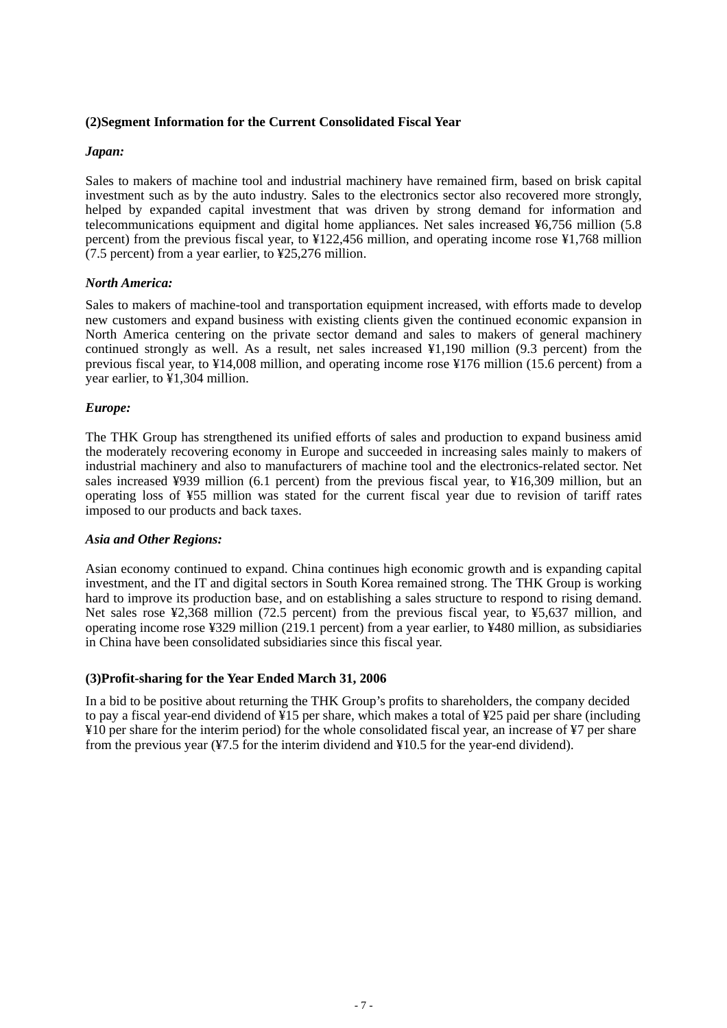# **(2)Segment Information for the Current Consolidated Fiscal Year**

# *Japan:*

Sales to makers of machine tool and industrial machinery have remained firm, based on brisk capital investment such as by the auto industry. Sales to the electronics sector also recovered more strongly, helped by expanded capital investment that was driven by strong demand for information and telecommunications equipment and digital home appliances. Net sales increased ¥6,756 million (5.8 percent) from the previous fiscal year, to ¥122,456 million, and operating income rose ¥1,768 million (7.5 percent) from a year earlier, to ¥25,276 million.

# *North America:*

Sales to makers of machine-tool and transportation equipment increased, with efforts made to develop new customers and expand business with existing clients given the continued economic expansion in North America centering on the private sector demand and sales to makers of general machinery continued strongly as well. As a result, net sales increased  $\frac{1}{4}1,190$  million (9.3 percent) from the previous fiscal year, to ¥14,008 million, and operating income rose ¥176 million (15.6 percent) from a year earlier, to ¥1,304 million.

# *Europe:*

The THK Group has strengthened its unified efforts of sales and production to expand business amid the moderately recovering economy in Europe and succeeded in increasing sales mainly to makers of industrial machinery and also to manufacturers of machine tool and the electronics-related sector. Net sales increased ¥939 million (6.1 percent) from the previous fiscal year, to ¥16,309 million, but an operating loss of ¥55 million was stated for the current fiscal year due to revision of tariff rates imposed to our products and back taxes.

# *Asia and Other Regions:*

Asian economy continued to expand. China continues high economic growth and is expanding capital investment, and the IT and digital sectors in South Korea remained strong. The THK Group is working hard to improve its production base, and on establishing a sales structure to respond to rising demand. Net sales rose ¥2,368 million (72.5 percent) from the previous fiscal year, to ¥5,637 million, and operating income rose ¥329 million (219.1 percent) from a year earlier, to ¥480 million, as subsidiaries in China have been consolidated subsidiaries since this fiscal year.

# **(3)Profit-sharing for the Year Ended March 31, 2006**

In a bid to be positive about returning the THK Group's profits to shareholders, the company decided to pay a fiscal year-end dividend of ¥15 per share, which makes a total of ¥25 paid per share (including ¥10 per share for the interim period) for the whole consolidated fiscal year, an increase of ¥7 per share from the previous year  $(47.5)$  for the interim dividend and  $(410.5)$  for the year-end dividend).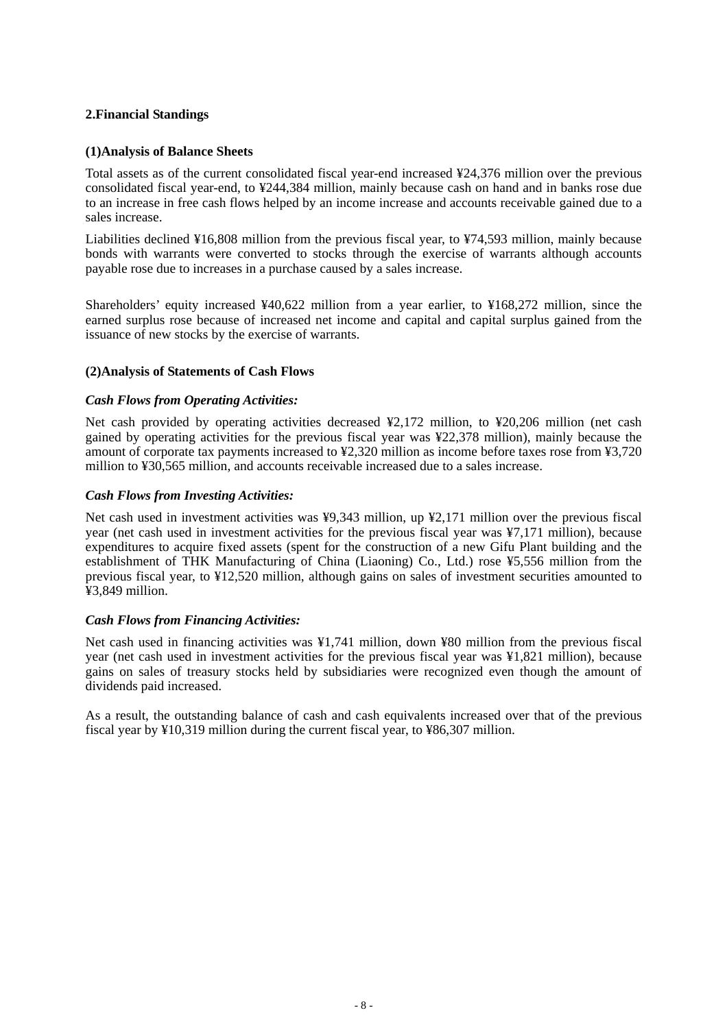# **2.Financial Standings**

# **(1)Analysis of Balance Sheets**

Total assets as of the current consolidated fiscal year-end increased ¥24,376 million over the previous consolidated fiscal year-end, to ¥244,384 million, mainly because cash on hand and in banks rose due to an increase in free cash flows helped by an income increase and accounts receivable gained due to a sales increase.

Liabilities declined ¥16,808 million from the previous fiscal year, to ¥74,593 million, mainly because bonds with warrants were converted to stocks through the exercise of warrants although accounts payable rose due to increases in a purchase caused by a sales increase.

Shareholders' equity increased ¥40,622 million from a year earlier, to ¥168,272 million, since the earned surplus rose because of increased net income and capital and capital surplus gained from the issuance of new stocks by the exercise of warrants.

# **(2)Analysis of Statements of Cash Flows**

# *Cash Flows from Operating Activities:*

Net cash provided by operating activities decreased ¥2,172 million, to ¥20,206 million (net cash gained by operating activities for the previous fiscal year was ¥22,378 million), mainly because the amount of corporate tax payments increased to ¥2,320 million as income before taxes rose from ¥3,720 million to ¥30,565 million, and accounts receivable increased due to a sales increase.

# *Cash Flows from Investing Activities:*

Net cash used in investment activities was ¥9,343 million, up ¥2,171 million over the previous fiscal year (net cash used in investment activities for the previous fiscal year was ¥7,171 million), because expenditures to acquire fixed assets (spent for the construction of a new Gifu Plant building and the establishment of THK Manufacturing of China (Liaoning) Co., Ltd.) rose ¥5,556 million from the previous fiscal year, to ¥12,520 million, although gains on sales of investment securities amounted to ¥3,849 million.

### *Cash Flows from Financing Activities:*

Net cash used in financing activities was ¥1,741 million, down ¥80 million from the previous fiscal year (net cash used in investment activities for the previous fiscal year was ¥1,821 million), because gains on sales of treasury stocks held by subsidiaries were recognized even though the amount of dividends paid increased.

As a result, the outstanding balance of cash and cash equivalents increased over that of the previous fiscal year by ¥10,319 million during the current fiscal year, to ¥86,307 million.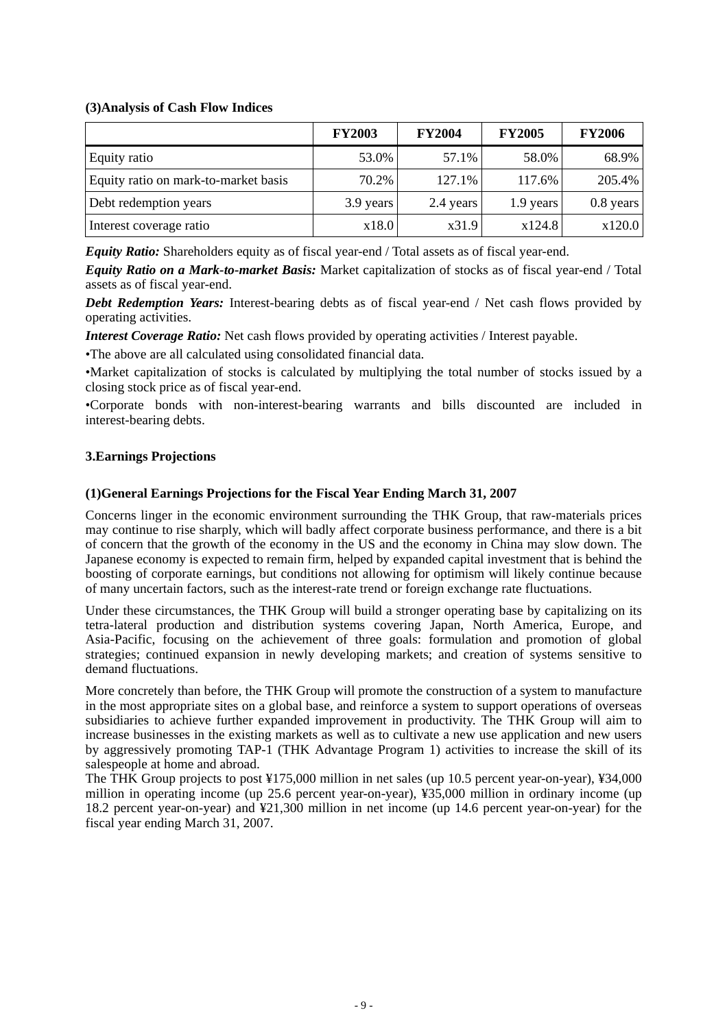# **(3)Analysis of Cash Flow Indices**

|                                      | <b>FY2003</b> | <b>FY2004</b> | <b>FY2005</b> | <b>FY2006</b> |
|--------------------------------------|---------------|---------------|---------------|---------------|
| Equity ratio                         | 53.0%         | 57.1%         | 58.0%         | 68.9%         |
| Equity ratio on mark-to-market basis | 70.2%         | 127.1%        | 117.6%        | 205.4%        |
| Debt redemption years                | 3.9 years     | 2.4 years     | 1.9 years     | $0.8$ years   |
| Interest coverage ratio              | x18.0         | x31.9         | x124.8        | x120.0        |

*Equity Ratio:* Shareholders equity as of fiscal year-end / Total assets as of fiscal year-end.

*Equity Ratio on a Mark-to-market Basis:* Market capitalization of stocks as of fiscal year-end / Total assets as of fiscal year-end.

*Debt Redemption Years:* Interest-bearing debts as of fiscal year-end / Net cash flows provided by operating activities.

*Interest Coverage Ratio:* Net cash flows provided by operating activities / Interest payable.

•The above are all calculated using consolidated financial data.

•Market capitalization of stocks is calculated by multiplying the total number of stocks issued by a closing stock price as of fiscal year-end.

•Corporate bonds with non-interest-bearing warrants and bills discounted are included in interest-bearing debts.

# **3.Earnings Projections**

# **(1)General Earnings Projections for the Fiscal Year Ending March 31, 2007**

Concerns linger in the economic environment surrounding the THK Group, that raw-materials prices may continue to rise sharply, which will badly affect corporate business performance, and there is a bit of concern that the growth of the economy in the US and the economy in China may slow down. The Japanese economy is expected to remain firm, helped by expanded capital investment that is behind the boosting of corporate earnings, but conditions not allowing for optimism will likely continue because of many uncertain factors, such as the interest-rate trend or foreign exchange rate fluctuations.

Under these circumstances, the THK Group will build a stronger operating base by capitalizing on its tetra-lateral production and distribution systems covering Japan, North America, Europe, and Asia-Pacific, focusing on the achievement of three goals: formulation and promotion of global strategies; continued expansion in newly developing markets; and creation of systems sensitive to demand fluctuations.

More concretely than before, the THK Group will promote the construction of a system to manufacture in the most appropriate sites on a global base, and reinforce a system to support operations of overseas subsidiaries to achieve further expanded improvement in productivity. The THK Group will aim to increase businesses in the existing markets as well as to cultivate a new use application and new users by aggressively promoting TAP-1 (THK Advantage Program 1) activities to increase the skill of its salespeople at home and abroad.

The THK Group projects to post ¥175,000 million in net sales (up 10.5 percent year-on-year), ¥34,000 million in operating income (up 25.6 percent year-on-year), ¥35,000 million in ordinary income (up 18.2 percent year-on-year) and ¥21,300 million in net income (up 14.6 percent year-on-year) for the fiscal year ending March 31, 2007.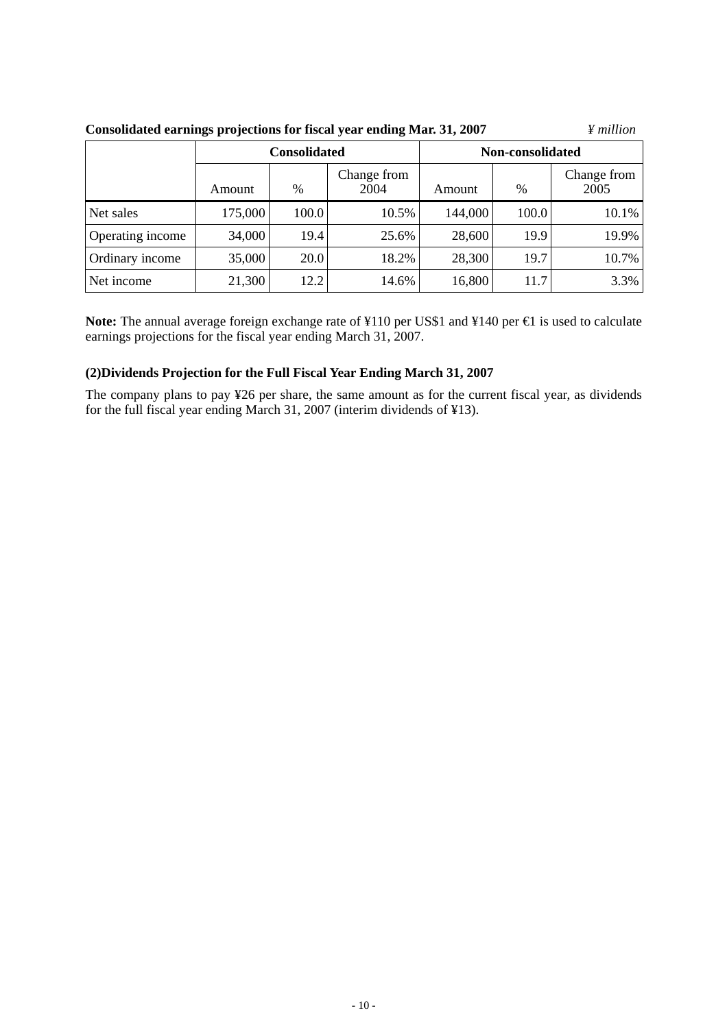|                  |         | <b>Consolidated</b> |                     | Non-consolidated |       |                     |  |
|------------------|---------|---------------------|---------------------|------------------|-------|---------------------|--|
|                  | Amount  | $\%$                | Change from<br>2004 | Amount           | %     | Change from<br>2005 |  |
| Net sales        | 175,000 | 100.0               | 10.5%               | 144,000          | 100.0 | 10.1%               |  |
| Operating income | 34,000  | 19.4                | 25.6%               | 28,600           | 19.9  | 19.9%               |  |
| Ordinary income  | 35,000  | 20.0                | 18.2%               | 28,300           | 19.7  | 10.7%               |  |
| Net income       | 21,300  | 12.2                | 14.6%               | 16,800           | 11.7  | 3.3%                |  |

**Consolidated earnings projections for fiscal year ending Mar. 31, 2007** *¥ million*

Note: The annual average foreign exchange rate of ¥110 per US\$1 and ¥140 per **€** is used to calculate earnings projections for the fiscal year ending March 31, 2007.

# **(2)Dividends Projection for the Full Fiscal Year Ending March 31, 2007**

The company plans to pay ¥26 per share, the same amount as for the current fiscal year, as dividends for the full fiscal year ending March 31, 2007 (interim dividends of ¥13).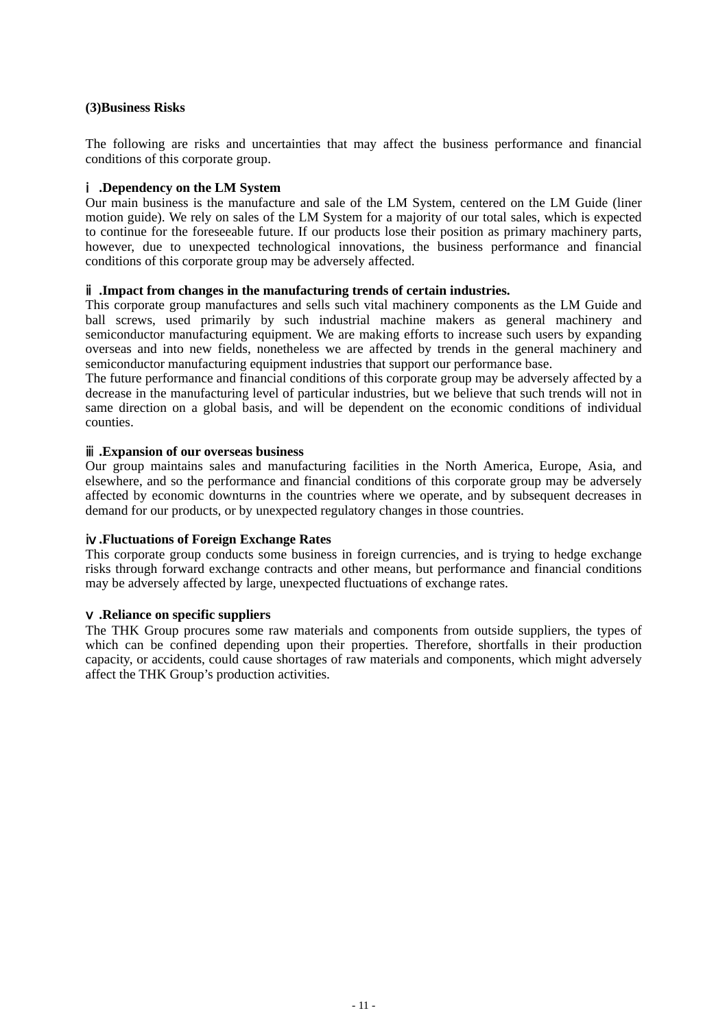### **(3)Business Risks**

The following are risks and uncertainties that may affect the business performance and financial conditions of this corporate group.

### ⅰ**.Dependency on the LM System**

Our main business is the manufacture and sale of the LM System, centered on the LM Guide (liner motion guide). We rely on sales of the LM System for a majority of our total sales, which is expected to continue for the foreseeable future. If our products lose their position as primary machinery parts, however, due to unexpected technological innovations, the business performance and financial conditions of this corporate group may be adversely affected.

### ⅱ**.Impact from changes in the manufacturing trends of certain industries.**

This corporate group manufactures and sells such vital machinery components as the LM Guide and ball screws, used primarily by such industrial machine makers as general machinery and semiconductor manufacturing equipment. We are making efforts to increase such users by expanding overseas and into new fields, nonetheless we are affected by trends in the general machinery and semiconductor manufacturing equipment industries that support our performance base.

The future performance and financial conditions of this corporate group may be adversely affected by a decrease in the manufacturing level of particular industries, but we believe that such trends will not in same direction on a global basis, and will be dependent on the economic conditions of individual counties.

### ⅲ**.Expansion of our overseas business**

Our group maintains sales and manufacturing facilities in the North America, Europe, Asia, and elsewhere, and so the performance and financial conditions of this corporate group may be adversely affected by economic downturns in the countries where we operate, and by subsequent decreases in demand for our products, or by unexpected regulatory changes in those countries.

### ⅳ**.Fluctuations of Foreign Exchange Rates**

This corporate group conducts some business in foreign currencies, and is trying to hedge exchange risks through forward exchange contracts and other means, but performance and financial conditions may be adversely affected by large, unexpected fluctuations of exchange rates.

### ⅴ**.Reliance on specific suppliers**

The THK Group procures some raw materials and components from outside suppliers, the types of which can be confined depending upon their properties. Therefore, shortfalls in their production capacity, or accidents, could cause shortages of raw materials and components, which might adversely affect the THK Group's production activities.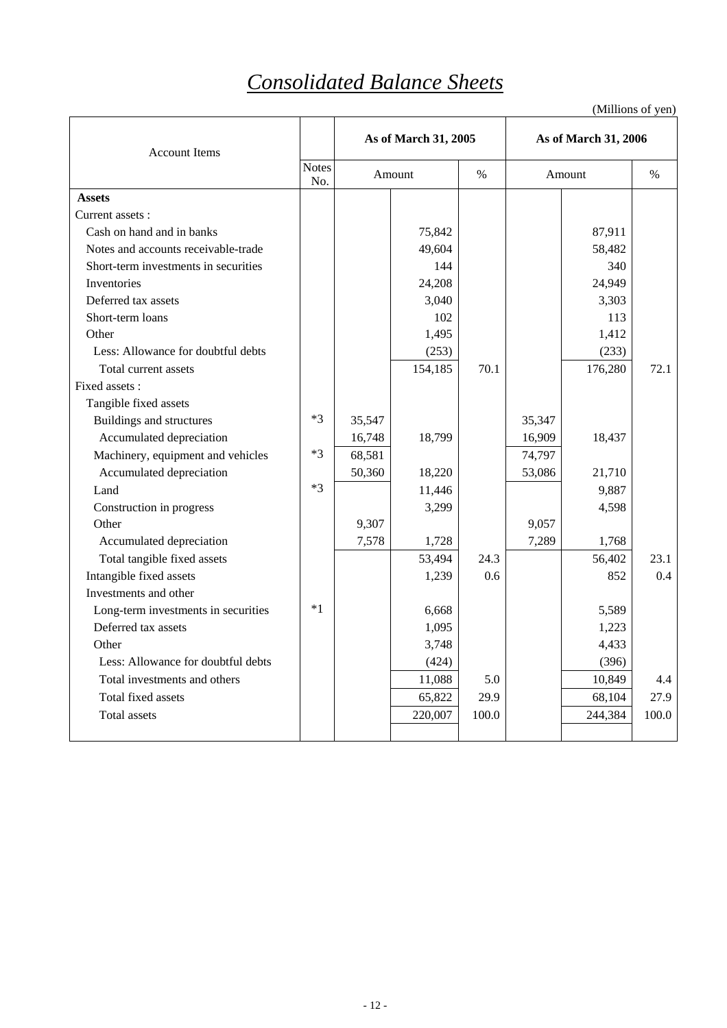# *Consolidated Balance Sheets*

| <b>Account Items</b>                 |                     | As of March 31, 2005 |         |       | As of March 31, 2006 |         |               |
|--------------------------------------|---------------------|----------------------|---------|-------|----------------------|---------|---------------|
|                                      | <b>Notes</b><br>No. |                      | Amount  | $\%$  |                      | Amount  | $\frac{0}{0}$ |
| <b>Assets</b>                        |                     |                      |         |       |                      |         |               |
| Current assets :                     |                     |                      |         |       |                      |         |               |
| Cash on hand and in banks            |                     |                      | 75,842  |       |                      | 87,911  |               |
| Notes and accounts receivable-trade  |                     |                      | 49,604  |       |                      | 58,482  |               |
| Short-term investments in securities |                     |                      | 144     |       |                      | 340     |               |
| Inventories                          |                     |                      | 24,208  |       |                      | 24,949  |               |
| Deferred tax assets                  |                     |                      | 3.040   |       |                      | 3,303   |               |
| Short-term loans                     |                     |                      | 102     |       |                      | 113     |               |
| Other                                |                     |                      | 1,495   |       |                      | 1,412   |               |
| Less: Allowance for doubtful debts   |                     |                      | (253)   |       |                      | (233)   |               |
| Total current assets                 |                     |                      | 154,185 | 70.1  |                      | 176,280 | 72.1          |
| Fixed assets :                       |                     |                      |         |       |                      |         |               |
| Tangible fixed assets                |                     |                      |         |       |                      |         |               |
| Buildings and structures             | $*3$                | 35,547               |         |       | 35,347               |         |               |
| Accumulated depreciation             |                     | 16,748               | 18,799  |       | 16,909               | 18,437  |               |
| Machinery, equipment and vehicles    | $*3$                | 68,581               |         |       | 74,797               |         |               |
| Accumulated depreciation             |                     | 50,360               | 18,220  |       | 53,086               | 21,710  |               |
| Land                                 | $*3$                |                      | 11,446  |       |                      | 9,887   |               |
| Construction in progress             |                     |                      | 3,299   |       |                      | 4,598   |               |
| Other                                |                     | 9,307                |         |       | 9,057                |         |               |
| Accumulated depreciation             |                     | 7,578                | 1,728   |       | 7,289                | 1,768   |               |
| Total tangible fixed assets          |                     |                      | 53,494  | 24.3  |                      | 56,402  | 23.1          |
| Intangible fixed assets              |                     |                      | 1,239   | 0.6   |                      | 852     | $0.4^{\circ}$ |
| Investments and other                |                     |                      |         |       |                      |         |               |
| Long-term investments in securities  | $*1$                |                      | 6.668   |       |                      | 5,589   |               |
| Deferred tax assets                  |                     |                      | 1,095   |       |                      | 1,223   |               |
| Other                                |                     |                      | 3,748   |       |                      | 4,433   |               |
| Less: Allowance for doubtful debts   |                     |                      | (424)   |       |                      | (396)   |               |
| Total investments and others         |                     |                      | 11,088  | 5.0   |                      | 10,849  | 4.4           |
| Total fixed assets                   |                     |                      | 65,822  | 29.9  |                      | 68,104  | 27.9          |
| Total assets                         |                     |                      | 220,007 | 100.0 |                      | 244,384 | 100.0         |
|                                      |                     |                      |         |       |                      |         |               |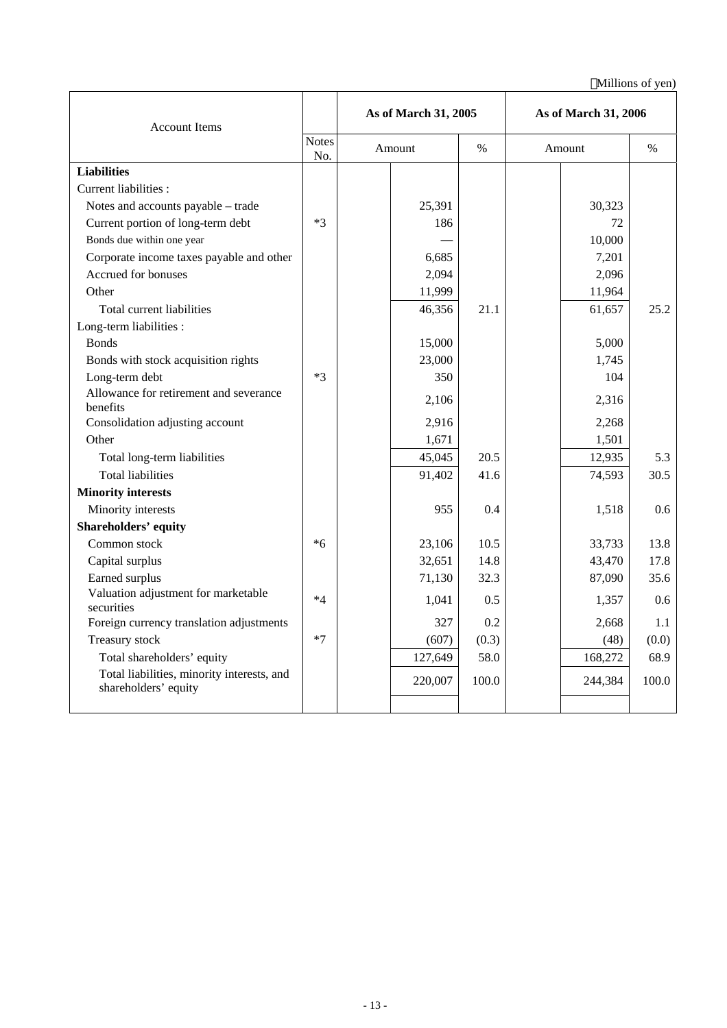| <b>Account Items</b>                                               |                     | As of March 31, 2005 |               | As of March 31, 2006 |               |  |  |
|--------------------------------------------------------------------|---------------------|----------------------|---------------|----------------------|---------------|--|--|
|                                                                    | <b>Notes</b><br>No. | Amount               | $\frac{0}{0}$ | Amount               | $\frac{0}{0}$ |  |  |
| <b>Liabilities</b>                                                 |                     |                      |               |                      |               |  |  |
| Current liabilities :                                              |                     |                      |               |                      |               |  |  |
| Notes and accounts payable - trade                                 |                     | 25,391               |               | 30,323               |               |  |  |
| Current portion of long-term debt                                  | $*3$                | 186                  |               | 72                   |               |  |  |
| Bonds due within one year                                          |                     |                      |               | 10,000               |               |  |  |
| Corporate income taxes payable and other                           |                     | 6,685                |               | 7,201                |               |  |  |
| Accrued for bonuses                                                |                     | 2,094                |               | 2,096                |               |  |  |
| Other                                                              |                     | 11,999               |               | 11,964               |               |  |  |
| Total current liabilities                                          |                     | 46,356               | 21.1          | 61,657               | 25.2          |  |  |
| Long-term liabilities :                                            |                     |                      |               |                      |               |  |  |
| <b>Bonds</b>                                                       |                     | 15,000               |               | 5,000                |               |  |  |
| Bonds with stock acquisition rights                                |                     | 23,000               |               | 1,745                |               |  |  |
| Long-term debt                                                     | $*3$                | 350                  |               | 104                  |               |  |  |
| Allowance for retirement and severance<br>benefits                 |                     | 2,106                |               | 2,316                |               |  |  |
| Consolidation adjusting account                                    |                     | 2,916                |               | 2,268                |               |  |  |
| Other                                                              |                     | 1,671                |               | 1,501                |               |  |  |
| Total long-term liabilities                                        |                     | 45,045               | 20.5          | 12,935               | 5.3           |  |  |
| <b>Total liabilities</b>                                           |                     | 91,402               | 41.6          | 74,593               | 30.5          |  |  |
| <b>Minority interests</b>                                          |                     |                      |               |                      |               |  |  |
| Minority interests                                                 |                     | 955                  | 0.4           | 1,518                | 0.6           |  |  |
| <b>Shareholders' equity</b>                                        |                     |                      |               |                      |               |  |  |
| Common stock                                                       | $*6$                | 23,106               | 10.5          | 33,733               | 13.8          |  |  |
| Capital surplus                                                    |                     | 32,651               | 14.8          | 43,470               | 17.8          |  |  |
| Earned surplus                                                     |                     | 71,130               | 32.3          | 87,090               | 35.6          |  |  |
| Valuation adjustment for marketable<br>securities                  | $*4$                | 1,041                | 0.5           | 1,357                | 0.6           |  |  |
| Foreign currency translation adjustments                           |                     | 327                  | 0.2           | 2,668                | 1.1           |  |  |
| Treasury stock                                                     | $*7$                | (607)                | (0.3)         | (48)                 | (0.0)         |  |  |
| Total shareholders' equity                                         |                     | 127,649              | 58.0          | 168,272              | 68.9          |  |  |
| Total liabilities, minority interests, and<br>shareholders' equity |                     | 220,007              | 100.0         | 244,384              | 100.0         |  |  |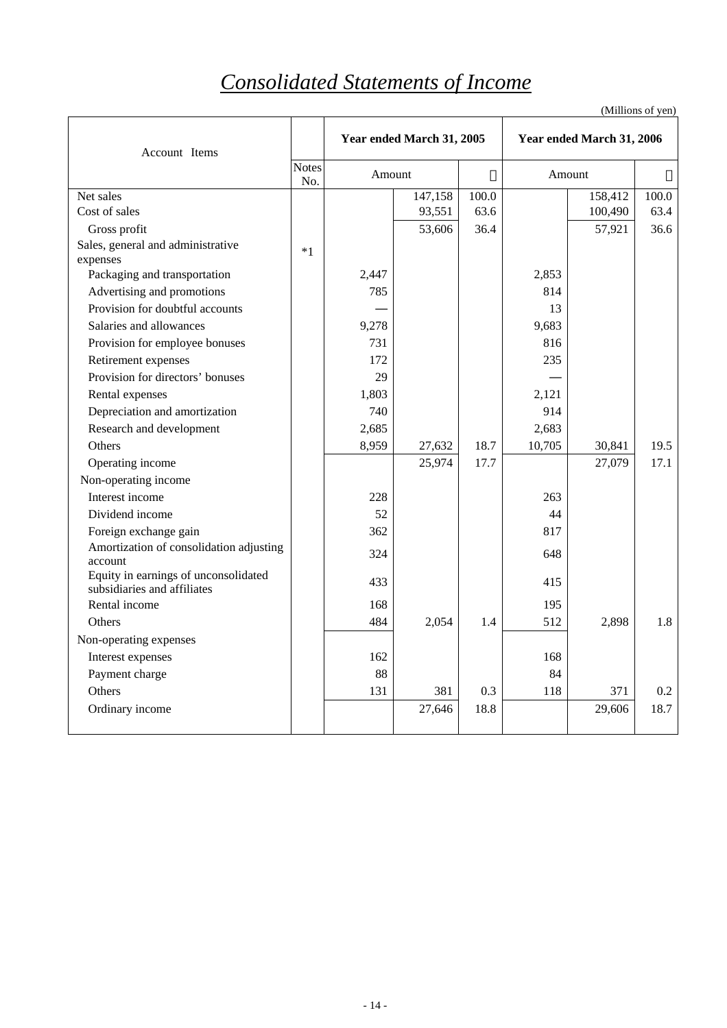# *Consolidated Statements of Income*

| Account Items                                                       |                     | Year ended March 31, 2005 |         |       |        | Year ended March 31, 2006 |       |
|---------------------------------------------------------------------|---------------------|---------------------------|---------|-------|--------|---------------------------|-------|
|                                                                     | <b>Notes</b><br>No. | Amount                    |         |       | Amount |                           |       |
| Net sales                                                           |                     |                           | 147,158 | 100.0 |        | 158,412                   | 100.0 |
| Cost of sales                                                       |                     |                           | 93,551  | 63.6  |        | 100,490                   | 63.4  |
| Gross profit                                                        |                     |                           | 53,606  | 36.4  |        | 57,921                    | 36.6  |
| Sales, general and administrative<br>expenses                       | $*1$                |                           |         |       |        |                           |       |
| Packaging and transportation                                        |                     | 2,447                     |         |       | 2,853  |                           |       |
| Advertising and promotions                                          |                     | 785                       |         |       | 814    |                           |       |
| Provision for doubtful accounts                                     |                     |                           |         |       | 13     |                           |       |
| Salaries and allowances                                             |                     | 9,278                     |         |       | 9,683  |                           |       |
| Provision for employee bonuses                                      |                     | 731                       |         |       | 816    |                           |       |
| Retirement expenses                                                 |                     | 172                       |         |       | 235    |                           |       |
| Provision for directors' bonuses                                    |                     | 29                        |         |       |        |                           |       |
| Rental expenses                                                     |                     | 1,803                     |         |       | 2,121  |                           |       |
| Depreciation and amortization                                       |                     | 740                       |         |       | 914    |                           |       |
| Research and development                                            |                     | 2,685                     |         |       | 2,683  |                           |       |
| Others                                                              |                     | 8,959                     | 27,632  | 18.7  | 10,705 | 30,841                    | 19.5  |
| Operating income                                                    |                     |                           | 25,974  | 17.7  |        | 27,079                    | 17.1  |
| Non-operating income                                                |                     |                           |         |       |        |                           |       |
| Interest income                                                     |                     | 228                       |         |       | 263    |                           |       |
| Dividend income                                                     |                     | 52                        |         |       | 44     |                           |       |
| Foreign exchange gain                                               |                     | 362                       |         |       | 817    |                           |       |
| Amortization of consolidation adjusting<br>account                  |                     | 324                       |         |       | 648    |                           |       |
| Equity in earnings of unconsolidated<br>subsidiaries and affiliates |                     | 433                       |         |       | 415    |                           |       |
| Rental income                                                       |                     | 168                       |         |       | 195    |                           |       |
| Others                                                              |                     | 484                       | 2,054   | 1.4   | 512    | 2,898                     | 1.8   |
| Non-operating expenses                                              |                     |                           |         |       |        |                           |       |
| Interest expenses                                                   |                     | 162                       |         |       | 168    |                           |       |
| Payment charge                                                      |                     | 88                        |         |       | 84     |                           |       |
| Others                                                              |                     | 131                       | 381     | 0.3   | 118    | 371                       | 0.2   |
| Ordinary income                                                     |                     |                           | 27,646  | 18.8  |        | 29,606                    | 18.7  |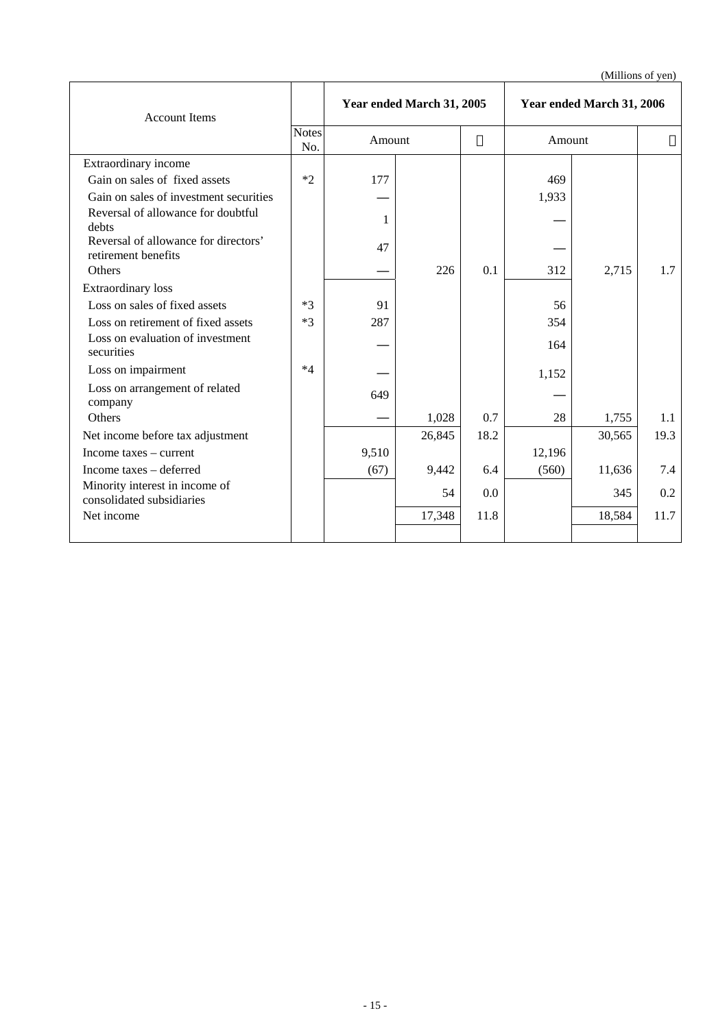| <b>Account Items</b>                                        |                     | Year ended March 31, 2005 |        |      | Year ended March 31, 2006 |        |      |
|-------------------------------------------------------------|---------------------|---------------------------|--------|------|---------------------------|--------|------|
|                                                             | <b>Notes</b><br>No. | Amount                    |        |      | Amount                    |        |      |
| Extraordinary income                                        |                     |                           |        |      |                           |        |      |
| Gain on sales of fixed assets                               | $*2$                | 177                       |        |      | 469                       |        |      |
| Gain on sales of investment securities                      |                     |                           |        |      | 1,933                     |        |      |
| Reversal of allowance for doubtful<br>debts                 |                     | 1                         |        |      |                           |        |      |
| Reversal of allowance for directors'<br>retirement benefits |                     | 47                        |        |      |                           |        |      |
| Others                                                      |                     |                           | 226    | 0.1  | 312                       | 2,715  | 1.7  |
| <b>Extraordinary</b> loss                                   |                     |                           |        |      |                           |        |      |
| Loss on sales of fixed assets                               | $*3$                | 91                        |        |      | 56                        |        |      |
| Loss on retirement of fixed assets                          | $*3$                | 287                       |        |      | 354                       |        |      |
| Loss on evaluation of investment<br>securities              |                     |                           |        |      | 164                       |        |      |
| Loss on impairment                                          | $*4$                |                           |        |      | 1,152                     |        |      |
| Loss on arrangement of related<br>company                   |                     | 649                       |        |      |                           |        |      |
| Others                                                      |                     |                           | 1,028  | 0.7  | 28                        | 1,755  | 1.1  |
| Net income before tax adjustment                            |                     |                           | 26,845 | 18.2 |                           | 30,565 | 19.3 |
| Income taxes – current                                      |                     | 9,510                     |        |      | 12,196                    |        |      |
| Income taxes – deferred                                     |                     | (67)                      | 9,442  | 6.4  | (560)                     | 11,636 | 7.4  |
| Minority interest in income of<br>consolidated subsidiaries |                     |                           | 54     | 0.0  |                           | 345    | 0.2  |
| Net income                                                  |                     |                           | 17,348 | 11.8 |                           | 18,584 | 11.7 |
|                                                             |                     |                           |        |      |                           |        |      |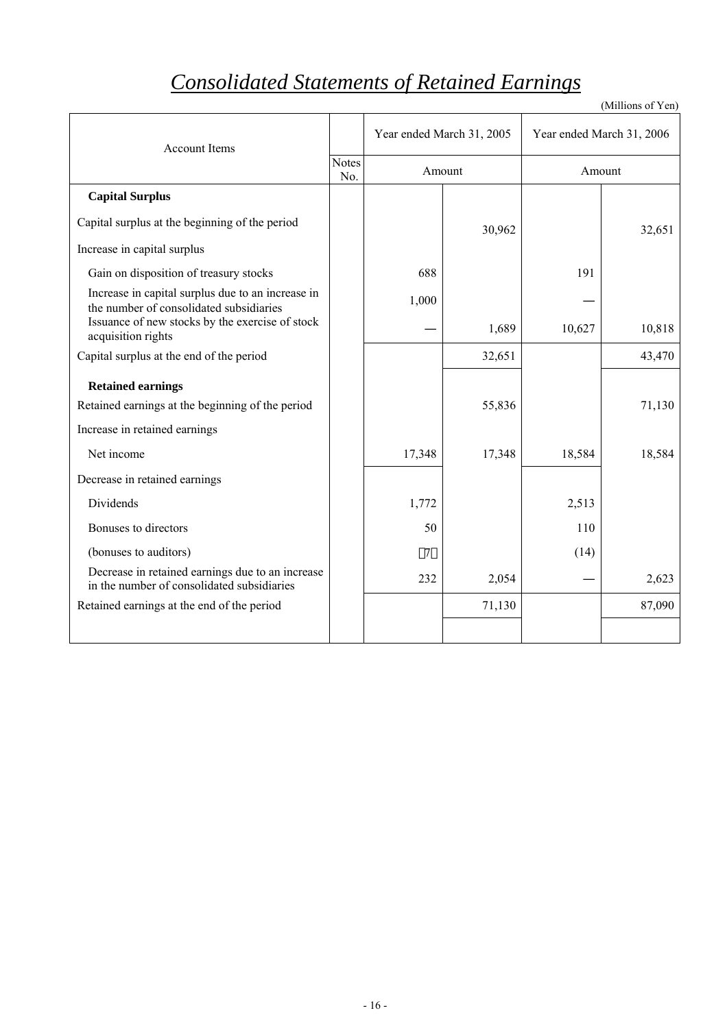# *Consolidated Statements of Retained Earnings*

| <b>Account Items</b>                                                                           |                     | Year ended March 31, 2005 |        | Year ended March 31, 2006 |        |
|------------------------------------------------------------------------------------------------|---------------------|---------------------------|--------|---------------------------|--------|
|                                                                                                | <b>Notes</b><br>No. |                           | Amount |                           | Amount |
| <b>Capital Surplus</b>                                                                         |                     |                           |        |                           |        |
| Capital surplus at the beginning of the period                                                 |                     |                           | 30,962 |                           | 32,651 |
| Increase in capital surplus                                                                    |                     |                           |        |                           |        |
| Gain on disposition of treasury stocks                                                         |                     | 688                       |        | 191                       |        |
| Increase in capital surplus due to an increase in<br>the number of consolidated subsidiaries   |                     | 1,000                     |        |                           |        |
| Issuance of new stocks by the exercise of stock<br>acquisition rights                          |                     |                           | 1,689  | 10,627                    | 10,818 |
| Capital surplus at the end of the period                                                       |                     |                           | 32,651 |                           | 43,470 |
| <b>Retained earnings</b>                                                                       |                     |                           |        |                           |        |
| Retained earnings at the beginning of the period                                               |                     |                           | 55,836 |                           | 71,130 |
| Increase in retained earnings                                                                  |                     |                           |        |                           |        |
| Net income                                                                                     |                     | 17,348                    | 17,348 | 18,584                    | 18,584 |
| Decrease in retained earnings                                                                  |                     |                           |        |                           |        |
| Dividends                                                                                      |                     | 1,772                     |        | 2,513                     |        |
| Bonuses to directors                                                                           |                     | 50                        |        | 110                       |        |
| (bonuses to auditors)                                                                          |                     | 7                         |        | (14)                      |        |
| Decrease in retained earnings due to an increase<br>in the number of consolidated subsidiaries |                     | 232                       | 2,054  |                           | 2,623  |
| Retained earnings at the end of the period                                                     |                     |                           | 71,130 |                           | 87,090 |
|                                                                                                |                     |                           |        |                           |        |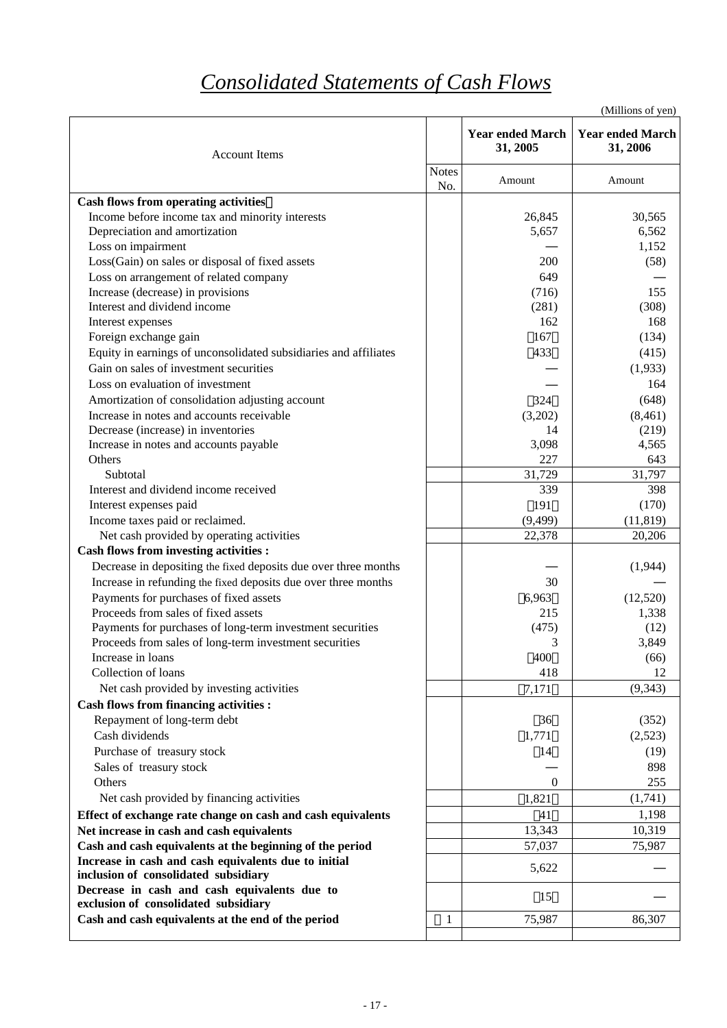# *Consolidated Statements of Cash Flows*

|                                                                                      |                     |                                     | (Millions of yen)                   |
|--------------------------------------------------------------------------------------|---------------------|-------------------------------------|-------------------------------------|
| <b>Account Items</b>                                                                 |                     | <b>Year ended March</b><br>31, 2005 | <b>Year ended March</b><br>31, 2006 |
|                                                                                      | <b>Notes</b><br>No. | Amount                              | Amount                              |
| <b>Cash flows from operating activities</b>                                          |                     |                                     |                                     |
| Income before income tax and minority interests                                      |                     | 26,845                              | 30,565                              |
| Depreciation and amortization                                                        |                     | 5,657                               | 6,562                               |
| Loss on impairment                                                                   |                     |                                     | 1,152                               |
| Loss(Gain) on sales or disposal of fixed assets                                      |                     | 200                                 | (58)                                |
| Loss on arrangement of related company                                               |                     | 649                                 |                                     |
| Increase (decrease) in provisions                                                    |                     | (716)                               | 155                                 |
| Interest and dividend income                                                         |                     | (281)                               | (308)                               |
| Interest expenses                                                                    |                     | 162                                 | 168                                 |
| Foreign exchange gain                                                                |                     | 167                                 | (134)                               |
| Equity in earnings of unconsolidated subsidiaries and affiliates                     |                     | 433                                 | (415)                               |
| Gain on sales of investment securities                                               |                     |                                     | (1,933)                             |
| Loss on evaluation of investment                                                     |                     |                                     | 164                                 |
| Amortization of consolidation adjusting account                                      |                     | 324                                 | (648)                               |
| Increase in notes and accounts receivable                                            |                     | (3,202)                             | (8,461)                             |
| Decrease (increase) in inventories                                                   |                     | 14                                  | (219)                               |
| Increase in notes and accounts payable                                               |                     | 3,098                               | 4,565                               |
| Others                                                                               |                     | 227                                 | 643                                 |
| Subtotal<br>Interest and dividend income received                                    |                     | 31,729<br>339                       | 31,797<br>398                       |
|                                                                                      |                     | 191                                 | (170)                               |
| Interest expenses paid<br>Income taxes paid or reclaimed.                            |                     | (9, 499)                            | (11, 819)                           |
| Net cash provided by operating activities                                            |                     | 22,378                              | 20,206                              |
| <b>Cash flows from investing activities :</b>                                        |                     |                                     |                                     |
| Decrease in depositing the fixed deposits due over three months                      |                     |                                     | (1,944)                             |
| Increase in refunding the fixed deposits due over three months                       |                     | 30                                  |                                     |
| Payments for purchases of fixed assets                                               |                     | 6,963                               | (12,520)                            |
| Proceeds from sales of fixed assets                                                  |                     | 215                                 | 1,338                               |
| Payments for purchases of long-term investment securities                            |                     | (475)                               | (12)                                |
| Proceeds from sales of long-term investment securities                               |                     | 3                                   | 3,849                               |
| Increase in loans                                                                    |                     | 400                                 | (66)                                |
| Collection of loans                                                                  |                     | 418                                 | 12                                  |
| Net cash provided by investing activities                                            |                     | 7,171                               | (9, 343)                            |
| <b>Cash flows from financing activities :</b>                                        |                     |                                     |                                     |
| Repayment of long-term debt                                                          |                     | 36                                  | (352)                               |
| Cash dividends                                                                       |                     | 1,771                               | (2,523)                             |
| Purchase of treasury stock                                                           |                     | 14                                  | (19)                                |
| Sales of treasury stock                                                              |                     |                                     | 898                                 |
| Others                                                                               |                     | $\mathbf{0}$                        | 255                                 |
| Net cash provided by financing activities                                            |                     | 1,821                               | (1,741)                             |
| Effect of exchange rate change on cash and cash equivalents                          |                     | 41                                  | 1,198                               |
| Net increase in cash and cash equivalents                                            |                     | 13,343                              | 10,319                              |
| Cash and cash equivalents at the beginning of the period                             |                     | 57,037                              | 75,987                              |
| Increase in cash and cash equivalents due to initial                                 |                     | 5,622                               |                                     |
| inclusion of consolidated subsidiary                                                 |                     |                                     |                                     |
| Decrease in cash and cash equivalents due to<br>exclusion of consolidated subsidiary |                     | 15                                  |                                     |
| Cash and cash equivalents at the end of the period                                   | 1                   | 75,987                              | 86,307                              |
|                                                                                      |                     |                                     |                                     |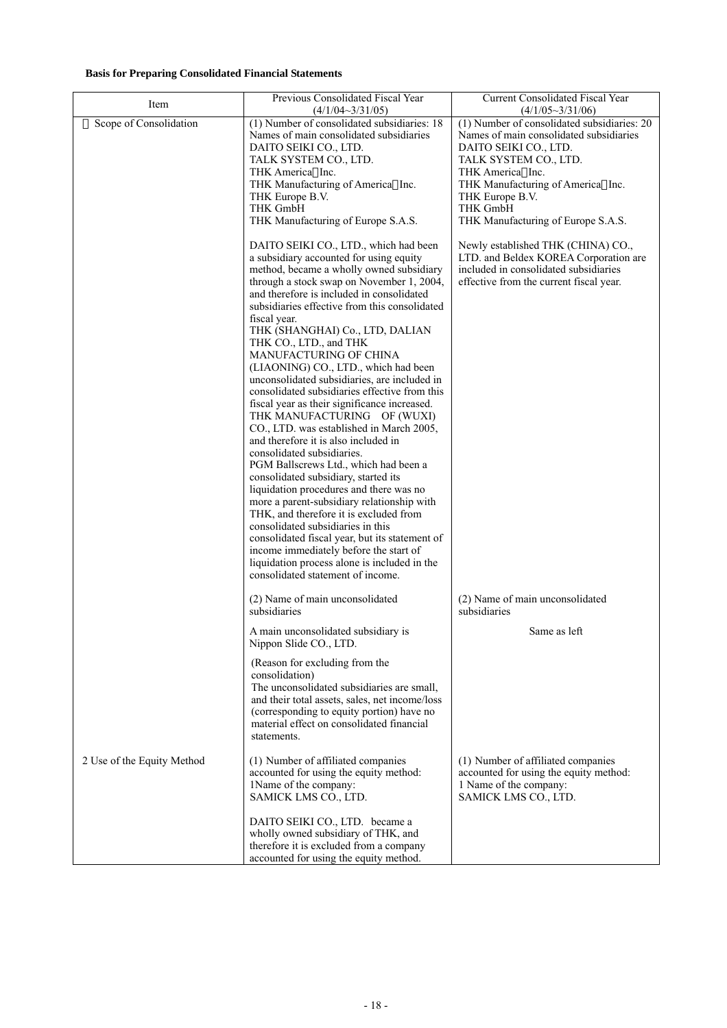# **Basis for Preparing Consolidated Financial Statements**

| Item                       | Previous Consolidated Fiscal Year                                                                                                                                                                                                                                                                                                                                                                                                                                                                                                                                                                                                                                                                                                                                                                                                                                                                                                                                                                                                                                                                                            | Current Consolidated Fiscal Year                                                                                                                                                                                                                                                                                                                                                                                                                                            |
|----------------------------|------------------------------------------------------------------------------------------------------------------------------------------------------------------------------------------------------------------------------------------------------------------------------------------------------------------------------------------------------------------------------------------------------------------------------------------------------------------------------------------------------------------------------------------------------------------------------------------------------------------------------------------------------------------------------------------------------------------------------------------------------------------------------------------------------------------------------------------------------------------------------------------------------------------------------------------------------------------------------------------------------------------------------------------------------------------------------------------------------------------------------|-----------------------------------------------------------------------------------------------------------------------------------------------------------------------------------------------------------------------------------------------------------------------------------------------------------------------------------------------------------------------------------------------------------------------------------------------------------------------------|
| Scope of Consolidation     | $(4/1/04 \sim 3/31/05)$<br>(1) Number of consolidated subsidiaries: 18<br>Names of main consolidated subsidiaries<br>DAITO SEIKI CO., LTD.<br>TALK SYSTEM CO., LTD.<br>THK America Inc.<br>THK Manufacturing of America Inc.<br>THK Europe B.V.<br><b>THK GmbH</b><br>THK Manufacturing of Europe S.A.S.<br>DAITO SEIKI CO., LTD., which had been<br>a subsidiary accounted for using equity<br>method, became a wholly owned subsidiary<br>through a stock swap on November 1, 2004,<br>and therefore is included in consolidated<br>subsidiaries effective from this consolidated<br>fiscal year.<br>THK (SHANGHAI) Co., LTD, DALIAN<br>THK CO., LTD., and THK<br><b>MANUFACTURING OF CHINA</b><br>(LIAONING) CO., LTD., which had been<br>unconsolidated subsidiaries, are included in<br>consolidated subsidiaries effective from this<br>fiscal year as their significance increased.<br>THK MANUFACTURING OF (WUXI)<br>CO., LTD. was established in March 2005,<br>and therefore it is also included in<br>consolidated subsidiaries.<br>PGM Ballscrews Ltd., which had been a<br>consolidated subsidiary, started its | $(4/1/05 \sim 3/31/06)$<br>(1) Number of consolidated subsidiaries: 20<br>Names of main consolidated subsidiaries<br>DAITO SEIKI CO., LTD.<br>TALK SYSTEM CO., LTD.<br>THK America Inc.<br>THK Manufacturing of America Inc.<br>THK Europe B.V.<br><b>THK GmbH</b><br>THK Manufacturing of Europe S.A.S.<br>Newly established THK (CHINA) CO.,<br>LTD. and Beldex KOREA Corporation are<br>included in consolidated subsidiaries<br>effective from the current fiscal year. |
|                            | liquidation procedures and there was no<br>more a parent-subsidiary relationship with<br>THK, and therefore it is excluded from<br>consolidated subsidiaries in this<br>consolidated fiscal year, but its statement of<br>income immediately before the start of<br>liquidation process alone is included in the<br>consolidated statement of income.                                                                                                                                                                                                                                                                                                                                                                                                                                                                                                                                                                                                                                                                                                                                                                        |                                                                                                                                                                                                                                                                                                                                                                                                                                                                             |
|                            | (2) Name of main unconsolidated<br>subsidiaries                                                                                                                                                                                                                                                                                                                                                                                                                                                                                                                                                                                                                                                                                                                                                                                                                                                                                                                                                                                                                                                                              | (2) Name of main unconsolidated<br>subsidiaries                                                                                                                                                                                                                                                                                                                                                                                                                             |
|                            | A main unconsolidated subsidiary is<br>Nippon Slide CO., LTD.                                                                                                                                                                                                                                                                                                                                                                                                                                                                                                                                                                                                                                                                                                                                                                                                                                                                                                                                                                                                                                                                | Same as left                                                                                                                                                                                                                                                                                                                                                                                                                                                                |
|                            | (Reason for excluding from the<br>consolidation)<br>The unconsolidated subsidiaries are small,<br>and their total assets, sales, net income/loss<br>(corresponding to equity portion) have no<br>material effect on consolidated financial<br>statements.                                                                                                                                                                                                                                                                                                                                                                                                                                                                                                                                                                                                                                                                                                                                                                                                                                                                    |                                                                                                                                                                                                                                                                                                                                                                                                                                                                             |
| 2 Use of the Equity Method | (1) Number of affiliated companies<br>accounted for using the equity method:<br>1Name of the company:<br>SAMICK LMS CO., LTD.                                                                                                                                                                                                                                                                                                                                                                                                                                                                                                                                                                                                                                                                                                                                                                                                                                                                                                                                                                                                | (1) Number of affiliated companies<br>accounted for using the equity method:<br>1 Name of the company:<br>SAMICK LMS CO., LTD.                                                                                                                                                                                                                                                                                                                                              |
|                            | DAITO SEIKI CO., LTD. became a<br>wholly owned subsidiary of THK, and<br>therefore it is excluded from a company<br>accounted for using the equity method.                                                                                                                                                                                                                                                                                                                                                                                                                                                                                                                                                                                                                                                                                                                                                                                                                                                                                                                                                                   |                                                                                                                                                                                                                                                                                                                                                                                                                                                                             |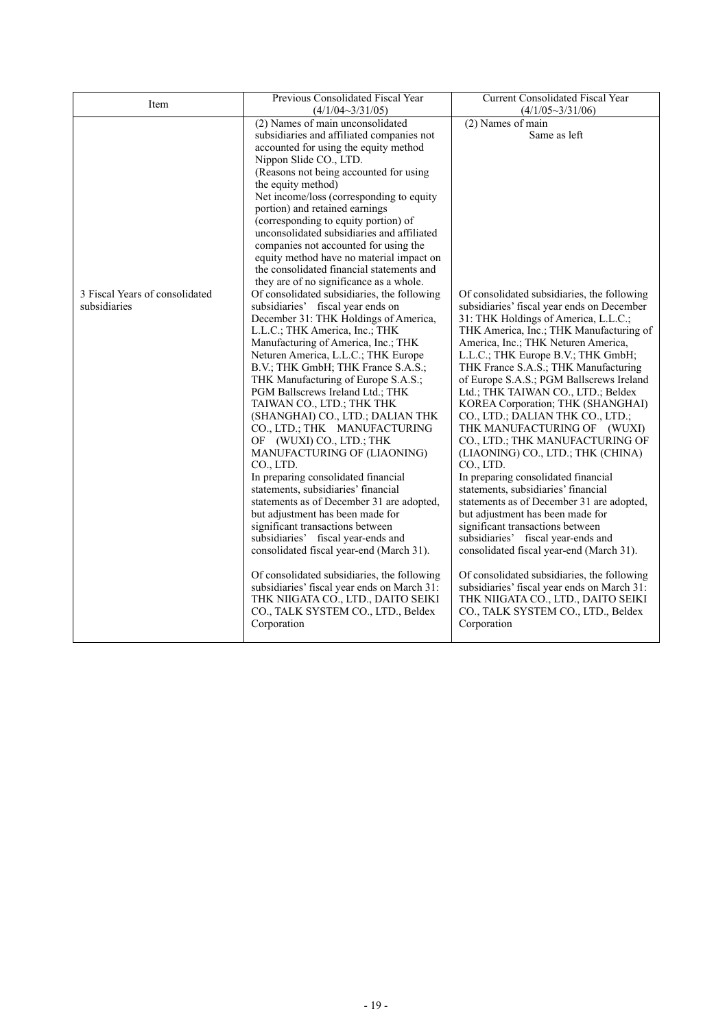|                                | Previous Consolidated Fiscal Year                                                     | <b>Current Consolidated Fiscal Year</b>     |
|--------------------------------|---------------------------------------------------------------------------------------|---------------------------------------------|
| Item                           | $(4/1/04 \sim 3/31/05)$                                                               | $(4/1/05 \sim 3/31/06)$                     |
|                                | (2) Names of main unconsolidated                                                      | (2) Names of main                           |
|                                | subsidiaries and affiliated companies not                                             | Same as left                                |
|                                | accounted for using the equity method                                                 |                                             |
|                                | Nippon Slide CO., LTD.                                                                |                                             |
|                                | (Reasons not being accounted for using                                                |                                             |
|                                | the equity method)                                                                    |                                             |
|                                | Net income/loss (corresponding to equity                                              |                                             |
|                                | portion) and retained earnings                                                        |                                             |
|                                | (corresponding to equity portion) of                                                  |                                             |
|                                | unconsolidated subsidiaries and affiliated                                            |                                             |
|                                | companies not accounted for using the                                                 |                                             |
|                                | equity method have no material impact on<br>the consolidated financial statements and |                                             |
|                                | they are of no significance as a whole.                                               |                                             |
| 3 Fiscal Years of consolidated | Of consolidated subsidiaries, the following                                           | Of consolidated subsidiaries, the following |
| subsidiaries                   | subsidiaries' fiscal year ends on                                                     | subsidiaries' fiscal year ends on December  |
|                                | December 31: THK Holdings of America,                                                 | 31: THK Holdings of America, L.L.C.;        |
|                                | L.L.C.; THK America, Inc.; THK                                                        | THK America, Inc.; THK Manufacturing of     |
|                                | Manufacturing of America, Inc.; THK                                                   | America, Inc.; THK Neturen America,         |
|                                | Neturen America, L.L.C.; THK Europe                                                   | L.L.C.; THK Europe B.V.; THK GmbH;          |
|                                | B.V.; THK GmbH; THK France S.A.S.;                                                    | THK France S.A.S.; THK Manufacturing        |
|                                | THK Manufacturing of Europe S.A.S.;                                                   | of Europe S.A.S.; PGM Ballscrews Ireland    |
|                                | PGM Ballscrews Ireland Ltd.; THK                                                      | Ltd.; THK TAIWAN CO., LTD.; Beldex          |
|                                | TAIWAN CO., LTD.; THK THK                                                             | KOREA Corporation; THK (SHANGHAI)           |
|                                | (SHANGHAI) CO., LTD.; DALIAN THK                                                      | CO., LTD.; DALIAN THK CO., LTD.;            |
|                                | CO., LTD.; THK MANUFACTURING                                                          | THK MANUFACTURING OF (WUXI)                 |
|                                | OF (WUXI) CO., LTD.; THK                                                              | CO., LTD.; THK MANUFACTURING OF             |
|                                | MANUFACTURING OF (LIAONING)                                                           | (LIAONING) CO., LTD.; THK (CHINA)           |
|                                | CO., LTD.                                                                             | CO., LTD.                                   |
|                                | In preparing consolidated financial                                                   | In preparing consolidated financial         |
|                                | statements, subsidiaries' financial                                                   | statements, subsidiaries' financial         |
|                                | statements as of December 31 are adopted,                                             | statements as of December 31 are adopted,   |
|                                | but adjustment has been made for                                                      | but adjustment has been made for            |
|                                | significant transactions between                                                      | significant transactions between            |
|                                | subsidiaries' fiscal year-ends and                                                    | subsidiaries' fiscal year-ends and          |
|                                | consolidated fiscal year-end (March 31).                                              | consolidated fiscal year-end (March 31).    |
|                                | Of consolidated subsidiaries, the following                                           | Of consolidated subsidiaries, the following |
|                                | subsidiaries' fiscal year ends on March 31:                                           | subsidiaries' fiscal year ends on March 31: |
|                                | THK NIIGATA CO., LTD., DAITO SEIKI                                                    | THK NIIGATA CO., LTD., DAITO SEIKI          |
|                                | CO., TALK SYSTEM CO., LTD., Beldex                                                    | CO., TALK SYSTEM CO., LTD., Beldex          |
|                                | Corporation                                                                           | Corporation                                 |
|                                |                                                                                       |                                             |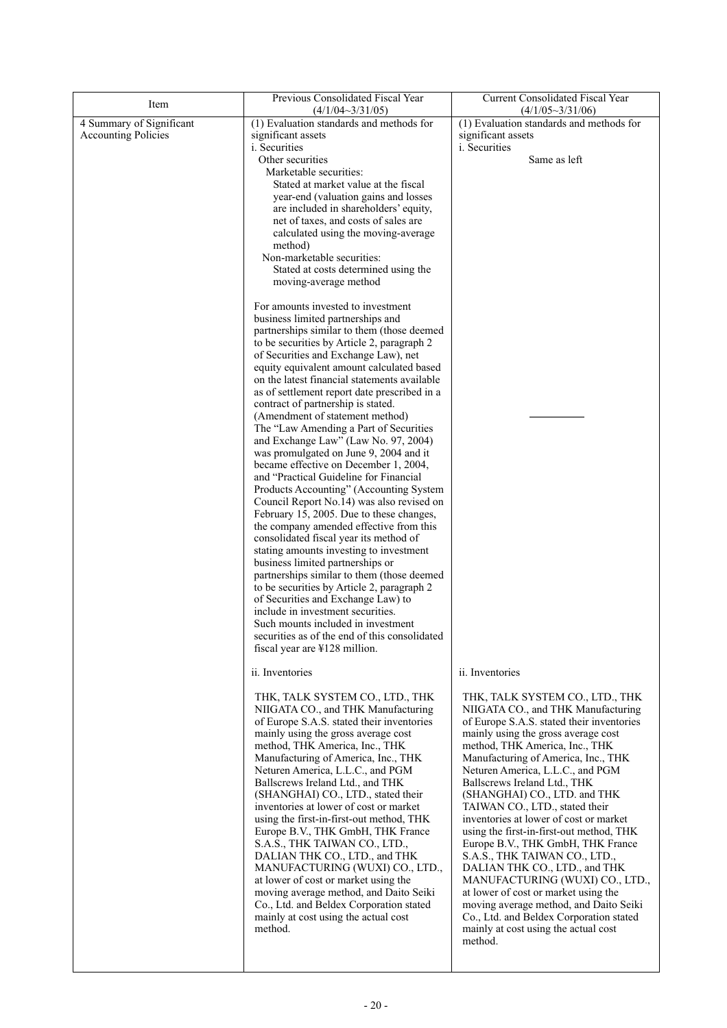| Item                       | Previous Consolidated Fiscal Year                                                    | <b>Current Consolidated Fiscal Year</b>                                            |
|----------------------------|--------------------------------------------------------------------------------------|------------------------------------------------------------------------------------|
|                            | $(4/1/04 - 3/31/05)$                                                                 | $(4/1/05 \sim 3/31/06)$                                                            |
| 4 Summary of Significant   | (1) Evaluation standards and methods for                                             | (1) Evaluation standards and methods for                                           |
| <b>Accounting Policies</b> | significant assets<br><i>i</i> . Securities                                          | significant assets<br><i>i</i> . Securities                                        |
|                            | Other securities                                                                     | Same as left                                                                       |
|                            | Marketable securities:                                                               |                                                                                    |
|                            | Stated at market value at the fiscal                                                 |                                                                                    |
|                            | year-end (valuation gains and losses                                                 |                                                                                    |
|                            | are included in shareholders' equity,                                                |                                                                                    |
|                            | net of taxes, and costs of sales are                                                 |                                                                                    |
|                            | calculated using the moving-average                                                  |                                                                                    |
|                            | method)                                                                              |                                                                                    |
|                            | Non-marketable securities:                                                           |                                                                                    |
|                            | Stated at costs determined using the                                                 |                                                                                    |
|                            | moving-average method                                                                |                                                                                    |
|                            | For amounts invested to investment                                                   |                                                                                    |
|                            | business limited partnerships and                                                    |                                                                                    |
|                            | partnerships similar to them (those deemed                                           |                                                                                    |
|                            | to be securities by Article 2, paragraph 2                                           |                                                                                    |
|                            | of Securities and Exchange Law), net                                                 |                                                                                    |
|                            | equity equivalent amount calculated based                                            |                                                                                    |
|                            | on the latest financial statements available                                         |                                                                                    |
|                            | as of settlement report date prescribed in a                                         |                                                                                    |
|                            | contract of partnership is stated.                                                   |                                                                                    |
|                            | (Amendment of statement method)                                                      |                                                                                    |
|                            | The "Law Amending a Part of Securities"                                              |                                                                                    |
|                            | and Exchange Law" (Law No. 97, 2004)                                                 |                                                                                    |
|                            | was promulgated on June 9, 2004 and it                                               |                                                                                    |
|                            | became effective on December 1, 2004,                                                |                                                                                    |
|                            | and "Practical Guideline for Financial                                               |                                                                                    |
|                            | Products Accounting" (Accounting System<br>Council Report No.14) was also revised on |                                                                                    |
|                            | February 15, 2005. Due to these changes,                                             |                                                                                    |
|                            | the company amended effective from this                                              |                                                                                    |
|                            | consolidated fiscal year its method of                                               |                                                                                    |
|                            | stating amounts investing to investment                                              |                                                                                    |
|                            | business limited partnerships or                                                     |                                                                                    |
|                            | partnerships similar to them (those deemed                                           |                                                                                    |
|                            | to be securities by Article 2, paragraph 2                                           |                                                                                    |
|                            | of Securities and Exchange Law) to                                                   |                                                                                    |
|                            | include in investment securities.                                                    |                                                                                    |
|                            | Such mounts included in investment                                                   |                                                                                    |
|                            | securities as of the end of this consolidated<br>fiscal year are ¥128 million.       |                                                                                    |
|                            |                                                                                      |                                                                                    |
|                            | ii. Inventories                                                                      | ii. Inventories                                                                    |
|                            | THK, TALK SYSTEM CO., LTD., THK                                                      | THK, TALK SYSTEM CO., LTD., THK                                                    |
|                            | NIIGATA CO., and THK Manufacturing                                                   | NIIGATA CO., and THK Manufacturing                                                 |
|                            | of Europe S.A.S. stated their inventories                                            | of Europe S.A.S. stated their inventories                                          |
|                            | mainly using the gross average cost                                                  | mainly using the gross average cost                                                |
|                            | method, THK America, Inc., THK                                                       | method, THK America, Inc., THK                                                     |
|                            | Manufacturing of America, Inc., THK                                                  | Manufacturing of America, Inc., THK                                                |
|                            | Neturen America, L.L.C., and PGM                                                     | Neturen America, L.L.C., and PGM                                                   |
|                            | Ballscrews Ireland Ltd., and THK                                                     | Ballscrews Ireland Ltd., THK                                                       |
|                            | (SHANGHAI) CO., LTD., stated their                                                   | (SHANGHAI) CO., LTD. and THK                                                       |
|                            | inventories at lower of cost or market                                               | TAIWAN CO., LTD., stated their                                                     |
|                            | using the first-in-first-out method, THK<br>Europe B.V., THK GmbH, THK France        | inventories at lower of cost or market<br>using the first-in-first-out method, THK |
|                            | S.A.S., THK TAIWAN CO., LTD.,                                                        | Europe B.V., THK GmbH, THK France                                                  |
|                            | DALIAN THK CO., LTD., and THK                                                        | S.A.S., THK TAIWAN CO., LTD.,                                                      |
|                            | MANUFACTURING (WUXI) CO., LTD.,                                                      | DALIAN THK CO., LTD., and THK                                                      |
|                            | at lower of cost or market using the                                                 | MANUFACTURING (WUXI) CO., LTD.,                                                    |
|                            | moving average method, and Daito Seiki                                               | at lower of cost or market using the                                               |
|                            | Co., Ltd. and Beldex Corporation stated                                              | moving average method, and Daito Seiki                                             |
|                            | mainly at cost using the actual cost                                                 | Co., Ltd. and Beldex Corporation stated                                            |
|                            | method.                                                                              | mainly at cost using the actual cost                                               |
|                            |                                                                                      | method.                                                                            |
|                            |                                                                                      |                                                                                    |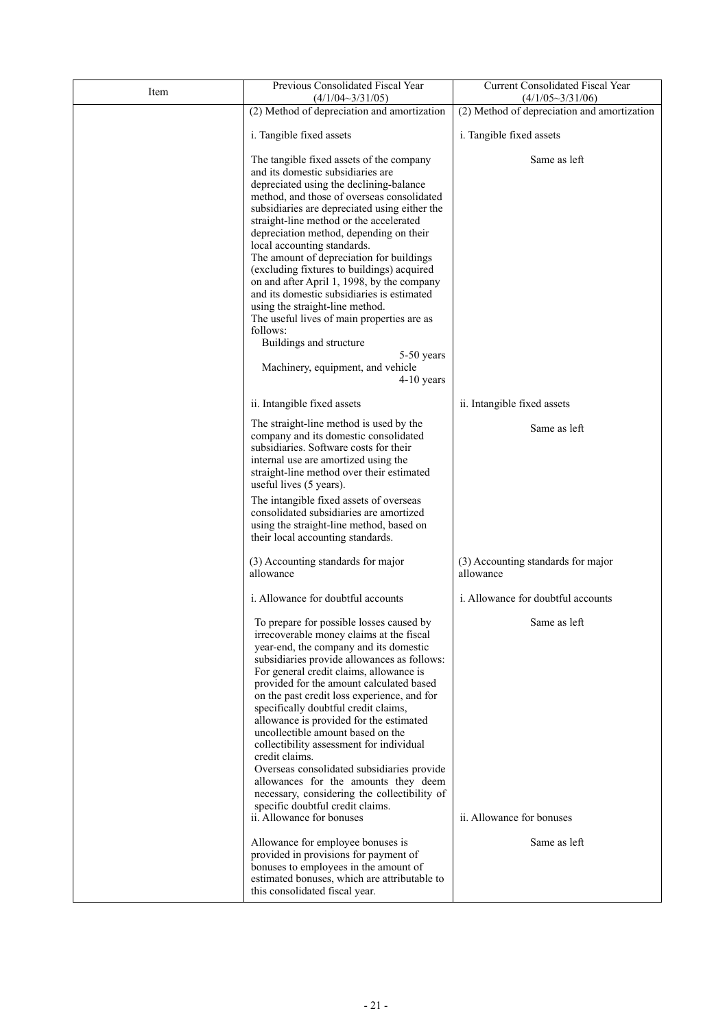| Item | Previous Consolidated Fiscal Year<br>$(4/1/04 \sim 3/31/05)$                                                                                                                                                                                                                                                                                                                                                                                                                                                                                                                                                                                                                                                                  | Current Consolidated Fiscal Year<br>$(4/1/05 \sim 3/31/06)$ |
|------|-------------------------------------------------------------------------------------------------------------------------------------------------------------------------------------------------------------------------------------------------------------------------------------------------------------------------------------------------------------------------------------------------------------------------------------------------------------------------------------------------------------------------------------------------------------------------------------------------------------------------------------------------------------------------------------------------------------------------------|-------------------------------------------------------------|
|      | (2) Method of depreciation and amortization                                                                                                                                                                                                                                                                                                                                                                                                                                                                                                                                                                                                                                                                                   | (2) Method of depreciation and amortization                 |
|      | i. Tangible fixed assets                                                                                                                                                                                                                                                                                                                                                                                                                                                                                                                                                                                                                                                                                                      | i. Tangible fixed assets                                    |
|      | The tangible fixed assets of the company<br>and its domestic subsidiaries are<br>depreciated using the declining-balance<br>method, and those of overseas consolidated<br>subsidiaries are depreciated using either the<br>straight-line method or the accelerated<br>depreciation method, depending on their<br>local accounting standards.<br>The amount of depreciation for buildings<br>(excluding fixtures to buildings) acquired<br>on and after April 1, 1998, by the company<br>and its domestic subsidiaries is estimated<br>using the straight-line method.<br>The useful lives of main properties are as<br>follows:<br>Buildings and structure<br>5-50 years<br>Machinery, equipment, and vehicle<br>$4-10$ years | Same as left                                                |
|      | ii. Intangible fixed assets                                                                                                                                                                                                                                                                                                                                                                                                                                                                                                                                                                                                                                                                                                   | ii. Intangible fixed assets                                 |
|      | The straight-line method is used by the<br>company and its domestic consolidated<br>subsidiaries. Software costs for their<br>internal use are amortized using the<br>straight-line method over their estimated<br>useful lives (5 years).<br>The intangible fixed assets of overseas<br>consolidated subsidiaries are amortized<br>using the straight-line method, based on<br>their local accounting standards.                                                                                                                                                                                                                                                                                                             | Same as left                                                |
|      | (3) Accounting standards for major<br>allowance                                                                                                                                                                                                                                                                                                                                                                                                                                                                                                                                                                                                                                                                               | (3) Accounting standards for major<br>allowance             |
|      | i. Allowance for doubtful accounts                                                                                                                                                                                                                                                                                                                                                                                                                                                                                                                                                                                                                                                                                            | <i>i.</i> Allowance for doubtful accounts                   |
|      | To prepare for possible losses caused by<br>irrecoverable money claims at the fiscal<br>year-end, the company and its domestic<br>subsidiaries provide allowances as follows:<br>For general credit claims, allowance is<br>provided for the amount calculated based<br>on the past credit loss experience, and for<br>specifically doubtful credit claims,<br>allowance is provided for the estimated<br>uncollectible amount based on the<br>collectibility assessment for individual<br>credit claims.<br>Overseas consolidated subsidiaries provide<br>allowances for the amounts they deem<br>necessary, considering the collectibility of<br>specific doubtful credit claims.<br>ii. Allowance for bonuses              | Same as left<br>ii. Allowance for bonuses                   |
|      | Allowance for employee bonuses is<br>provided in provisions for payment of<br>bonuses to employees in the amount of<br>estimated bonuses, which are attributable to<br>this consolidated fiscal year.                                                                                                                                                                                                                                                                                                                                                                                                                                                                                                                         | Same as left                                                |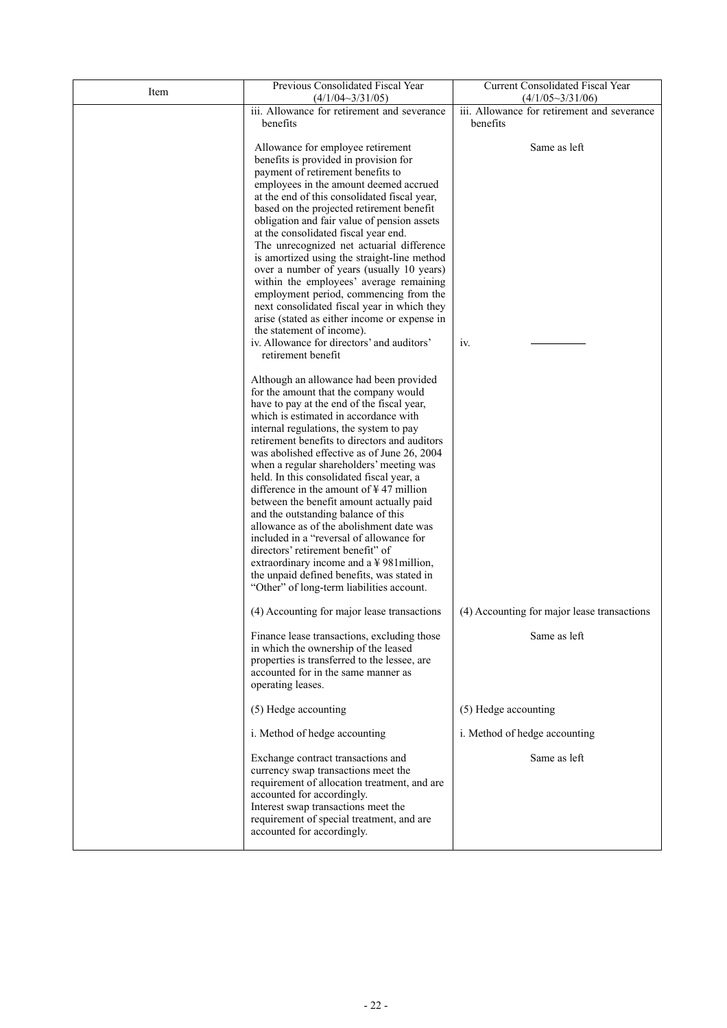| Item | Previous Consolidated Fiscal Year<br>$(4/1/04 \sim 3/31/05)$                                                                                                                                                                                                                                                                                                                                                                                                                                                                                                                                                                                                                                                                                                                                                               | Current Consolidated Fiscal Year<br>$(4/1/05 \sim 3/31/06)$ |
|------|----------------------------------------------------------------------------------------------------------------------------------------------------------------------------------------------------------------------------------------------------------------------------------------------------------------------------------------------------------------------------------------------------------------------------------------------------------------------------------------------------------------------------------------------------------------------------------------------------------------------------------------------------------------------------------------------------------------------------------------------------------------------------------------------------------------------------|-------------------------------------------------------------|
|      | iii. Allowance for retirement and severance<br>benefits                                                                                                                                                                                                                                                                                                                                                                                                                                                                                                                                                                                                                                                                                                                                                                    | iii. Allowance for retirement and severance<br>benefits     |
|      | Allowance for employee retirement<br>benefits is provided in provision for<br>payment of retirement benefits to<br>employees in the amount deemed accrued<br>at the end of this consolidated fiscal year,<br>based on the projected retirement benefit<br>obligation and fair value of pension assets<br>at the consolidated fiscal year end.<br>The unrecognized net actuarial difference<br>is amortized using the straight-line method<br>over a number of years (usually 10 years)<br>within the employees' average remaining<br>employment period, commencing from the<br>next consolidated fiscal year in which they<br>arise (stated as either income or expense in<br>the statement of income).<br>iv. Allowance for directors' and auditors'<br>retirement benefit                                                | Same as left<br>iv.                                         |
|      | Although an allowance had been provided<br>for the amount that the company would<br>have to pay at the end of the fiscal year,<br>which is estimated in accordance with<br>internal regulations, the system to pay<br>retirement benefits to directors and auditors<br>was abolished effective as of June 26, 2004<br>when a regular shareholders' meeting was<br>held. In this consolidated fiscal year, a<br>difference in the amount of $\frac{1}{2}$ 47 million<br>between the benefit amount actually paid<br>and the outstanding balance of this<br>allowance as of the abolishment date was<br>included in a "reversal of allowance for<br>directors' retirement benefit" of<br>extraordinary income and a ¥981 million,<br>the unpaid defined benefits, was stated in<br>"Other" of long-term liabilities account. |                                                             |
|      | (4) Accounting for major lease transactions                                                                                                                                                                                                                                                                                                                                                                                                                                                                                                                                                                                                                                                                                                                                                                                | (4) Accounting for major lease transactions                 |
|      | Finance lease transactions, excluding those<br>in which the ownership of the leased<br>properties is transferred to the lessee, are<br>accounted for in the same manner as<br>operating leases.                                                                                                                                                                                                                                                                                                                                                                                                                                                                                                                                                                                                                            | Same as left                                                |
|      | (5) Hedge accounting                                                                                                                                                                                                                                                                                                                                                                                                                                                                                                                                                                                                                                                                                                                                                                                                       | (5) Hedge accounting                                        |
|      | i. Method of hedge accounting                                                                                                                                                                                                                                                                                                                                                                                                                                                                                                                                                                                                                                                                                                                                                                                              | i. Method of hedge accounting                               |
|      | Exchange contract transactions and<br>currency swap transactions meet the<br>requirement of allocation treatment, and are<br>accounted for accordingly.<br>Interest swap transactions meet the<br>requirement of special treatment, and are<br>accounted for accordingly.                                                                                                                                                                                                                                                                                                                                                                                                                                                                                                                                                  | Same as left                                                |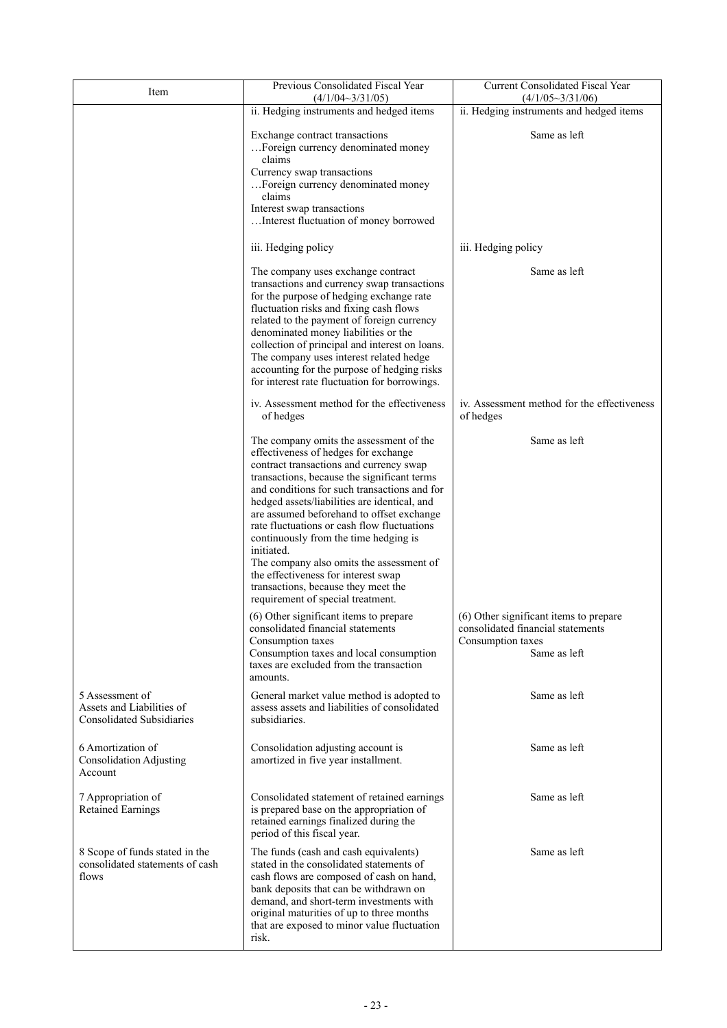| Item                                                                             | Previous Consolidated Fiscal Year<br>$(4/1/04 \sim 3/31/05)$                                                                                                                                                                                                                                                                                                                                                                                                                                                                                                                                | Current Consolidated Fiscal Year<br>$(4/1/05 \sim 3/31/06)$                                                      |
|----------------------------------------------------------------------------------|---------------------------------------------------------------------------------------------------------------------------------------------------------------------------------------------------------------------------------------------------------------------------------------------------------------------------------------------------------------------------------------------------------------------------------------------------------------------------------------------------------------------------------------------------------------------------------------------|------------------------------------------------------------------------------------------------------------------|
|                                                                                  | ii. Hedging instruments and hedged items                                                                                                                                                                                                                                                                                                                                                                                                                                                                                                                                                    | ii. Hedging instruments and hedged items                                                                         |
|                                                                                  | Exchange contract transactions<br>Foreign currency denominated money<br>claims<br>Currency swap transactions<br>Foreign currency denominated money<br>claims<br>Interest swap transactions<br>Interest fluctuation of money borrowed                                                                                                                                                                                                                                                                                                                                                        | Same as left                                                                                                     |
|                                                                                  | iii. Hedging policy                                                                                                                                                                                                                                                                                                                                                                                                                                                                                                                                                                         | iii. Hedging policy                                                                                              |
|                                                                                  | The company uses exchange contract<br>transactions and currency swap transactions<br>for the purpose of hedging exchange rate<br>fluctuation risks and fixing cash flows<br>related to the payment of foreign currency<br>denominated money liabilities or the<br>collection of principal and interest on loans.<br>The company uses interest related hedge<br>accounting for the purpose of hedging risks<br>for interest rate fluctuation for borrowings.                                                                                                                                 | Same as left                                                                                                     |
|                                                                                  | iv. Assessment method for the effectiveness<br>of hedges                                                                                                                                                                                                                                                                                                                                                                                                                                                                                                                                    | iv. Assessment method for the effectiveness<br>of hedges                                                         |
|                                                                                  | The company omits the assessment of the<br>effectiveness of hedges for exchange<br>contract transactions and currency swap<br>transactions, because the significant terms<br>and conditions for such transactions and for<br>hedged assets/liabilities are identical, and<br>are assumed beforehand to offset exchange<br>rate fluctuations or cash flow fluctuations<br>continuously from the time hedging is<br>initiated.<br>The company also omits the assessment of<br>the effectiveness for interest swap<br>transactions, because they meet the<br>requirement of special treatment. | Same as left                                                                                                     |
|                                                                                  | (6) Other significant items to prepare<br>consolidated financial statements<br>Consumption taxes<br>Consumption taxes and local consumption<br>taxes are excluded from the transaction                                                                                                                                                                                                                                                                                                                                                                                                      | (6) Other significant items to prepare<br>consolidated financial statements<br>Consumption taxes<br>Same as left |
| 5 Assessment of<br>Assets and Liabilities of<br><b>Consolidated Subsidiaries</b> | amounts.<br>General market value method is adopted to<br>assess assets and liabilities of consolidated<br>subsidiaries.                                                                                                                                                                                                                                                                                                                                                                                                                                                                     | Same as left                                                                                                     |
| 6 Amortization of<br><b>Consolidation Adjusting</b><br>Account                   | Consolidation adjusting account is<br>amortized in five year installment.                                                                                                                                                                                                                                                                                                                                                                                                                                                                                                                   | Same as left                                                                                                     |
| 7 Appropriation of<br><b>Retained Earnings</b>                                   | Consolidated statement of retained earnings<br>is prepared base on the appropriation of<br>retained earnings finalized during the<br>period of this fiscal year.                                                                                                                                                                                                                                                                                                                                                                                                                            | Same as left                                                                                                     |
| 8 Scope of funds stated in the<br>consolidated statements of cash<br>flows       | The funds (cash and cash equivalents)<br>stated in the consolidated statements of<br>cash flows are composed of cash on hand,<br>bank deposits that can be withdrawn on<br>demand, and short-term investments with<br>original maturities of up to three months<br>that are exposed to minor value fluctuation<br>risk.                                                                                                                                                                                                                                                                     | Same as left                                                                                                     |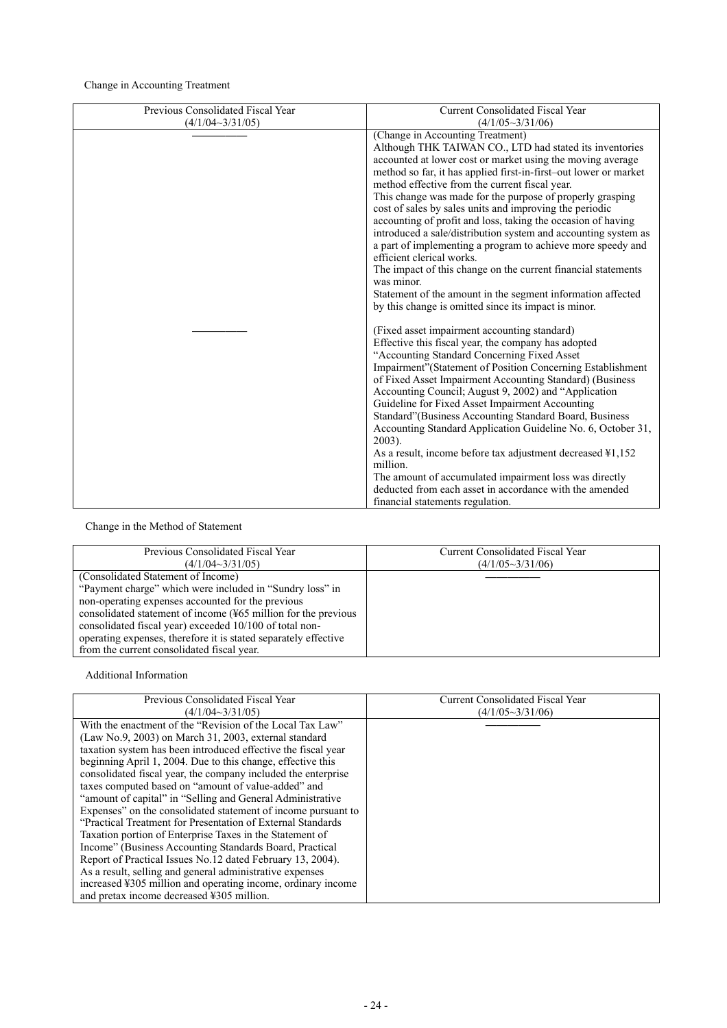Change in Accounting Treatment

| Previous Consolidated Fiscal Year | <b>Current Consolidated Fiscal Year</b>                                                                                                                                                                                                                                                                                                                                                                                                                                 |
|-----------------------------------|-------------------------------------------------------------------------------------------------------------------------------------------------------------------------------------------------------------------------------------------------------------------------------------------------------------------------------------------------------------------------------------------------------------------------------------------------------------------------|
| $(4/1/04 \sim 3/31/05)$           | $(4/1/05 \sim 3/31/06)$                                                                                                                                                                                                                                                                                                                                                                                                                                                 |
|                                   | (Change in Accounting Treatment)<br>Although THK TAIWAN CO., LTD had stated its inventories<br>accounted at lower cost or market using the moving average<br>method so far, it has applied first-in-first-out lower or market<br>method effective from the current fiscal year.<br>This change was made for the purpose of properly grasping<br>cost of sales by sales units and improving the periodic<br>accounting of profit and loss, taking the occasion of having |
|                                   | introduced a sale/distribution system and accounting system as<br>a part of implementing a program to achieve more speedy and<br>efficient clerical works.<br>The impact of this change on the current financial statements                                                                                                                                                                                                                                             |
|                                   | was minor.<br>Statement of the amount in the segment information affected<br>by this change is omitted since its impact is minor.                                                                                                                                                                                                                                                                                                                                       |
|                                   | (Fixed asset impairment accounting standard)<br>Effective this fiscal year, the company has adopted<br>"Accounting Standard Concerning Fixed Asset<br>Impairment" (Statement of Position Concerning Establishment                                                                                                                                                                                                                                                       |
|                                   | of Fixed Asset Impairment Accounting Standard) (Business<br>Accounting Council; August 9, 2002) and "Application<br>Guideline for Fixed Asset Impairment Accounting                                                                                                                                                                                                                                                                                                     |
|                                   | Standard" (Business Accounting Standard Board, Business<br>Accounting Standard Application Guideline No. 6, October 31,<br>$2003$ ).                                                                                                                                                                                                                                                                                                                                    |
|                                   | As a result, income before tax adjustment decreased \\$1,152<br>million.<br>The amount of accumulated impairment loss was directly                                                                                                                                                                                                                                                                                                                                      |
|                                   | deducted from each asset in accordance with the amended<br>financial statements regulation.                                                                                                                                                                                                                                                                                                                                                                             |

# Change in the Method of Statement

| Previous Consolidated Fiscal Year                                                                                                                                                                                                                                                                                                                                                                               | <b>Current Consolidated Fiscal Year</b> |
|-----------------------------------------------------------------------------------------------------------------------------------------------------------------------------------------------------------------------------------------------------------------------------------------------------------------------------------------------------------------------------------------------------------------|-----------------------------------------|
| $(4/1/04 \sim 3/31/05)$                                                                                                                                                                                                                                                                                                                                                                                         | $(4/1/05 \sim 3/31/06)$                 |
| (Consolidated Statement of Income)<br>"Payment charge" which were included in "Sundry loss" in<br>non-operating expenses accounted for the previous<br>consolidated statement of income $(\frac{15}{265})$ million for the previous<br>consolidated fiscal year) exceeded 10/100 of total non-<br>operating expenses, therefore it is stated separately effective<br>from the current consolidated fiscal year. |                                         |

Additional Information

| Previous Consolidated Fiscal Year                                                                                                                                                                                                                                                                                                                                                                                                                                                                                                                                                                                                                                                                                                                                                                                                                                                                                                                                    | <b>Current Consolidated Fiscal Year</b><br>$(4/1/05 \sim 3/31/06)$ |
|----------------------------------------------------------------------------------------------------------------------------------------------------------------------------------------------------------------------------------------------------------------------------------------------------------------------------------------------------------------------------------------------------------------------------------------------------------------------------------------------------------------------------------------------------------------------------------------------------------------------------------------------------------------------------------------------------------------------------------------------------------------------------------------------------------------------------------------------------------------------------------------------------------------------------------------------------------------------|--------------------------------------------------------------------|
| $(4/1/04 \sim 3/31/05)$<br>With the enactment of the "Revision of the Local Tax Law"<br>$(Law No.9, 2003)$ on March 31, 2003, external standard<br>taxation system has been introduced effective the fiscal year<br>beginning April 1, 2004. Due to this change, effective this<br>consolidated fiscal year, the company included the enterprise<br>taxes computed based on "amount of value-added" and<br>"amount of capital" in "Selling and General Administrative<br>Expenses" on the consolidated statement of income pursuant to<br>"Practical Treatment for Presentation of External Standards"<br>Taxation portion of Enterprise Taxes in the Statement of<br>Income" (Business Accounting Standards Board, Practical<br>Report of Practical Issues No.12 dated February 13, 2004).<br>As a result, selling and general administrative expenses<br>increased ¥305 million and operating income, ordinary income<br>and pretax income decreased ¥305 million. |                                                                    |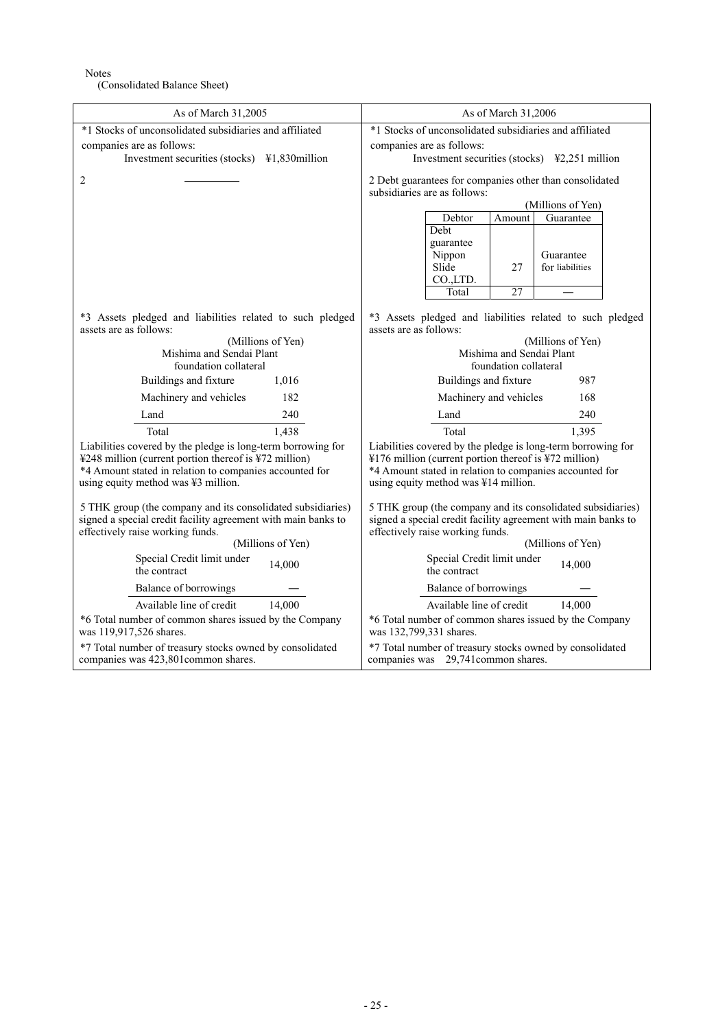Notes

(Consolidated Balance Sheet)

| As of March 31,2005                                           | As of March 31,2006                                                                                          |
|---------------------------------------------------------------|--------------------------------------------------------------------------------------------------------------|
| *1 Stocks of unconsolidated subsidiaries and affiliated       | *1 Stocks of unconsolidated subsidiaries and affiliated                                                      |
| companies are as follows:                                     | companies are as follows:                                                                                    |
| Investment securities (stocks) ¥1,830million                  | Investment securities (stocks) $\text{\#2,251}$ million                                                      |
| 2                                                             | 2 Debt guarantees for companies other than consolidated<br>subsidiaries are as follows:<br>(Millions of Yen) |
|                                                               | Guarantee<br>Debtor<br>Amount                                                                                |
|                                                               | Debt                                                                                                         |
|                                                               | guarantee<br>Nippon<br>Guarantee<br>Slide<br>for liabilities<br>27                                           |
|                                                               | CO.,LTD.<br>27<br>Total                                                                                      |
|                                                               |                                                                                                              |
| *3 Assets pledged and liabilities related to such pledged     | *3 Assets pledged and liabilities related to such pledged                                                    |
| assets are as follows:                                        | assets are as follows:                                                                                       |
| (Millions of Yen)                                             | (Millions of Yen)                                                                                            |
| Mishima and Sendai Plant                                      | Mishima and Sendai Plant                                                                                     |
| foundation collateral                                         | foundation collateral                                                                                        |
| Buildings and fixture                                         | Buildings and fixture                                                                                        |
| 1,016                                                         | 987                                                                                                          |
| 182                                                           | Machinery and vehicles                                                                                       |
| Machinery and vehicles                                        | 168                                                                                                          |
| 240                                                           | 240                                                                                                          |
| Land                                                          | Land                                                                                                         |
| 1,438                                                         | 1,395                                                                                                        |
| Total                                                         | Total                                                                                                        |
| Liabilities covered by the pledge is long-term borrowing for  | Liabilities covered by the pledge is long-term borrowing for                                                 |
| ¥248 million (current portion thereof is ¥72 million)         | ¥176 million (current portion thereof is ¥72 million)                                                        |
| *4 Amount stated in relation to companies accounted for       | *4 Amount stated in relation to companies accounted for                                                      |
| using equity method was ¥3 million.                           | using equity method was ¥14 million.                                                                         |
| 5 THK group (the company and its consolidated subsidiaries)   | 5 THK group (the company and its consolidated subsidiaries)                                                  |
| signed a special credit facility agreement with main banks to | signed a special credit facility agreement with main banks to                                                |
| effectively raise working funds.                              | effectively raise working funds.                                                                             |
| (Millions of Yen)                                             | (Millions of Yen)                                                                                            |
| Special Credit limit under                                    | Special Credit limit under                                                                                   |
| 14.000                                                        | 14,000                                                                                                       |
| the contract                                                  | the contract                                                                                                 |
| Balance of borrowings                                         | Balance of borrowings                                                                                        |
| Available line of credit                                      | Available line of credit                                                                                     |
| 14,000                                                        | 14,000                                                                                                       |
| *6 Total number of common shares issued by the Company        | *6 Total number of common shares issued by the Company                                                       |
| was 119,917,526 shares.                                       | was 132,799,331 shares.                                                                                      |
| *7 Total number of treasury stocks owned by consolidated      | *7 Total number of treasury stocks owned by consolidated                                                     |
| companies was 423,801common shares.                           | companies was 29,741 common shares.                                                                          |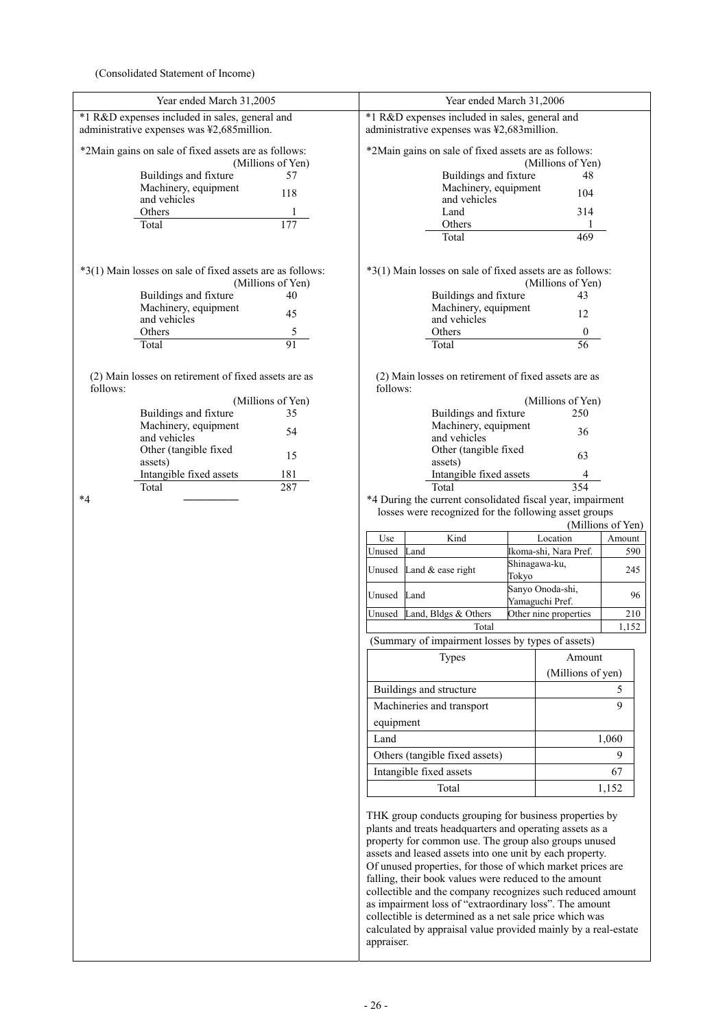(Consolidated Statement of Income)

| Year ended March 31,2005                                                                     | Year ended March 31,2006                                                                                                                                                                                                                                                                                                                                                                                                                                                                                                                                                                                            |  |
|----------------------------------------------------------------------------------------------|---------------------------------------------------------------------------------------------------------------------------------------------------------------------------------------------------------------------------------------------------------------------------------------------------------------------------------------------------------------------------------------------------------------------------------------------------------------------------------------------------------------------------------------------------------------------------------------------------------------------|--|
| *1 R&D expenses included in sales, general and<br>administrative expenses was ¥2,685million. | *1 R&D expenses included in sales, general and<br>administrative expenses was ¥2,683million.                                                                                                                                                                                                                                                                                                                                                                                                                                                                                                                        |  |
| *2Main gains on sale of fixed assets are as follows:<br>(Millions of Yen)                    | *2Main gains on sale of fixed assets are as follows:<br>(Millions of Yen)                                                                                                                                                                                                                                                                                                                                                                                                                                                                                                                                           |  |
| 57<br>Buildings and fixture                                                                  | Buildings and fixture<br>48                                                                                                                                                                                                                                                                                                                                                                                                                                                                                                                                                                                         |  |
| Machinery, equipment                                                                         | Machinery, equipment                                                                                                                                                                                                                                                                                                                                                                                                                                                                                                                                                                                                |  |
| 118<br>and vehicles                                                                          | 104<br>and vehicles                                                                                                                                                                                                                                                                                                                                                                                                                                                                                                                                                                                                 |  |
| <b>Others</b>                                                                                | 314<br>Land                                                                                                                                                                                                                                                                                                                                                                                                                                                                                                                                                                                                         |  |
| Total<br>177                                                                                 | Others                                                                                                                                                                                                                                                                                                                                                                                                                                                                                                                                                                                                              |  |
|                                                                                              | Total<br>469                                                                                                                                                                                                                                                                                                                                                                                                                                                                                                                                                                                                        |  |
| *3(1) Main losses on sale of fixed assets are as follows:                                    | *3(1) Main losses on sale of fixed assets are as follows:                                                                                                                                                                                                                                                                                                                                                                                                                                                                                                                                                           |  |
| (Millions of Yen)<br>40                                                                      | (Millions of Yen)<br>43                                                                                                                                                                                                                                                                                                                                                                                                                                                                                                                                                                                             |  |
| Buildings and fixture<br>Machinery, equipment                                                | Buildings and fixture<br>Machinery, equipment                                                                                                                                                                                                                                                                                                                                                                                                                                                                                                                                                                       |  |
| 45<br>and vehicles                                                                           | 12<br>and vehicles                                                                                                                                                                                                                                                                                                                                                                                                                                                                                                                                                                                                  |  |
| 5<br>Others                                                                                  | $\boldsymbol{0}$<br>Others                                                                                                                                                                                                                                                                                                                                                                                                                                                                                                                                                                                          |  |
| 91<br>Total                                                                                  | 56<br>Total                                                                                                                                                                                                                                                                                                                                                                                                                                                                                                                                                                                                         |  |
| (2) Main losses on retirement of fixed assets are as                                         | (2) Main losses on retirement of fixed assets are as                                                                                                                                                                                                                                                                                                                                                                                                                                                                                                                                                                |  |
| follows:                                                                                     | follows:                                                                                                                                                                                                                                                                                                                                                                                                                                                                                                                                                                                                            |  |
| (Millions of Yen)<br>Buildings and fixture<br>35                                             | (Millions of Yen)<br>Buildings and fixture<br>250                                                                                                                                                                                                                                                                                                                                                                                                                                                                                                                                                                   |  |
| Machinery, equipment                                                                         | Machinery, equipment                                                                                                                                                                                                                                                                                                                                                                                                                                                                                                                                                                                                |  |
| 54<br>and vehicles                                                                           | 36<br>and vehicles                                                                                                                                                                                                                                                                                                                                                                                                                                                                                                                                                                                                  |  |
| Other (tangible fixed                                                                        | Other (tangible fixed                                                                                                                                                                                                                                                                                                                                                                                                                                                                                                                                                                                               |  |
| 15<br>assets)                                                                                | 63<br>assets)                                                                                                                                                                                                                                                                                                                                                                                                                                                                                                                                                                                                       |  |
| Intangible fixed assets<br>181                                                               | Intangible fixed assets                                                                                                                                                                                                                                                                                                                                                                                                                                                                                                                                                                                             |  |
| 287<br>Total                                                                                 | 354<br>Total                                                                                                                                                                                                                                                                                                                                                                                                                                                                                                                                                                                                        |  |
| $*_{4}$                                                                                      | *4 During the current consolidated fiscal year, impairment                                                                                                                                                                                                                                                                                                                                                                                                                                                                                                                                                          |  |
|                                                                                              | losses were recognized for the following asset groups                                                                                                                                                                                                                                                                                                                                                                                                                                                                                                                                                               |  |
|                                                                                              | (Millions of Yen)                                                                                                                                                                                                                                                                                                                                                                                                                                                                                                                                                                                                   |  |
|                                                                                              | Kind<br>Use<br>Location<br>Amount                                                                                                                                                                                                                                                                                                                                                                                                                                                                                                                                                                                   |  |
|                                                                                              | Unused<br>Land<br>Ikoma-shi, Nara Pref.<br>590                                                                                                                                                                                                                                                                                                                                                                                                                                                                                                                                                                      |  |
|                                                                                              | Shinagawa-ku,<br>Land & ease right<br>Unused<br>245<br>Tokyo                                                                                                                                                                                                                                                                                                                                                                                                                                                                                                                                                        |  |
|                                                                                              | Sanyo Onoda-shi,<br>Unused<br>Land<br>96<br>Yamaguchi Pref.                                                                                                                                                                                                                                                                                                                                                                                                                                                                                                                                                         |  |
|                                                                                              | Other nine properties<br>Land, Bldgs & Others<br>210<br>Unused                                                                                                                                                                                                                                                                                                                                                                                                                                                                                                                                                      |  |
|                                                                                              | 1,152<br>Total<br>(Summary of impairment losses by types of assets)                                                                                                                                                                                                                                                                                                                                                                                                                                                                                                                                                 |  |
|                                                                                              | <b>Types</b><br>Amount                                                                                                                                                                                                                                                                                                                                                                                                                                                                                                                                                                                              |  |
|                                                                                              | (Millions of yen)                                                                                                                                                                                                                                                                                                                                                                                                                                                                                                                                                                                                   |  |
|                                                                                              | Buildings and structure<br>5                                                                                                                                                                                                                                                                                                                                                                                                                                                                                                                                                                                        |  |
|                                                                                              | 9<br>Machineries and transport                                                                                                                                                                                                                                                                                                                                                                                                                                                                                                                                                                                      |  |
|                                                                                              |                                                                                                                                                                                                                                                                                                                                                                                                                                                                                                                                                                                                                     |  |
|                                                                                              | equipment                                                                                                                                                                                                                                                                                                                                                                                                                                                                                                                                                                                                           |  |
|                                                                                              | Land<br>1,060                                                                                                                                                                                                                                                                                                                                                                                                                                                                                                                                                                                                       |  |
|                                                                                              | 9<br>Others (tangible fixed assets)                                                                                                                                                                                                                                                                                                                                                                                                                                                                                                                                                                                 |  |
|                                                                                              | Intangible fixed assets<br>67                                                                                                                                                                                                                                                                                                                                                                                                                                                                                                                                                                                       |  |
|                                                                                              | Total<br>1,152                                                                                                                                                                                                                                                                                                                                                                                                                                                                                                                                                                                                      |  |
|                                                                                              | THK group conducts grouping for business properties by<br>plants and treats headquarters and operating assets as a<br>property for common use. The group also groups unused<br>assets and leased assets into one unit by each property.<br>Of unused properties, for those of which market prices are<br>falling, their book values were reduced to the amount<br>collectible and the company recognizes such reduced amount<br>as impairment loss of "extraordinary loss". The amount<br>collectible is determined as a net sale price which was<br>calculated by appraisal value provided mainly by a real-estate |  |
|                                                                                              | appraiser.                                                                                                                                                                                                                                                                                                                                                                                                                                                                                                                                                                                                          |  |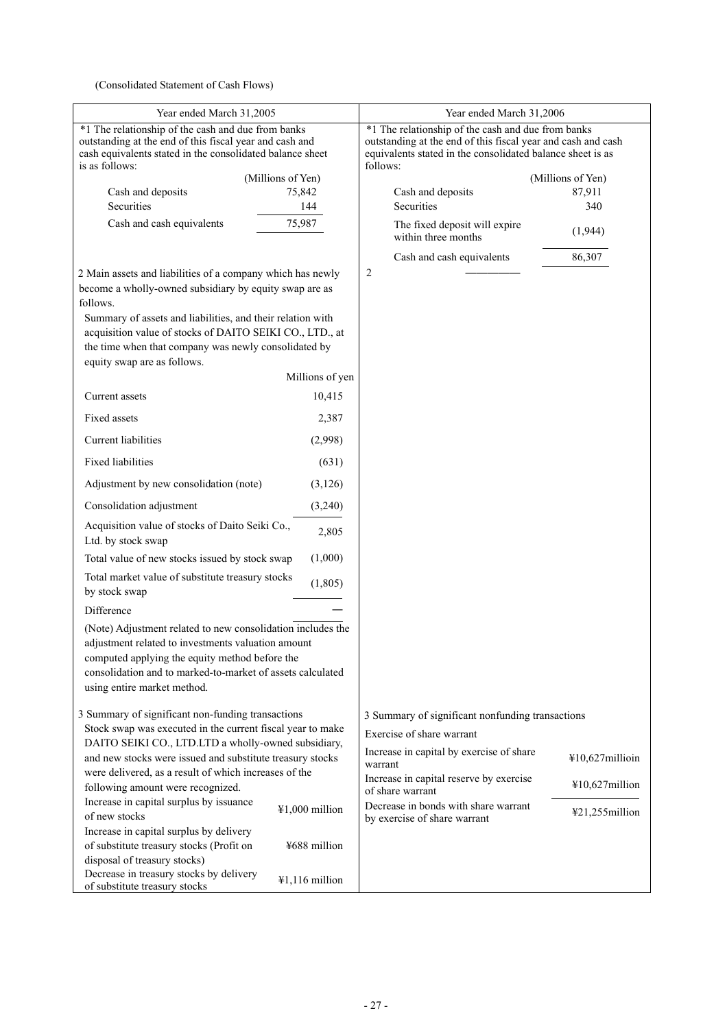(Consolidated Statement of Cash Flows)

| Year ended March 31,2005                                                                   | Year ended March 31,2006                                                               |  |
|--------------------------------------------------------------------------------------------|----------------------------------------------------------------------------------------|--|
| *1 The relationship of the cash and due from banks                                         | *1 The relationship of the cash and due from banks                                     |  |
| outstanding at the end of this fiscal year and cash and                                    | outstanding at the end of this fiscal year and cash and cash                           |  |
| cash equivalents stated in the consolidated balance sheet<br>is as follows:                | equivalents stated in the consolidated balance sheet is as<br>follows:                 |  |
| (Millions of Yen)                                                                          | (Millions of Yen)                                                                      |  |
| Cash and deposits<br>75,842                                                                | Cash and deposits<br>87,911                                                            |  |
| Securities<br>144                                                                          | Securities<br>340                                                                      |  |
| Cash and cash equivalents<br>75,987                                                        | The fixed deposit will expire<br>(1,944)<br>within three months                        |  |
|                                                                                            | Cash and cash equivalents<br>86,307                                                    |  |
| 2 Main assets and liabilities of a company which has newly                                 | $\overline{2}$                                                                         |  |
| become a wholly-owned subsidiary by equity swap are as                                     |                                                                                        |  |
| follows.<br>Summary of assets and liabilities, and their relation with                     |                                                                                        |  |
| acquisition value of stocks of DAITO SEIKI CO., LTD., at                                   |                                                                                        |  |
| the time when that company was newly consolidated by                                       |                                                                                        |  |
| equity swap are as follows.                                                                |                                                                                        |  |
| Millions of yen                                                                            |                                                                                        |  |
| Current assets<br>10,415                                                                   |                                                                                        |  |
| <b>Fixed assets</b><br>2,387                                                               |                                                                                        |  |
| <b>Current liabilities</b><br>(2,998)                                                      |                                                                                        |  |
| <b>Fixed liabilities</b><br>(631)                                                          |                                                                                        |  |
| Adjustment by new consolidation (note)<br>(3,126)                                          |                                                                                        |  |
| Consolidation adjustment<br>(3,240)                                                        |                                                                                        |  |
| Acquisition value of stocks of Daito Seiki Co.,<br>2,805<br>Ltd. by stock swap             |                                                                                        |  |
| (1,000)<br>Total value of new stocks issued by stock swap                                  |                                                                                        |  |
| Total market value of substitute treasury stocks<br>(1, 805)<br>by stock swap              |                                                                                        |  |
| Difference                                                                                 |                                                                                        |  |
| (Note) Adjustment related to new consolidation includes the                                |                                                                                        |  |
| adjustment related to investments valuation amount                                         |                                                                                        |  |
| computed applying the equity method before the                                             |                                                                                        |  |
| consolidation and to marked-to-market of assets calculated                                 |                                                                                        |  |
| using entire market method.                                                                |                                                                                        |  |
| 3 Summary of significant non-funding transactions                                          | 3 Summary of significant nonfunding transactions                                       |  |
| Stock swap was executed in the current fiscal year to make                                 |                                                                                        |  |
| DAITO SEIKI CO., LTD.LTD a wholly-owned subsidiary,                                        | Exercise of share warrant                                                              |  |
| and new stocks were issued and substitute treasury stocks                                  | Increase in capital by exercise of share<br>¥10,627millioin<br>warrant                 |  |
| were delivered, as a result of which increases of the                                      | Increase in capital reserve by exercise<br>¥10,627million                              |  |
| following amount were recognized.                                                          | of share warrant                                                                       |  |
| Increase in capital surplus by issuance<br>¥1,000 million<br>of new stocks                 | Decrease in bonds with share warrant<br>¥21,255million<br>by exercise of share warrant |  |
| Increase in capital surplus by delivery                                                    |                                                                                        |  |
| ¥688 million<br>of substitute treasury stocks (Profit on                                   |                                                                                        |  |
| disposal of treasury stocks)                                                               |                                                                                        |  |
| Decrease in treasury stocks by delivery<br>¥1,116 million<br>of substitute treasury stocks |                                                                                        |  |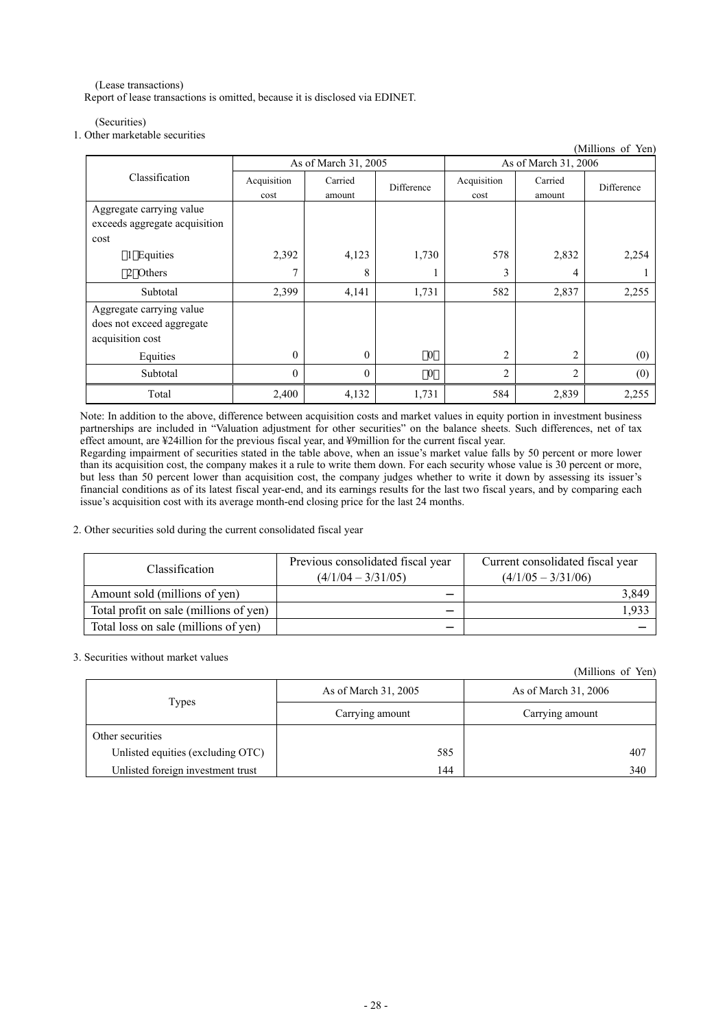(Lease transactions) Report of lease transactions is omitted, because it is disclosed via EDINET.

### (Securities)

### 1. Other marketable securities

|                                                                           |                      |                   |            |                      |                   | (Millions of Yen) |
|---------------------------------------------------------------------------|----------------------|-------------------|------------|----------------------|-------------------|-------------------|
|                                                                           | As of March 31, 2005 |                   |            | As of March 31, 2006 |                   |                   |
| Classification                                                            | Acquisition<br>cost  | Carried<br>amount | Difference | Acquisition<br>cost  | Carried<br>amount | Difference        |
| Aggregate carrying value<br>exceeds aggregate acquisition<br>cost         |                      |                   |            |                      |                   |                   |
| 1 Equities                                                                | 2,392                | 4,123             | 1,730      | 578                  | 2,832             | 2,254             |
| 2 Others                                                                  | 7                    | 8                 |            | 3                    | 4                 |                   |
| Subtotal                                                                  | 2,399                | 4,141             | 1,731      | 582                  | 2,837             | 2,255             |
| Aggregate carrying value<br>does not exceed aggregate<br>acquisition cost |                      |                   |            |                      |                   |                   |
| Equities                                                                  | $\theta$             | $\theta$          | $\theta$   | $\overline{c}$       | $\overline{c}$    | (0)               |
| Subtotal                                                                  | $\theta$             | $\theta$          | $\theta$   | $\overline{2}$       | 2                 | (0)               |
| Total                                                                     | 2,400                | 4,132             | 1,731      | 584                  | 2,839             | 2,255             |

Note: In addition to the above, difference between acquisition costs and market values in equity portion in investment business partnerships are included in "Valuation adjustment for other securities" on the balance sheets. Such differences, net of tax effect amount, are ¥24illion for the previous fiscal year, and ¥9million for the current fiscal year.

Regarding impairment of securities stated in the table above, when an issue's market value falls by 50 percent or more lower than its acquisition cost, the company makes it a rule to write them down. For each security whose value is 30 percent or more, but less than 50 percent lower than acquisition cost, the company judges whether to write it down by assessing its issuer's financial conditions as of its latest fiscal year-end, and its earnings results for the last two fiscal years, and by comparing each issue's acquisition cost with its average month-end closing price for the last 24 months.

### 2. Other securities sold during the current consolidated fiscal year

| <b>Classification</b>                  | Previous consolidated fiscal year<br>$(4/1/04 - 3/31/05)$ | Current consolidated fiscal year<br>$(4/1/05 - 3/31/06)$ |
|----------------------------------------|-----------------------------------------------------------|----------------------------------------------------------|
| Amount sold (millions of yen)          |                                                           | 3,849                                                    |
| Total profit on sale (millions of yen) |                                                           | .933                                                     |
| Total loss on sale (millions of yen)   |                                                           |                                                          |

3. Securities without market values

|                                   | As of March 31, 2005 | As of March 31, 2006 |
|-----------------------------------|----------------------|----------------------|
| Types                             | Carrying amount      | Carrying amount      |
| Other securities                  |                      |                      |
| Unlisted equities (excluding OTC) | 585                  | 407                  |
| Unlisted foreign investment trust | 144                  | 340                  |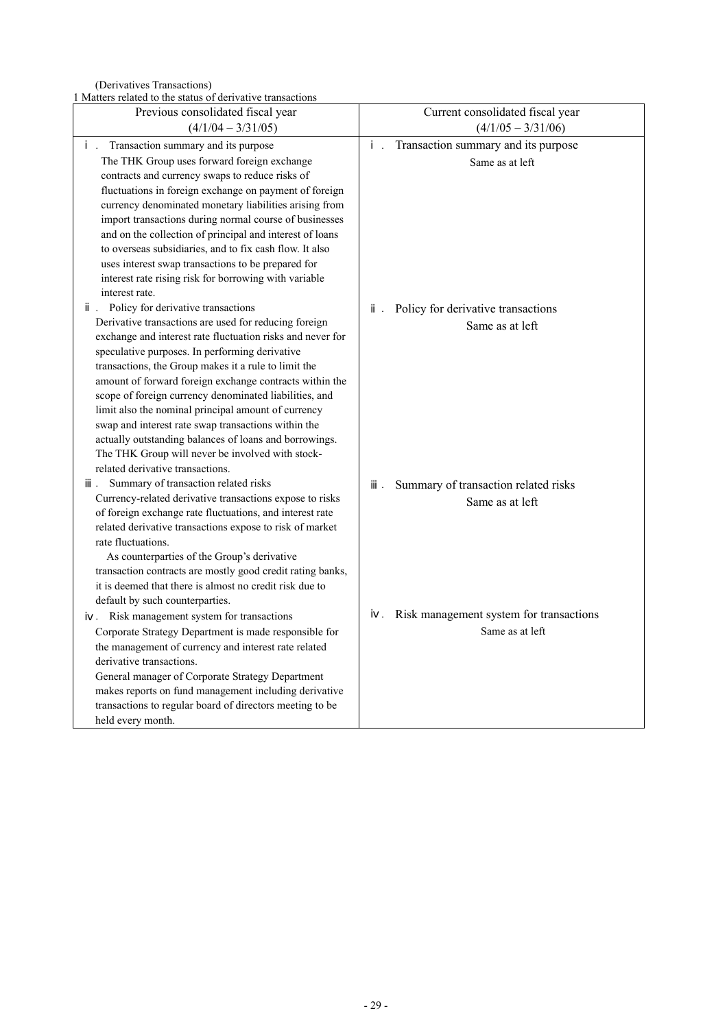(Derivatives Transactions)

1 Matters related to the status of derivative transactions

| I inativis iguaça to the status of activative transactions                                                            |                                         |
|-----------------------------------------------------------------------------------------------------------------------|-----------------------------------------|
| Previous consolidated fiscal year                                                                                     | Current consolidated fiscal year        |
| $(4/1/04 - 3/31/05)$                                                                                                  | $(4/1/05 - 3/31/06)$                    |
| Transaction summary and its purpose                                                                                   | Transaction summary and its purpose     |
| The THK Group uses forward foreign exchange                                                                           | Same as at left                         |
| contracts and currency swaps to reduce risks of                                                                       |                                         |
| fluctuations in foreign exchange on payment of foreign                                                                |                                         |
| currency denominated monetary liabilities arising from                                                                |                                         |
| import transactions during normal course of businesses                                                                |                                         |
| and on the collection of principal and interest of loans                                                              |                                         |
| to overseas subsidiaries, and to fix cash flow. It also                                                               |                                         |
| uses interest swap transactions to be prepared for                                                                    |                                         |
| interest rate rising risk for borrowing with variable                                                                 |                                         |
| interest rate.                                                                                                        |                                         |
| Policy for derivative transactions                                                                                    | Policy for derivative transactions      |
| Derivative transactions are used for reducing foreign                                                                 | Same as at left                         |
| exchange and interest rate fluctuation risks and never for                                                            |                                         |
| speculative purposes. In performing derivative                                                                        |                                         |
| transactions, the Group makes it a rule to limit the                                                                  |                                         |
| amount of forward foreign exchange contracts within the                                                               |                                         |
| scope of foreign currency denominated liabilities, and                                                                |                                         |
| limit also the nominal principal amount of currency                                                                   |                                         |
| swap and interest rate swap transactions within the                                                                   |                                         |
| actually outstanding balances of loans and borrowings.                                                                |                                         |
| The THK Group will never be involved with stock-                                                                      |                                         |
| related derivative transactions.                                                                                      |                                         |
| Summary of transaction related risks                                                                                  | Summary of transaction related risks    |
| Currency-related derivative transactions expose to risks                                                              | Same as at left                         |
| of foreign exchange rate fluctuations, and interest rate                                                              |                                         |
| related derivative transactions expose to risk of market                                                              |                                         |
| rate fluctuations.                                                                                                    |                                         |
| As counterparties of the Group's derivative                                                                           |                                         |
| transaction contracts are mostly good credit rating banks,<br>it is deemed that there is almost no credit risk due to |                                         |
|                                                                                                                       |                                         |
| default by such counterparties.                                                                                       | Risk management system for transactions |
| Risk management system for transactions                                                                               | Same as at left                         |
| Corporate Strategy Department is made responsible for                                                                 |                                         |
| the management of currency and interest rate related                                                                  |                                         |
| derivative transactions.                                                                                              |                                         |
| General manager of Corporate Strategy Department                                                                      |                                         |
| makes reports on fund management including derivative                                                                 |                                         |
| transactions to regular board of directors meeting to be                                                              |                                         |
| held every month.                                                                                                     |                                         |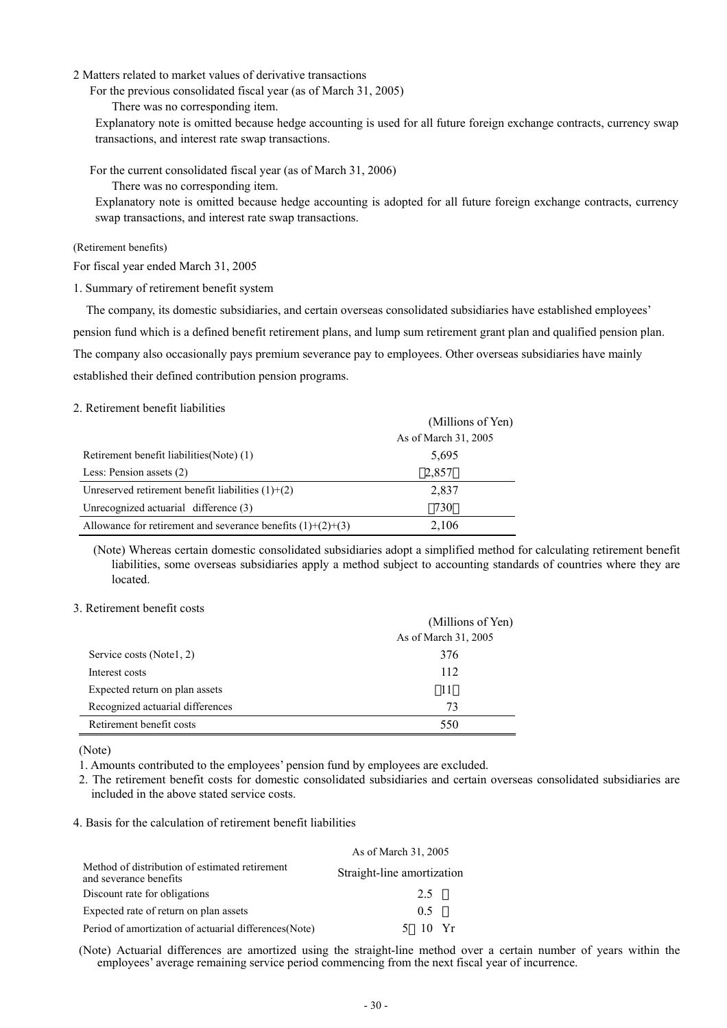### 2 Matters related to market values of derivative transactions

For the previous consolidated fiscal year (as of March 31, 2005)

There was no corresponding item.

Explanatory note is omitted because hedge accounting is used for all future foreign exchange contracts, currency swap transactions, and interest rate swap transactions.

For the current consolidated fiscal year (as of March 31, 2006)

There was no corresponding item.

Explanatory note is omitted because hedge accounting is adopted for all future foreign exchange contracts, currency swap transactions, and interest rate swap transactions.

### (Retirement benefits)

For fiscal year ended March 31, 2005

1. Summary of retirement benefit system

The company, its domestic subsidiaries, and certain overseas consolidated subsidiaries have established employees' pension fund which is a defined benefit retirement plans, and lump sum retirement grant plan and qualified pension plan. The company also occasionally pays premium severance pay to employees. Other overseas subsidiaries have mainly established their defined contribution pension programs.

### 2. Retirement benefit liabilities

|                                                               | (Millions of Yen)    |
|---------------------------------------------------------------|----------------------|
|                                                               | As of March 31, 2005 |
| Retirement benefit liabilities (Note) (1)                     | 5,695                |
| Less: Pension assets (2)                                      | 2,857                |
| Unreserved retirement benefit liabilities $(1)+(2)$           | 2,837                |
| Unrecognized actuarial difference (3)                         | 730                  |
| Allowance for retirement and severance benefits $(1)+(2)+(3)$ | 2,106                |

(Note) Whereas certain domestic consolidated subsidiaries adopt a simplified method for calculating retirement benefit liabilities, some overseas subsidiaries apply a method subject to accounting standards of countries where they are located.

# 3. Retirement benefit costs

|                                  | (Millions of Yen)    |
|----------------------------------|----------------------|
|                                  | As of March 31, 2005 |
| Service costs (Notel, 2)         | 376                  |
| Interest costs                   | 112                  |
| Expected return on plan assets   | 11                   |
| Recognized actuarial differences | 73                   |
| Retirement benefit costs         | 550                  |

(Note)

1. Amounts contributed to the employees' pension fund by employees are excluded.

2. The retirement benefit costs for domestic consolidated subsidiaries and certain overseas consolidated subsidiaries are included in the above stated service costs.

### 4. Basis for the calculation of retirement benefit liabilities

|                                                                          | As of March 31, 2005       |
|--------------------------------------------------------------------------|----------------------------|
| Method of distribution of estimated retirement<br>and severance benefits | Straight-line amortization |
| Discount rate for obligations                                            | 2.5                        |
| Expected rate of return on plan assets                                   | 0.5                        |
| Period of amortization of actuarial differences (Note)                   | 10 Yr                      |

(Note) Actuarial differences are amortized using the straight-line method over a certain number of years within the employees' average remaining service period commencing from the next fiscal year of incurrence.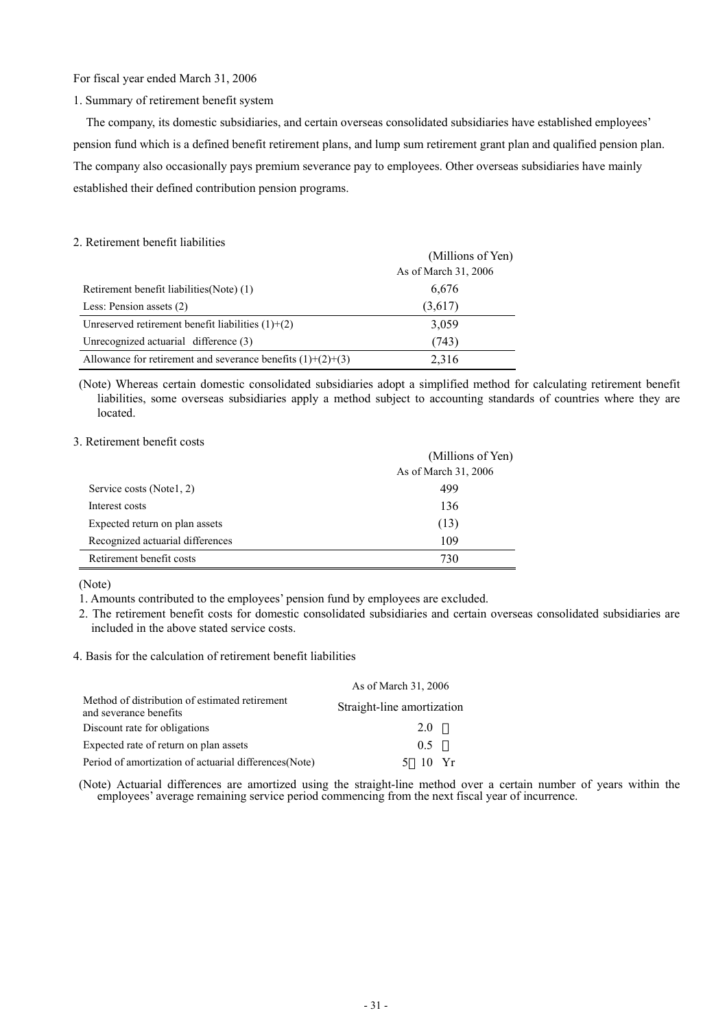### For fiscal year ended March 31, 2006

### 1. Summary of retirement benefit system

The company, its domestic subsidiaries, and certain overseas consolidated subsidiaries have established employees' pension fund which is a defined benefit retirement plans, and lump sum retirement grant plan and qualified pension plan. The company also occasionally pays premium severance pay to employees. Other overseas subsidiaries have mainly established their defined contribution pension programs.

#### 2. Retirement benefit liabilities

|                                                               | (Millions of Yen)<br>As of March 31, 2006 |
|---------------------------------------------------------------|-------------------------------------------|
| Retirement benefit liabilities (Note) (1)                     | 6,676                                     |
| Less: Pension assets (2)                                      | (3,617)                                   |
| Unreserved retirement benefit liabilities $(1)+(2)$           | 3,059                                     |
| Unrecognized actuarial difference (3)                         | (743)                                     |
| Allowance for retirement and severance benefits $(1)+(2)+(3)$ | 2,316                                     |

(Note) Whereas certain domestic consolidated subsidiaries adopt a simplified method for calculating retirement benefit liabilities, some overseas subsidiaries apply a method subject to accounting standards of countries where they are located.

#### 3. Retirement benefit costs

|                                  | (Millions of Yen)    |
|----------------------------------|----------------------|
|                                  | As of March 31, 2006 |
| Service costs (Notel, 2)         | 499                  |
| Interest costs                   | 136                  |
| Expected return on plan assets   | (13)                 |
| Recognized actuarial differences | 109                  |
| Retirement benefit costs         | 730                  |

(Note)

1. Amounts contributed to the employees' pension fund by employees are excluded.

- 2. The retirement benefit costs for domestic consolidated subsidiaries and certain overseas consolidated subsidiaries are included in the above stated service costs.
- 4. Basis for the calculation of retirement benefit liabilities

|                                                                          | As of March 31, 2006       |
|--------------------------------------------------------------------------|----------------------------|
| Method of distribution of estimated retirement<br>and severance benefits | Straight-line amortization |
| Discount rate for obligations                                            | 20                         |
| Expected rate of return on plan assets                                   | 0.5                        |
| Period of amortization of actuarial differences (Note)                   | 10 Yr                      |

(Note) Actuarial differences are amortized using the straight-line method over a certain number of years within the employees' average remaining service period commencing from the next fiscal year of incurrence.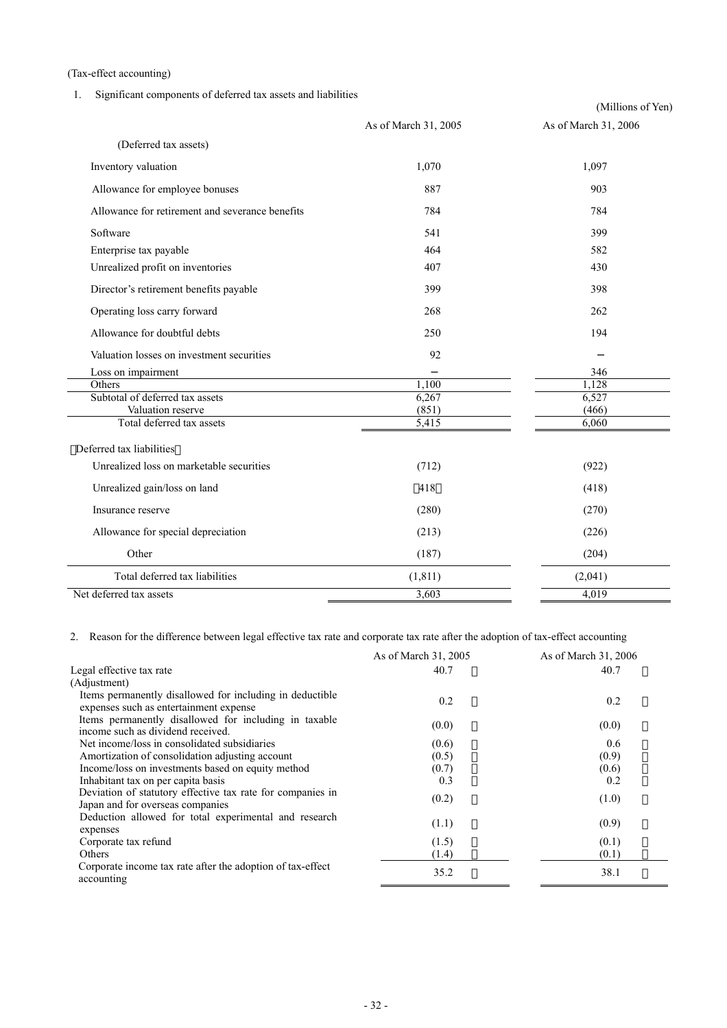(Tax-effect accounting)

# 1. Significant components of deferred tax assets and liabilities

|                                                 |                      | (Millions of Yen)    |  |  |
|-------------------------------------------------|----------------------|----------------------|--|--|
|                                                 | As of March 31, 2005 | As of March 31, 2006 |  |  |
| (Deferred tax assets)                           |                      |                      |  |  |
| Inventory valuation                             | 1,070                | 1,097                |  |  |
| Allowance for employee bonuses                  | 887                  | 903                  |  |  |
| Allowance for retirement and severance benefits | 784                  | 784                  |  |  |
| Software                                        | 541                  | 399                  |  |  |
| Enterprise tax payable                          | 464                  | 582                  |  |  |
| Unrealized profit on inventories                | 407                  | 430                  |  |  |
| Director's retirement benefits payable          | 399                  | 398                  |  |  |
| Operating loss carry forward                    | 268                  | 262                  |  |  |
| Allowance for doubtful debts                    | 250                  | 194                  |  |  |
| Valuation losses on investment securities       | 92                   |                      |  |  |
| Loss on impairment                              |                      | 346                  |  |  |
| Others                                          | 1,100                | 1,128                |  |  |
| Subtotal of deferred tax assets                 | 6,267                | 6,527                |  |  |
| Valuation reserve                               | (851)                | (466)                |  |  |
| Total deferred tax assets                       | 5,415                | 6,060                |  |  |
| Deferred tax liabilities                        |                      |                      |  |  |
| Unrealized loss on marketable securities        | (712)                | (922)                |  |  |
| Unrealized gain/loss on land                    | 418                  | (418)                |  |  |
| Insurance reserve                               | (280)                | (270)                |  |  |
| Allowance for special depreciation              | (213)                | (226)                |  |  |
| Other                                           | (187)                | (204)                |  |  |
| Total deferred tax liabilities                  | (1, 811)             | (2,041)              |  |  |
| Net deferred tax assets                         | 3,603                | 4,019                |  |  |

2. Reason for the difference between legal effective tax rate and corporate tax rate after the adoption of tax-effect accounting

|                                                                                                     | As of March 31, 2005 | As of March 31, 2006 |
|-----------------------------------------------------------------------------------------------------|----------------------|----------------------|
| Legal effective tax rate                                                                            | 40.7                 | 40.7                 |
| (Adjustment)                                                                                        |                      |                      |
| Items permanently disallowed for including in deductible.<br>expenses such as entertainment expense | 0.2                  | 0.2                  |
| Items permanently disallowed for including in taxable<br>income such as dividend received.          | (0.0)                | (0.0)                |
| Net income/loss in consolidated subsidiaries                                                        | (0.6)                | 0.6                  |
| Amortization of consolidation adjusting account                                                     | (0.5)                | (0.9)                |
| Income/loss on investments based on equity method                                                   | (0.7)                | (0.6)                |
| Inhabitant tax on per capita basis                                                                  | 0.3                  | 0.2                  |
| Deviation of statutory effective tax rate for companies in<br>Japan and for overseas companies      | (0.2)                | (1.0)                |
| Deduction allowed for total experimental and research<br>expenses                                   | (1.1)                | (0.9)                |
| Corporate tax refund                                                                                | (1.5)                | (0.1)                |
| <b>Others</b>                                                                                       | (1.4)                | (0.1)                |
| Corporate income tax rate after the adoption of tax-effect<br>accounting                            | 35.2                 | 38.1                 |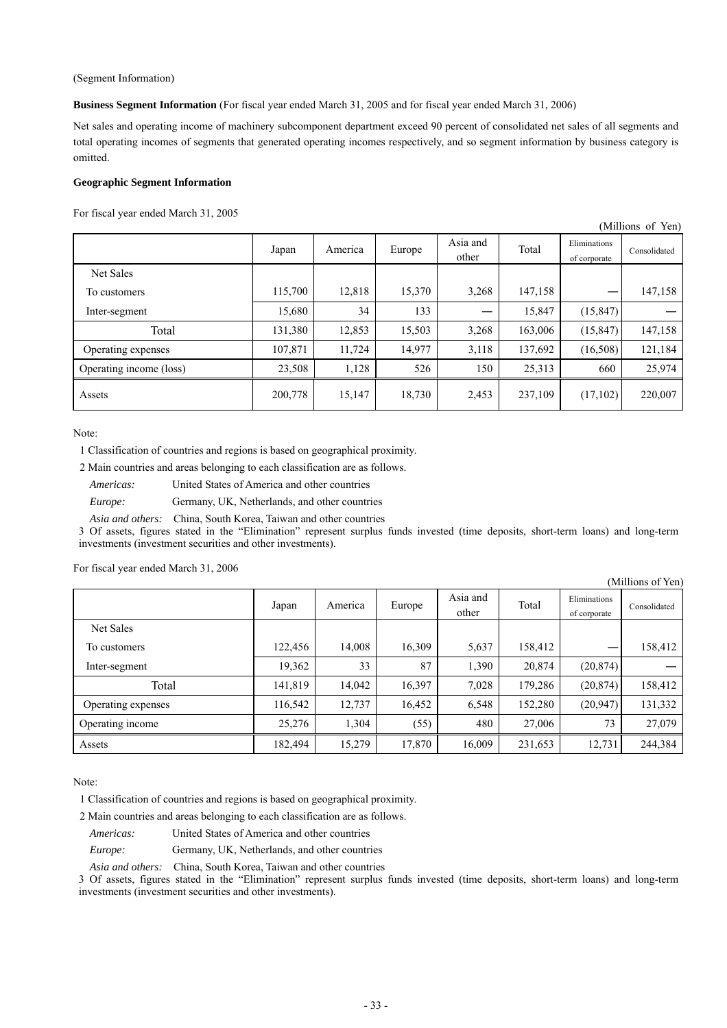#### (Segment Information)

**Business Segment Information** (For fiscal year ended March 31, 2005 and for fiscal year ended March 31, 2006)

Net sales and operating income of machinery subcomponent department exceed 90 percent of consolidated net sales of all segments and total operating incomes of segments that generated operating incomes respectively, and so segment information by business category is omitted.

(Millions of Yen)

#### **Geographic Segment Information**

For fiscal year ended March 31, 2005

|                         | $\frac{1}{1}$ |         |        |                   |         |                              |              |
|-------------------------|---------------|---------|--------|-------------------|---------|------------------------------|--------------|
|                         | Japan         | America | Europe | Asia and<br>other | Total   | Eliminations<br>of corporate | Consolidated |
| Net Sales               |               |         |        |                   |         |                              |              |
| To customers            | 115,700       | 12,818  | 15,370 | 3,268             | 147,158 |                              | 147,158      |
| Inter-segment           | 15,680        | 34      | 133    |                   | 15,847  | (15, 847)                    |              |
| Total                   | 131,380       | 12,853  | 15,503 | 3,268             | 163,006 | (15, 847)                    | 147,158      |
| Operating expenses      | 107,871       | 11,724  | 14,977 | 3,118             | 137,692 | (16,508)                     | 121,184      |
| Operating income (loss) | 23,508        | 1,128   | 526    | 150               | 25,313  | 660                          | 25,974       |
| Assets                  | 200,778       | 15,147  | 18,730 | 2,453             | 237,109 | (17, 102)                    | 220,007      |

Note:

1 Classification of countries and regions is based on geographical proximity.

2 Main countries and areas belonging to each classification are as follows.

*Americas:* United States of America and other countries

*Europe:* Germany, UK, Netherlands, and other countries

*Asia and others:* China, South Korea, Taiwan and other countries

3 Of assets, figures stated in the "Elimination" represent surplus funds invested (time deposits, short-term loans) and long-term investments (investment securities and other investments).

For fiscal year ended March 31, 2006

|                    |         |         |        |                   |         |                              | (Millions of Yen) |
|--------------------|---------|---------|--------|-------------------|---------|------------------------------|-------------------|
|                    | Japan   | America | Europe | Asia and<br>other | Total   | Eliminations<br>of corporate | Consolidated      |
| Net Sales          |         |         |        |                   |         |                              |                   |
| To customers       | 122,456 | 14,008  | 16,309 | 5,637             | 158,412 | –                            | 158,412           |
| Inter-segment      | 19,362  | 33      | 87     | 1,390             | 20,874  | (20, 874)                    |                   |
| Total              | 141,819 | 14,042  | 16,397 | 7,028             | 179,286 | (20, 874)                    | 158,412           |
| Operating expenses | 116,542 | 12,737  | 16,452 | 6,548             | 152,280 | (20, 947)                    | 131,332           |
| Operating income   | 25,276  | 1,304   | (55)   | 480               | 27,006  | 73                           | 27,079            |
| Assets             | 182,494 | 15,279  | 17,870 | 16,009            | 231,653 | 12,731                       | 244,384           |

Note:

1 Classification of countries and regions is based on geographical proximity.

2 Main countries and areas belonging to each classification are as follows.

*Americas:* United States of America and other countries

*Europe:* Germany, UK, Netherlands, and other countries

*Asia and others:* China, South Korea, Taiwan and other countries

3 Of assets, figures stated in the "Elimination" represent surplus funds invested (time deposits, short-term loans) and long-term investments (investment securities and other investments).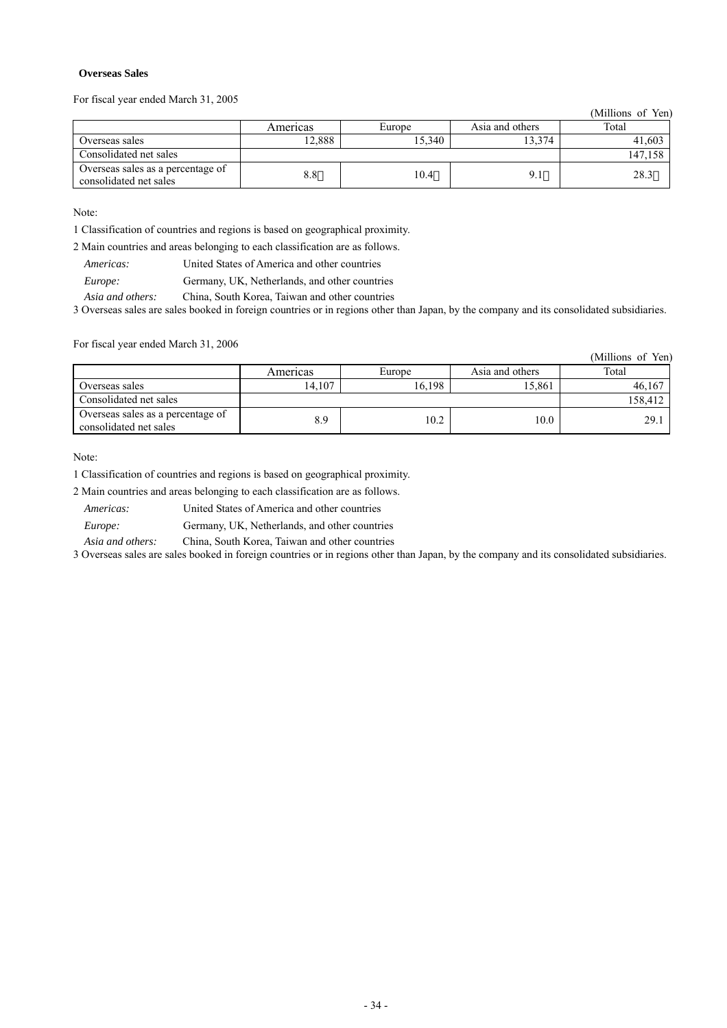### **Overseas Sales**

For fiscal year ended March 31, 2005

(Millions of Yen)

|                                                             | Americas | Europe | Asia and others | Total   |
|-------------------------------------------------------------|----------|--------|-----------------|---------|
| Overseas sales                                              | 12.888   | 15.340 | 13.374          | 41,603  |
| Consolidated net sales                                      |          |        |                 | 147.158 |
| Overseas sales as a percentage of<br>consolidated net sales | 8.8      | 10.4   |                 | 28.3    |

Note:

1 Classification of countries and regions is based on geographical proximity.

2 Main countries and areas belonging to each classification are as follows.

*Americas:* United States of America and other countries

*Europe:* Germany, UK, Netherlands, and other countries

*Asia and others:* China, South Korea, Taiwan and other countries

3 Overseas sales are sales booked in foreign countries or in regions other than Japan, by the company and its consolidated subsidiaries.

For fiscal year ended March 31, 2006

|                                                             |          |        |                 | (Millions of Yen) |
|-------------------------------------------------------------|----------|--------|-----------------|-------------------|
|                                                             | Americas | Europe | Asia and others | Total             |
| Overseas sales                                              | 14.107   | 16,198 | 15,861          | 46,167            |
| Consolidated net sales                                      |          |        |                 | 158,412           |
| Overseas sales as a percentage of<br>consolidated net sales | 8.9      | 10.2   | 10.0            | 29.1              |

Note:

1 Classification of countries and regions is based on geographical proximity.

2 Main countries and areas belonging to each classification are as follows.

*Americas:* United States of America and other countries

*Europe:* Germany, UK, Netherlands, and other countries

*Asia and others:* China, South Korea, Taiwan and other countries

3 Overseas sales are sales booked in foreign countries or in regions other than Japan, by the company and its consolidated subsidiaries.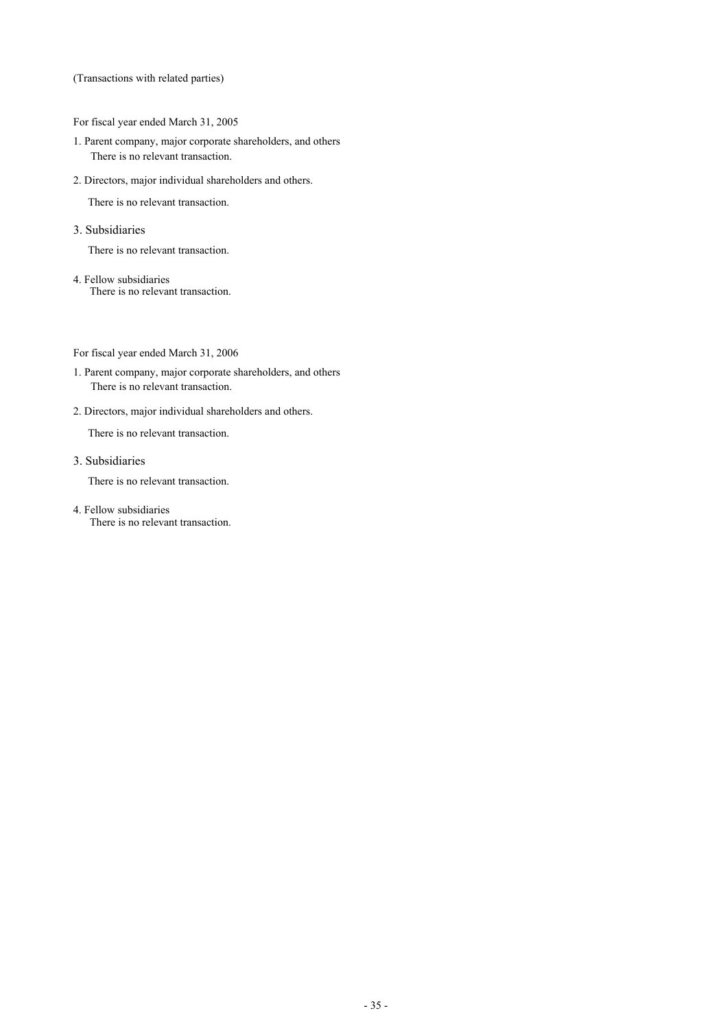(Transactions with related parties)

For fiscal year ended March 31, 2005

- 1. Parent company, major corporate shareholders, and others There is no relevant transaction.
- 2. Directors, major individual shareholders and others.

There is no relevant transaction.

3. Subsidiaries

There is no relevant transaction.

4. Fellow subsidiaries There is no relevant transaction.

For fiscal year ended March 31, 2006

- 1. Parent company, major corporate shareholders, and others There is no relevant transaction.
- 2. Directors, major individual shareholders and others.

There is no relevant transaction.

3. Subsidiaries

There is no relevant transaction.

4. Fellow subsidiaries There is no relevant transaction.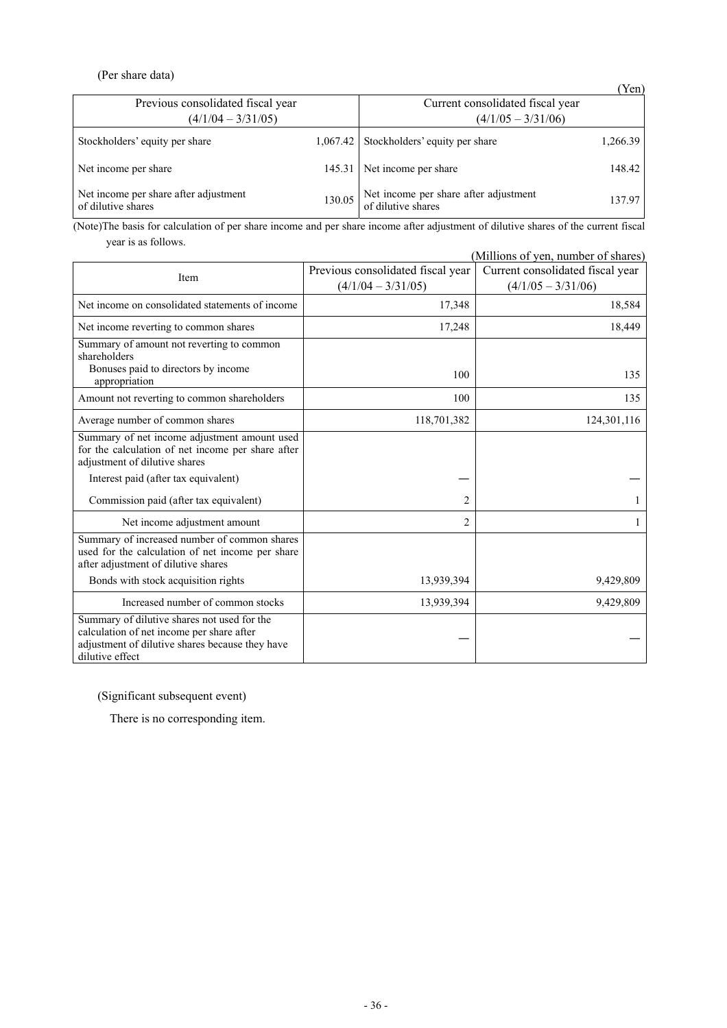# (Per share data)

|                                                             |        |                                                             | (Yen)    |
|-------------------------------------------------------------|--------|-------------------------------------------------------------|----------|
| Previous consolidated fiscal year                           |        | Current consolidated fiscal year                            |          |
| $(4/1/04 - 3/31/05)$                                        |        | $(4/1/05 - 3/31/06)$                                        |          |
| Stockholders' equity per share                              |        | $1,067.42$ Stockholders' equity per share                   | 1,266.39 |
| Net income per share                                        |        | 145.31 Net income per share                                 | 148.42   |
| Net income per share after adjustment<br>of dilutive shares | 130.05 | Net income per share after adjustment<br>of dilutive shares | 137.97   |

(Note)The basis for calculation of per share income and per share income after adjustment of dilutive shares of the current fiscal year is as follows.

| (Millions of yen, number of shares)                                                                                                                            |                                   |                                  |  |  |  |  |  |
|----------------------------------------------------------------------------------------------------------------------------------------------------------------|-----------------------------------|----------------------------------|--|--|--|--|--|
|                                                                                                                                                                | Previous consolidated fiscal year | Current consolidated fiscal year |  |  |  |  |  |
| Item                                                                                                                                                           | $(4/1/04 - 3/31/05)$              | $(4/1/05 - 3/31/06)$             |  |  |  |  |  |
| Net income on consolidated statements of income                                                                                                                | 17,348                            | 18,584                           |  |  |  |  |  |
| Net income reverting to common shares                                                                                                                          | 17,248                            | 18,449                           |  |  |  |  |  |
| Summary of amount not reverting to common<br>shareholders<br>Bonuses paid to directors by income                                                               | 100                               |                                  |  |  |  |  |  |
| appropriation                                                                                                                                                  |                                   | 135                              |  |  |  |  |  |
| Amount not reverting to common shareholders                                                                                                                    | 100                               | 135                              |  |  |  |  |  |
| Average number of common shares                                                                                                                                | 118,701,382                       | 124,301,116                      |  |  |  |  |  |
| Summary of net income adjustment amount used<br>for the calculation of net income per share after<br>adjustment of dilutive shares                             |                                   |                                  |  |  |  |  |  |
| Interest paid (after tax equivalent)                                                                                                                           |                                   |                                  |  |  |  |  |  |
| Commission paid (after tax equivalent)                                                                                                                         | 2                                 |                                  |  |  |  |  |  |
| Net income adjustment amount                                                                                                                                   | $\overline{c}$                    |                                  |  |  |  |  |  |
| Summary of increased number of common shares<br>used for the calculation of net income per share<br>after adjustment of dilutive shares                        |                                   |                                  |  |  |  |  |  |
| Bonds with stock acquisition rights                                                                                                                            | 13,939,394                        | 9,429,809                        |  |  |  |  |  |
| Increased number of common stocks                                                                                                                              | 13,939,394                        | 9,429,809                        |  |  |  |  |  |
| Summary of dilutive shares not used for the<br>calculation of net income per share after<br>adjustment of dilutive shares because they have<br>dilutive effect |                                   |                                  |  |  |  |  |  |

(Significant subsequent event)

There is no corresponding item.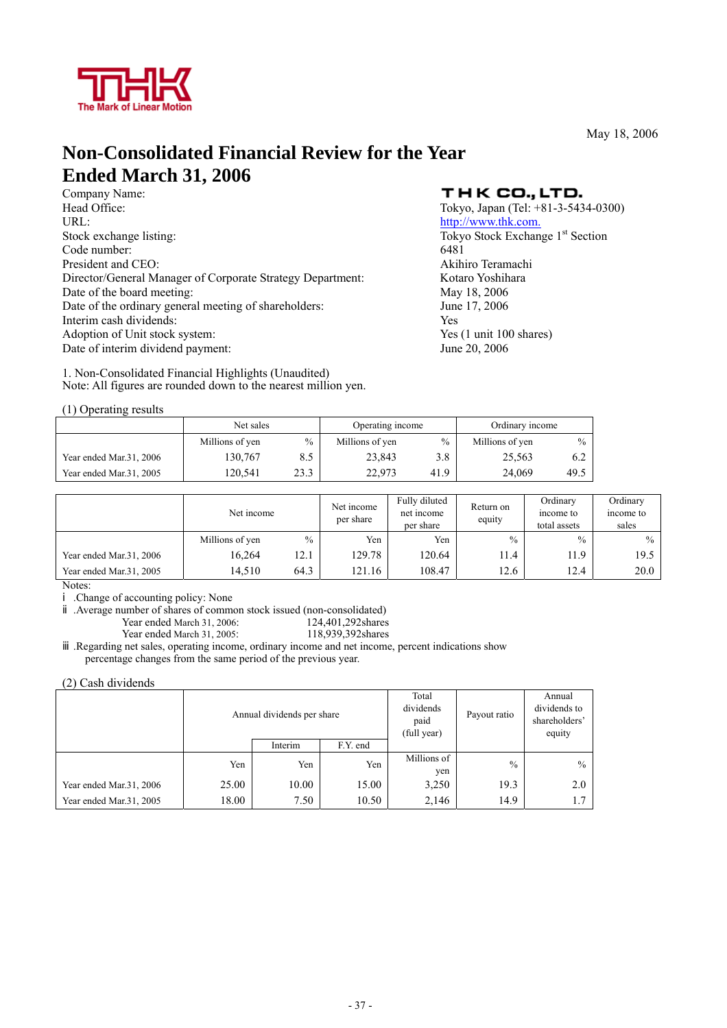

May 18, 2006

# **Non-Consolidated Financial Review for the Year**

**Ended March 31, 2006**<br>Company Name:<br>Head Office: URL: http://www.thk.com. Stock exchange listing: Tokyo Stock Exchange 1<sup>st</sup> Section Code number: 6481 President and CEO: Akihiro Teramachi Director/General Manager of Corporate Strategy Department: Kotaro Yoshihara Date of the board meeting: May 18, 2006 Date of the ordinary general meeting of shareholders: June 17, 2006 Interim cash dividends: Yes Adoption of Unit stock system:  $\frac{1}{100}$  Yes (1 unit 100 shares) Date of interim dividend payment: June 20, 2006

1. Non-Consolidated Financial Highlights (Unaudited) Note: All figures are rounded down to the nearest million yen.

# THK CO., LTD.

Tokyo, Japan (Tel:  $+81-3-5434-0300$ )

|                         | Net sales       |      | Operating income |               | Ordinary income |               |
|-------------------------|-----------------|------|------------------|---------------|-----------------|---------------|
|                         | Millions of yen | $\%$ | Millions of yen  | $\frac{0}{0}$ | Millions of yen | $\frac{0}{0}$ |
| Year ended Mar.31, 2006 | 130.767         | 8.5  | 23.843           | 3.8           | 25.563          | 6.2           |
| Year ended Mar.31, 2005 | 120.541         | 23.3 | 22.973           | 41.9          | 24.069          | 49.5          |

|                         | Net income      |               | Fully diluted<br>Net income<br>net income<br>per share<br>per share |        | Return on<br>equity | Ordinary<br>income to<br>total assets | Ordinary<br>income to<br>sales |
|-------------------------|-----------------|---------------|---------------------------------------------------------------------|--------|---------------------|---------------------------------------|--------------------------------|
|                         | Millions of yen | $\frac{0}{0}$ | Yen                                                                 | Yen    | $\frac{0}{0}$       | $\frac{0}{0}$                         | $\frac{0}{0}$                  |
| Year ended Mar.31, 2006 | 16,264          | 12.1          | 129.78                                                              | 120.64 | 11.4                | 11.9                                  | 19.5                           |
| Year ended Mar.31, 2005 | 14,510          | 64.3          | 121.16                                                              | 108.47 | 12.6                | 12.4                                  | 20.0                           |

Notes:

.Change of accounting policy: None

.Average number of shares of common stock issued (non-consolidated)

Year ended March 31, 2006: 124,401,292shares<br>
Year ended March 31, 2005: 118,939,392shares Year ended March 31, 2005:

.Regarding net sales, operating income, ordinary income and net income, percent indications show percentage changes from the same period of the previous year.

(2) Cash dividends

|                         |       | Annual dividends per share |          | Total<br>dividends<br>paid<br>(full year) | Payout ratio  | Annual<br>dividends to<br>shareholders'<br>equity |
|-------------------------|-------|----------------------------|----------|-------------------------------------------|---------------|---------------------------------------------------|
|                         |       | Interim                    | F.Y. end |                                           |               |                                                   |
|                         | Yen   | Yen                        | Yen      | Millions of<br>yen                        | $\frac{0}{0}$ | $\frac{0}{0}$                                     |
| Year ended Mar.31, 2006 | 25.00 | 10.00                      | 15.00    | 3,250                                     | 19.3          | 2.0                                               |
| Year ended Mar.31, 2005 | 18.00 | 7.50                       | 10.50    | 2,146                                     | 14.9          |                                                   |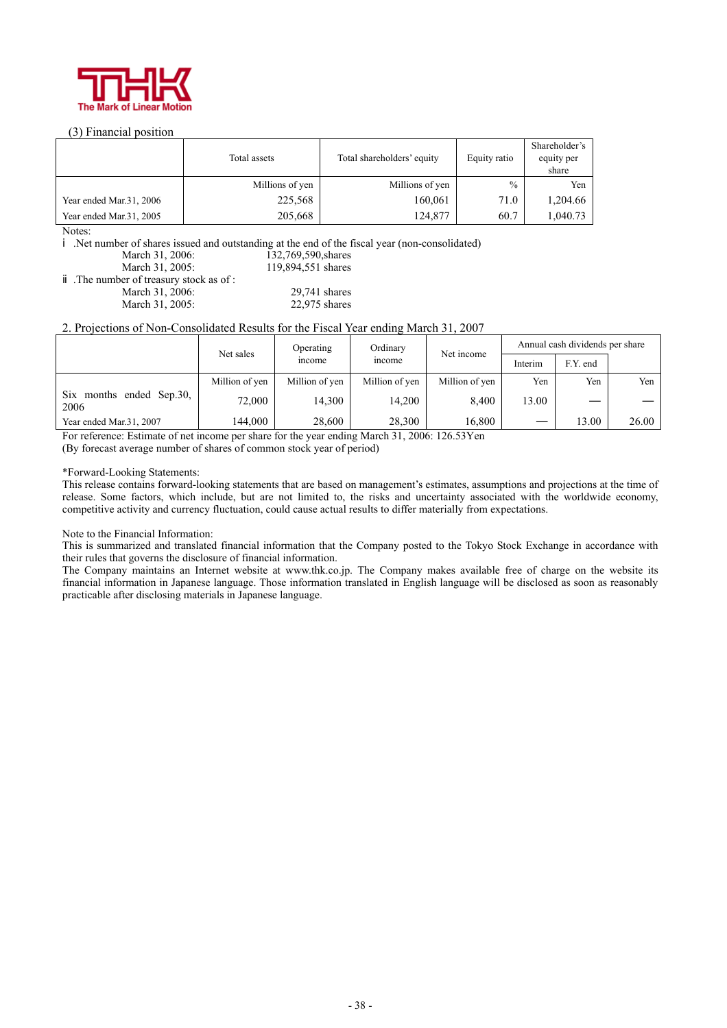

### (3) Financial position

|                         | Total assets    | Total shareholders' equity | Equity ratio | Shareholder's<br>equity per<br>share |
|-------------------------|-----------------|----------------------------|--------------|--------------------------------------|
|                         | Millions of yen | Millions of yen            | $\%$         | Yen                                  |
| Year ended Mar.31, 2006 | 225,568         | 160,061                    | 71.0         | 1,204.66                             |
| Year ended Mar.31, 2005 | 205,668         | 124,877                    | 60.7         | 1.040.73                             |

Notes:

.Net number of shares issued and outstanding at the end of the fiscal year (non-consolidated)

March 31, 2006: 132,769,590, shares<br>March 31, 2005: 119,894,551 shares 119,894,551 shares

.The number of treasury stock as of : March 31, 2006: 29,741 shares<br>March 31, 2005: 22,975 shares March 31, 2005:

### 2. Projections of Non-Consolidated Results for the Fiscal Year ending March 31, 2007

|                                  | Ordinary<br>Operating<br>Net sales<br>income<br>mcome |                |                |                | Annual cash dividends per share |       |       |  |
|----------------------------------|-------------------------------------------------------|----------------|----------------|----------------|---------------------------------|-------|-------|--|
|                                  |                                                       |                | Net income     | Interim        | F.Y. end                        |       |       |  |
|                                  | Million of yen                                        | Million of yen | Million of yen | Million of yen | Yen                             | Yen   | Yen   |  |
| Six months ended Sep.30,<br>2006 | 72,000                                                | 14.300         | 14.200         | 8.400          | 13.00                           |       |       |  |
| Year ended Mar.31, 2007          | 144.000                                               | 28,600         | 28,300         | 16.800         |                                 | 13.00 | 26.00 |  |

For reference: Estimate of net income per share for the year ending March 31, 2006: 126.53Yen

(By forecast average number of shares of common stock year of period)

#### \*Forward-Looking Statements:

This release contains forward-looking statements that are based on management's estimates, assumptions and projections at the time of release. Some factors, which include, but are not limited to, the risks and uncertainty associated with the worldwide economy, competitive activity and currency fluctuation, could cause actual results to differ materially from expectations.

#### Note to the Financial Information:

This is summarized and translated financial information that the Company posted to the Tokyo Stock Exchange in accordance with their rules that governs the disclosure of financial information.

The Company maintains an Internet website at www.thk.co.jp. The Company makes available free of charge on the website its financial information in Japanese language. Those information translated in English language will be disclosed as soon as reasonably practicable after disclosing materials in Japanese language.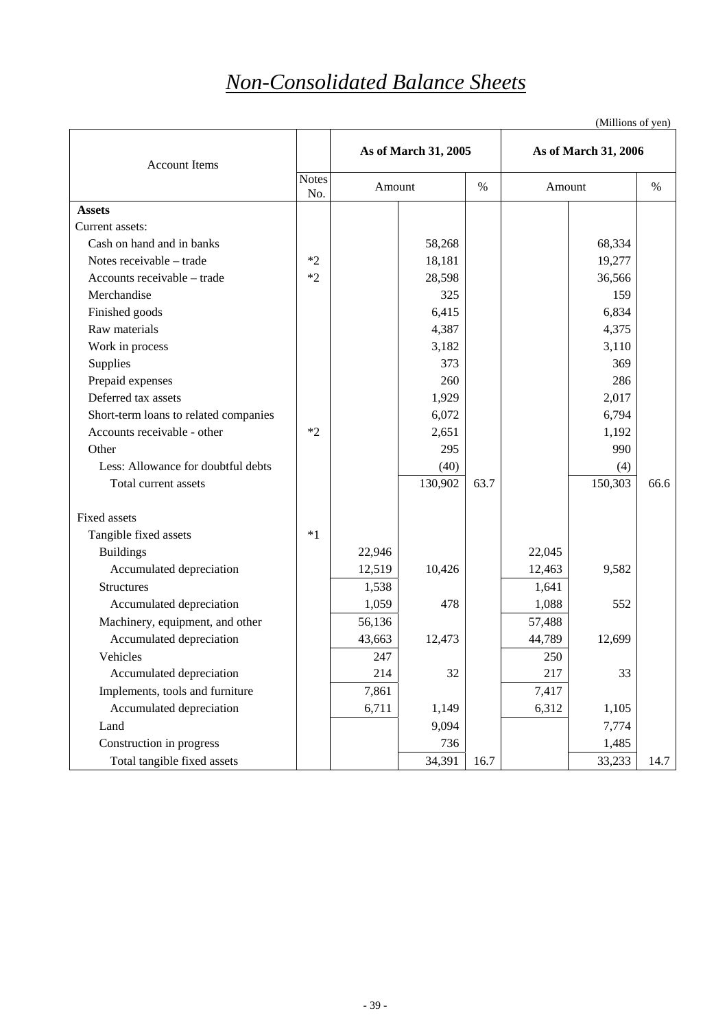# *Non-Consolidated Balance Sheets*

| <b>Account Items</b>                  |                     |        | As of March 31, 2005 |      |        | As of March 31, 2006 |      |
|---------------------------------------|---------------------|--------|----------------------|------|--------|----------------------|------|
|                                       | <b>Notes</b><br>No. |        | Amount               |      | Amount |                      | %    |
| <b>Assets</b>                         |                     |        |                      |      |        |                      |      |
| Current assets:                       |                     |        |                      |      |        |                      |      |
| Cash on hand and in banks             |                     |        | 58,268               |      |        | 68,334               |      |
| Notes receivable - trade              | $*2$                |        | 18,181               |      |        | 19,277               |      |
| Accounts receivable - trade           | $*2$                |        | 28,598               |      |        | 36,566               |      |
| Merchandise                           |                     |        | 325                  |      |        | 159                  |      |
| Finished goods                        |                     |        | 6,415                |      |        | 6,834                |      |
| Raw materials                         |                     |        | 4,387                |      |        | 4,375                |      |
| Work in process                       |                     |        | 3,182                |      |        | 3,110                |      |
| Supplies                              |                     |        | 373                  |      |        | 369                  |      |
| Prepaid expenses                      |                     |        | 260                  |      |        | 286                  |      |
| Deferred tax assets                   |                     |        | 1,929                |      |        | 2,017                |      |
| Short-term loans to related companies |                     |        | 6,072                |      |        | 6,794                |      |
| Accounts receivable - other           | $*2$                |        | 2,651                |      |        | 1,192                |      |
| Other                                 |                     |        | 295                  |      |        | 990                  |      |
| Less: Allowance for doubtful debts    |                     |        | (40)                 |      |        | (4)                  |      |
| Total current assets                  |                     |        | 130,902              | 63.7 |        | 150,303              | 66.6 |
| Fixed assets                          |                     |        |                      |      |        |                      |      |
| Tangible fixed assets                 | $*1$                |        |                      |      |        |                      |      |
| <b>Buildings</b>                      |                     | 22,946 |                      |      | 22,045 |                      |      |
| Accumulated depreciation              |                     | 12,519 | 10,426               |      | 12,463 | 9,582                |      |
| <b>Structures</b>                     |                     | 1,538  |                      |      | 1,641  |                      |      |
| Accumulated depreciation              |                     | 1,059  | 478                  |      | 1,088  | 552                  |      |
| Machinery, equipment, and other       |                     | 56,136 |                      |      | 57,488 |                      |      |
| Accumulated depreciation              |                     | 43,663 | 12,473               |      | 44,789 | 12,699               |      |
| Vehicles                              |                     | 247    |                      |      | 250    |                      |      |
| Accumulated depreciation              |                     | 214    | 32                   |      | 217    | 33                   |      |
| Implements, tools and furniture       |                     | 7,861  |                      |      | 7,417  |                      |      |
| Accumulated depreciation              |                     | 6,711  | 1,149                |      | 6,312  | 1,105                |      |
| Land                                  |                     |        | 9,094                |      |        | 7,774                |      |
| Construction in progress              |                     |        | 736                  |      |        | 1,485                |      |
| Total tangible fixed assets           |                     |        | 34,391               | 16.7 |        | 33,233               | 14.7 |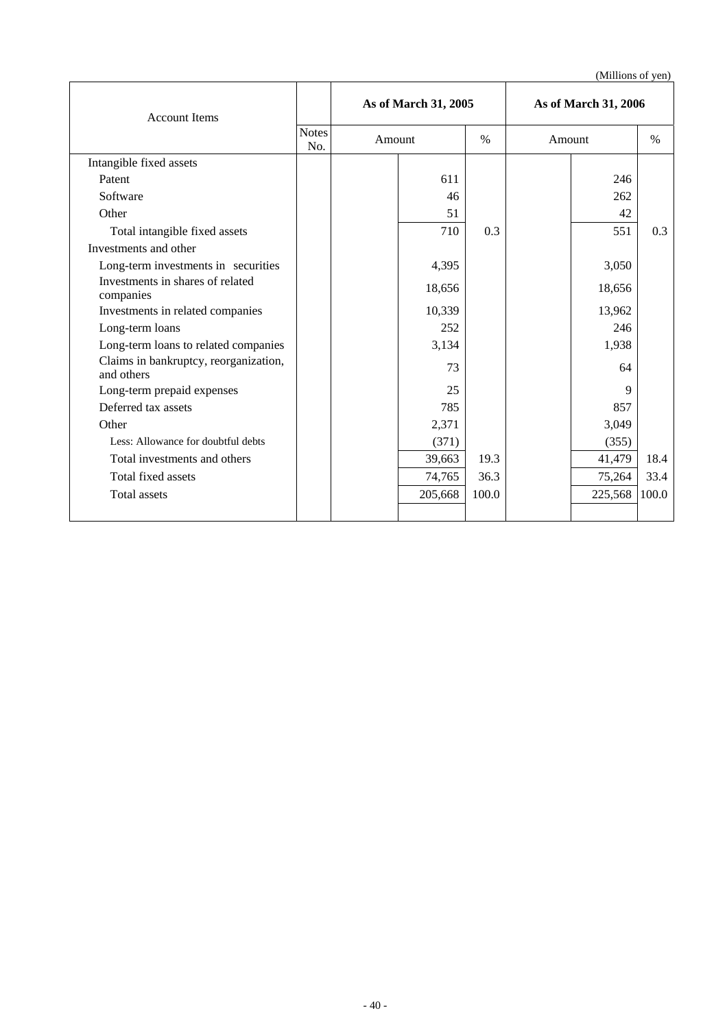| <b>Account Items</b>                                |                     | As of March 31, 2005 |         | As of March 31, 2006 |        |         |       |
|-----------------------------------------------------|---------------------|----------------------|---------|----------------------|--------|---------|-------|
|                                                     | <b>Notes</b><br>No. | Amount               |         | $\%$                 | Amount |         | $\%$  |
| Intangible fixed assets                             |                     |                      |         |                      |        |         |       |
| Patent                                              |                     |                      | 611     |                      |        | 246     |       |
| Software                                            |                     |                      | 46      |                      |        | 262     |       |
| Other                                               |                     |                      | 51      |                      |        | 42      |       |
| Total intangible fixed assets                       |                     |                      | 710     | 0.3                  |        | 551     | 0.3   |
| Investments and other                               |                     |                      |         |                      |        |         |       |
| Long-term investments in securities                 |                     |                      | 4,395   |                      |        | 3,050   |       |
| Investments in shares of related<br>companies       |                     |                      | 18,656  |                      |        | 18,656  |       |
| Investments in related companies                    |                     |                      | 10,339  |                      |        | 13,962  |       |
| Long-term loans                                     |                     |                      | 252     |                      |        | 246     |       |
| Long-term loans to related companies                |                     |                      | 3,134   |                      |        | 1,938   |       |
| Claims in bankruptcy, reorganization,<br>and others |                     |                      | 73      |                      |        | 64      |       |
| Long-term prepaid expenses                          |                     |                      | 25      |                      |        | 9       |       |
| Deferred tax assets                                 |                     |                      | 785     |                      |        | 857     |       |
| Other                                               |                     |                      | 2,371   |                      |        | 3,049   |       |
| Less: Allowance for doubtful debts                  |                     |                      | (371)   |                      |        | (355)   |       |
| Total investments and others                        |                     |                      | 39,663  | 19.3                 |        | 41,479  | 18.4  |
| Total fixed assets                                  |                     |                      | 74,765  | 36.3                 |        | 75,264  | 33.4  |
| Total assets                                        |                     |                      | 205,668 | 100.0                |        | 225,568 | 100.0 |
|                                                     |                     |                      |         |                      |        |         |       |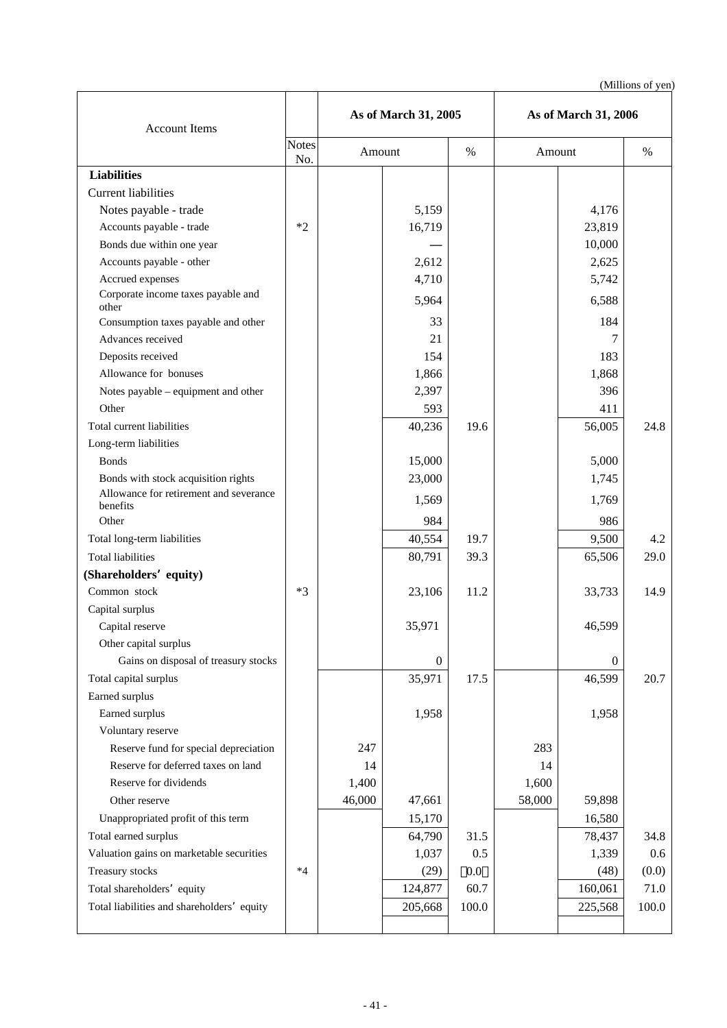| <b>Account Items</b>                                                        |              | As of March 31, 2005 |                  |         | As of March 31, 2006 |                  |             |
|-----------------------------------------------------------------------------|--------------|----------------------|------------------|---------|----------------------|------------------|-------------|
|                                                                             | Notes<br>No. | Amount               |                  | $\%$    | Amount               |                  | $\%$        |
| <b>Liabilities</b>                                                          |              |                      |                  |         |                      |                  |             |
| <b>Current liabilities</b>                                                  |              |                      |                  |         |                      |                  |             |
| Notes payable - trade                                                       |              |                      | 5,159            |         |                      | 4,176            |             |
| Accounts payable - trade                                                    | $*2$         |                      | 16,719           |         |                      | 23,819           |             |
| Bonds due within one year                                                   |              |                      |                  |         |                      | 10,000           |             |
| Accounts payable - other                                                    |              |                      | 2,612            |         |                      | 2,625            |             |
| Accrued expenses                                                            |              |                      | 4,710            |         |                      | 5,742            |             |
| Corporate income taxes payable and<br>other                                 |              |                      | 5,964            |         |                      | 6,588            |             |
| Consumption taxes payable and other                                         |              |                      | 33               |         |                      | 184              |             |
| Advances received                                                           |              |                      | 21               |         |                      | 7                |             |
| Deposits received                                                           |              |                      | 154              |         |                      | 183              |             |
| Allowance for bonuses                                                       |              |                      | 1,866            |         |                      | 1,868            |             |
| Notes payable – equipment and other                                         |              |                      | 2,397            |         |                      | 396              |             |
| Other                                                                       |              |                      | 593              |         |                      | 411              |             |
| Total current liabilities                                                   |              |                      | 40,236           | 19.6    |                      | 56,005           | 24.8        |
| Long-term liabilities                                                       |              |                      |                  |         |                      |                  |             |
| <b>Bonds</b>                                                                |              |                      | 15,000           |         |                      | 5,000            |             |
| Bonds with stock acquisition rights                                         |              |                      | 23,000           |         |                      | 1,745            |             |
| Allowance for retirement and severance                                      |              |                      | 1,569            |         |                      | 1,769            |             |
| benefits                                                                    |              |                      |                  |         |                      |                  |             |
| Other                                                                       |              |                      | 984              |         |                      | 986              |             |
| Total long-term liabilities                                                 |              |                      | 40,554           | 19.7    |                      | 9,500            | 4.2         |
| <b>Total liabilities</b>                                                    |              |                      | 80,791           | 39.3    |                      | 65,506           | 29.0        |
| (Shareholders equity)                                                       |              |                      |                  |         |                      |                  |             |
| Common stock                                                                | $*3$         |                      | 23,106           | 11.2    |                      | 33,733           | 14.9        |
| Capital surplus                                                             |              |                      |                  |         |                      |                  |             |
| Capital reserve                                                             |              |                      | 35,971           |         |                      | 46,599           |             |
| Other capital surplus                                                       |              |                      |                  |         |                      |                  |             |
| Gains on disposal of treasury stocks                                        |              |                      | $\boldsymbol{0}$ |         |                      | $\overline{0}$   |             |
| Total capital surplus                                                       |              |                      | 35,971           | 17.5    |                      | 46,599           | 20.7        |
| Earned surplus                                                              |              |                      |                  |         |                      |                  |             |
| Earned surplus                                                              |              |                      | 1,958            |         |                      | 1,958            |             |
| Voluntary reserve                                                           |              | 247                  |                  |         | 283                  |                  |             |
| Reserve fund for special depreciation<br>Reserve for deferred taxes on land |              | 14                   |                  |         | 14                   |                  |             |
| Reserve for dividends                                                       |              | 1,400                |                  |         | 1,600                |                  |             |
| Other reserve                                                               |              | 46,000               |                  |         | 58,000               |                  |             |
| Unappropriated profit of this term                                          |              |                      | 47,661<br>15,170 |         |                      | 59,898<br>16,580 |             |
| Total earned surplus                                                        |              |                      |                  | 31.5    |                      |                  |             |
| Valuation gains on marketable securities                                    |              |                      | 64,790<br>1,037  | 0.5     |                      | 78,437<br>1,339  | 34.8<br>0.6 |
| Treasury stocks                                                             | $*4$         |                      | (29)             | $0.0\,$ |                      | (48)             | (0.0)       |
| Total shareholders equity                                                   |              |                      | 124,877          | 60.7    |                      | 160,061          | 71.0        |
| Total liabilities and shareholders equity                                   |              |                      | 205,668          | 100.0   |                      | 225,568          | 100.0       |
|                                                                             |              |                      |                  |         |                      |                  |             |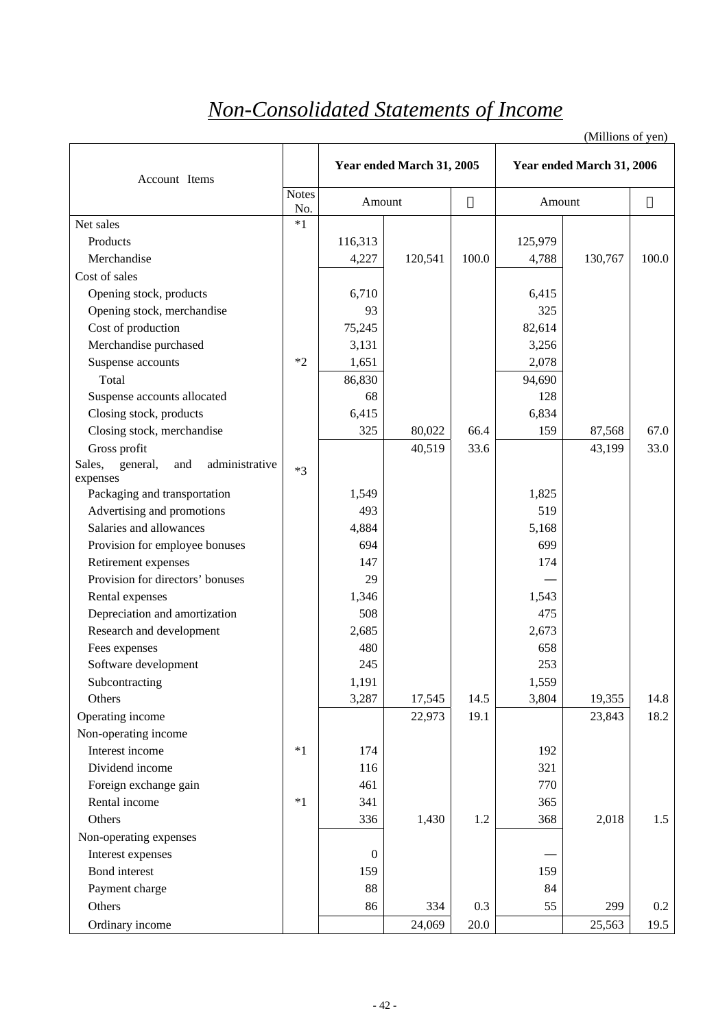# *Non-Consolidated Statements of Income*

| Account Items                               |                     | Year ended March 31, 2005 |         |       |         | Year ended March 31, 2006 |         |
|---------------------------------------------|---------------------|---------------------------|---------|-------|---------|---------------------------|---------|
|                                             | <b>Notes</b><br>No. | Amount                    |         |       | Amount  |                           |         |
| Net sales                                   | $*1$                |                           |         |       |         |                           |         |
| Products                                    |                     | 116,313                   |         |       | 125,979 |                           |         |
| Merchandise                                 |                     | 4,227                     | 120,541 | 100.0 | 4,788   | 130,767                   | 100.0   |
| Cost of sales                               |                     |                           |         |       |         |                           |         |
| Opening stock, products                     |                     | 6,710                     |         |       | 6,415   |                           |         |
| Opening stock, merchandise                  |                     | 93                        |         |       | 325     |                           |         |
| Cost of production                          |                     | 75,245                    |         |       | 82,614  |                           |         |
| Merchandise purchased                       |                     | 3,131                     |         |       | 3,256   |                           |         |
| Suspense accounts                           | $*2$                | 1,651                     |         |       | 2,078   |                           |         |
| Total                                       |                     | 86,830                    |         |       | 94,690  |                           |         |
| Suspense accounts allocated                 |                     | 68                        |         |       | 128     |                           |         |
| Closing stock, products                     |                     | 6,415                     |         |       | 6,834   |                           |         |
| Closing stock, merchandise                  |                     | 325                       | 80,022  | 66.4  | 159     | 87,568                    | 67.0    |
| Gross profit                                |                     |                           | 40,519  | 33.6  |         | 43,199                    | 33.0    |
| administrative<br>Sales,<br>general,<br>and | $*3$                |                           |         |       |         |                           |         |
| expenses                                    |                     |                           |         |       |         |                           |         |
| Packaging and transportation                |                     | 1,549                     |         |       | 1,825   |                           |         |
| Advertising and promotions                  |                     | 493                       |         |       | 519     |                           |         |
| Salaries and allowances                     |                     | 4,884                     |         |       | 5,168   |                           |         |
| Provision for employee bonuses              |                     | 694                       |         |       | 699     |                           |         |
| Retirement expenses                         |                     | 147                       |         |       | 174     |                           |         |
| Provision for directors' bonuses            |                     | 29                        |         |       |         |                           |         |
| Rental expenses                             |                     | 1,346                     |         |       | 1,543   |                           |         |
| Depreciation and amortization               |                     | 508                       |         |       | 475     |                           |         |
| Research and development                    |                     | 2,685                     |         |       | 2,673   |                           |         |
| Fees expenses                               |                     | 480                       |         |       | 658     |                           |         |
| Software development                        |                     | 245                       |         |       | 253     |                           |         |
| Subcontracting                              |                     | 1,191                     |         |       | 1,559   |                           |         |
| Others                                      |                     | 3,287                     | 17,545  | 14.5  | 3,804   | 19,355                    | 14.8    |
| Operating income                            |                     |                           | 22,973  | 19.1  |         | 23,843                    | 18.2    |
| Non-operating income                        |                     |                           |         |       |         |                           |         |
| Interest income                             | $*1$                | 174                       |         |       | 192     |                           |         |
| Dividend income                             |                     | 116                       |         |       | 321     |                           |         |
| Foreign exchange gain                       |                     | 461                       |         |       | 770     |                           |         |
| Rental income                               | $*1$                | 341                       |         |       | 365     |                           |         |
| Others                                      |                     | 336                       | 1,430   | 1.2   | 368     | 2,018                     | 1.5     |
| Non-operating expenses                      |                     |                           |         |       |         |                           |         |
| Interest expenses                           |                     | $\boldsymbol{0}$          |         |       |         |                           |         |
| Bond interest                               |                     | 159                       |         |       | 159     |                           |         |
| Payment charge                              |                     | 88                        |         |       | 84      |                           |         |
| Others                                      |                     | 86                        | 334     | 0.3   | 55      | 299                       | $0.2\,$ |
| Ordinary income                             |                     |                           | 24,069  | 20.0  |         | 25,563                    | 19.5    |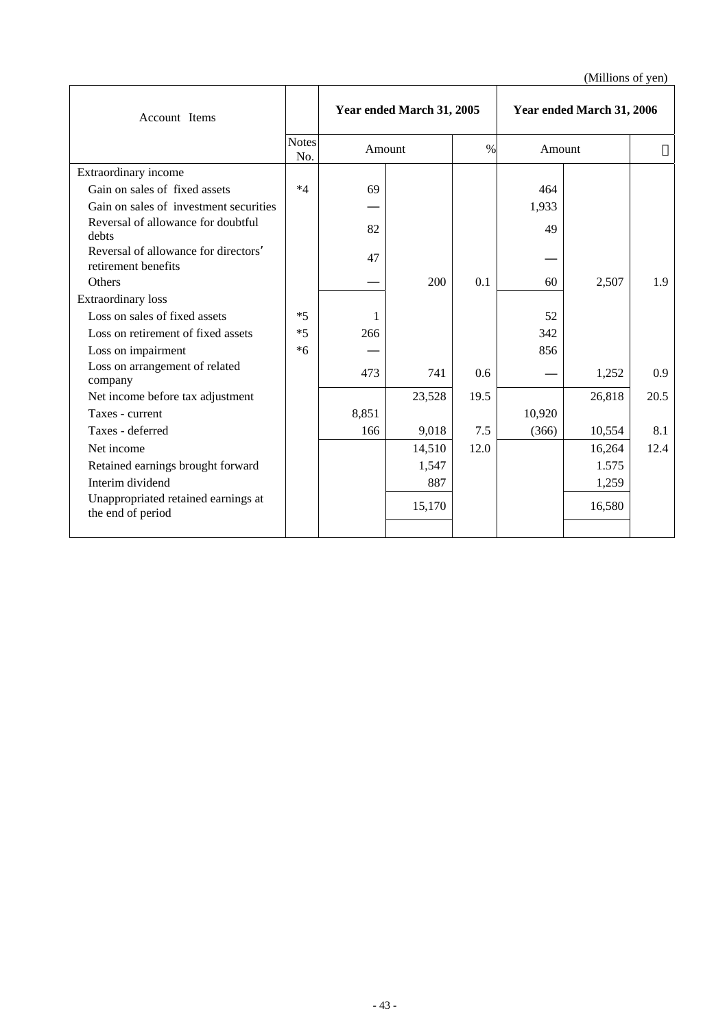| Account Items                                              |                     | Year ended March 31, 2005 |        |      | Year ended March 31, 2006 |        |      |
|------------------------------------------------------------|---------------------|---------------------------|--------|------|---------------------------|--------|------|
|                                                            | <b>Notes</b><br>No. | Amount                    |        | $\%$ | Amount                    |        |      |
| Extraordinary income                                       |                     |                           |        |      |                           |        |      |
| Gain on sales of fixed assets                              | $*4$                | 69                        |        |      | 464                       |        |      |
| Gain on sales of investment securities                     |                     |                           |        |      | 1,933                     |        |      |
| Reversal of allowance for doubtful<br>debts                |                     | 82                        |        |      | 49                        |        |      |
| Reversal of allowance for directors<br>retirement benefits |                     | 47                        |        |      |                           |        |      |
| <b>Others</b>                                              |                     |                           | 200    | 0.1  | 60                        | 2,507  | 1.9  |
| <b>Extraordinary</b> loss                                  |                     |                           |        |      |                           |        |      |
| Loss on sales of fixed assets                              | $*5$                | 1                         |        |      | 52                        |        |      |
| Loss on retirement of fixed assets                         | $*5$                | 266                       |        |      | 342                       |        |      |
| Loss on impairment                                         | $*6$                |                           |        |      | 856                       |        |      |
| Loss on arrangement of related<br>company                  |                     | 473                       | 741    | 0.6  |                           | 1,252  | 0.9  |
| Net income before tax adjustment                           |                     |                           | 23,528 | 19.5 |                           | 26,818 | 20.5 |
| Taxes - current                                            |                     | 8,851                     |        |      | 10,920                    |        |      |
| Taxes - deferred                                           |                     | 166                       | 9,018  | 7.5  | (366)                     | 10,554 | 8.1  |
| Net income                                                 |                     |                           | 14,510 | 12.0 |                           | 16,264 | 12.4 |
| Retained earnings brought forward                          |                     |                           | 1,547  |      |                           | 1.575  |      |
| Interim dividend                                           |                     |                           | 887    |      |                           | 1,259  |      |
| Unappropriated retained earnings at<br>the end of period   |                     |                           | 15,170 |      |                           | 16,580 |      |
|                                                            |                     |                           |        |      |                           |        |      |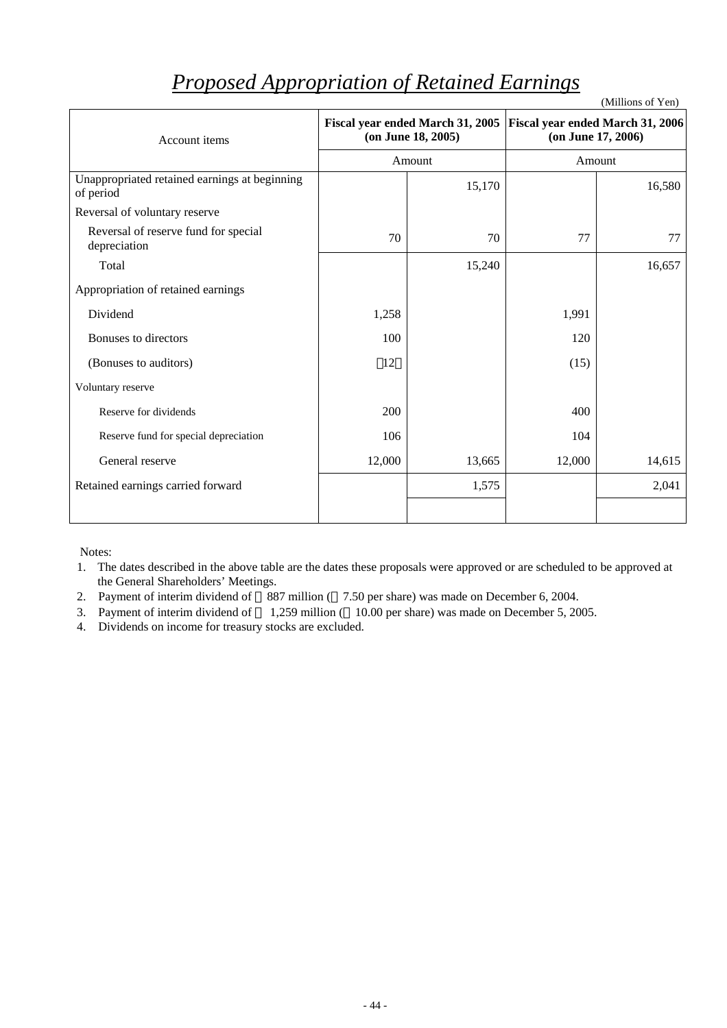| Account items                                              |        | Fiscal year ended March 31, 2005<br>$($ on June 18, 2005 $)$ | Fiscal year ended March 31, 2006<br>(on June 17, 2006) |        |  |
|------------------------------------------------------------|--------|--------------------------------------------------------------|--------------------------------------------------------|--------|--|
|                                                            |        | Amount                                                       |                                                        | Amount |  |
| Unappropriated retained earnings at beginning<br>of period |        | 15,170                                                       |                                                        | 16,580 |  |
| Reversal of voluntary reserve                              |        |                                                              |                                                        |        |  |
| Reversal of reserve fund for special<br>depreciation       | 70     | 70                                                           | 77                                                     | 77     |  |
| Total                                                      |        | 15,240                                                       |                                                        | 16,657 |  |
| Appropriation of retained earnings                         |        |                                                              |                                                        |        |  |
| Dividend                                                   | 1,258  |                                                              | 1,991                                                  |        |  |
| Bonuses to directors                                       | 100    |                                                              | 120                                                    |        |  |
| (Bonuses to auditors)                                      | 12     |                                                              | (15)                                                   |        |  |
| Voluntary reserve                                          |        |                                                              |                                                        |        |  |
| Reserve for dividends                                      | 200    |                                                              | 400                                                    |        |  |
| Reserve fund for special depreciation                      | 106    |                                                              | 104                                                    |        |  |
| General reserve                                            | 12,000 | 13,665                                                       | 12,000                                                 | 14,615 |  |
| Retained earnings carried forward                          |        | 1,575                                                        |                                                        | 2,041  |  |
|                                                            |        |                                                              |                                                        |        |  |

# *Proposed Appropriation of Retained Earnings*

(Millions of Yen)

Notes:

1. The dates described in the above table are the dates these proposals were approved or are scheduled to be approved at the General Shareholders' Meetings.

2. Payment of interim dividend of 887 million ( 7.50 per share) was made on December 6, 2004.

3. Payment of interim dividend of 1,259 million ( 10.00 per share) was made on December 5, 2005.

4. Dividends on income for treasury stocks are excluded.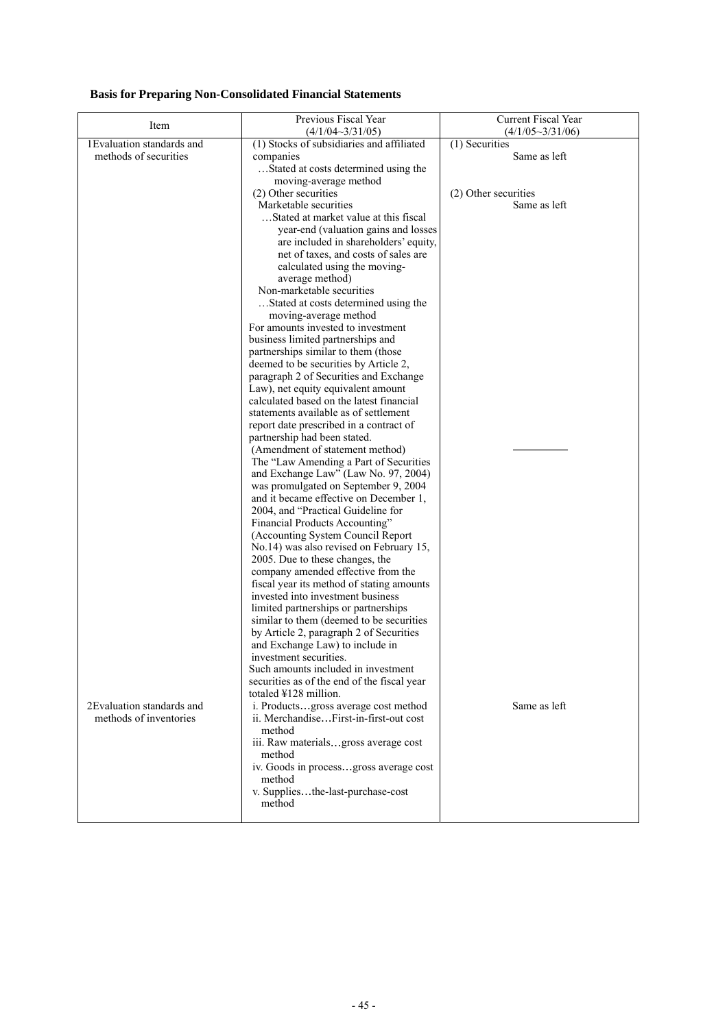# **Basis for Preparing Non-Consolidated Financial Statements**

| Item                       | Previous Fiscal Year<br>$(4/1/04 \sim 3/31/05)$                                  | Current Fiscal Year<br>$(4/1/05 \sim 3/31/06)$ |
|----------------------------|----------------------------------------------------------------------------------|------------------------------------------------|
| 1Evaluation standards and  | (1) Stocks of subsidiaries and affiliated                                        | (1) Securities                                 |
| methods of securities      | companies                                                                        | Same as left                                   |
|                            | Stated at costs determined using the                                             |                                                |
|                            | moving-average method                                                            |                                                |
|                            | (2) Other securities                                                             | (2) Other securities                           |
|                            | Marketable securities                                                            | Same as left                                   |
|                            | Stated at market value at this fiscal                                            |                                                |
|                            | year-end (valuation gains and losses                                             |                                                |
|                            | are included in shareholders' equity,                                            |                                                |
|                            | net of taxes, and costs of sales are                                             |                                                |
|                            | calculated using the moving-                                                     |                                                |
|                            | average method)                                                                  |                                                |
|                            | Non-marketable securities                                                        |                                                |
|                            | Stated at costs determined using the                                             |                                                |
|                            | moving-average method                                                            |                                                |
|                            | For amounts invested to investment                                               |                                                |
|                            | business limited partnerships and                                                |                                                |
|                            | partnerships similar to them (those                                              |                                                |
|                            | deemed to be securities by Article 2,                                            |                                                |
|                            | paragraph 2 of Securities and Exchange<br>Law), net equity equivalent amount     |                                                |
|                            | calculated based on the latest financial                                         |                                                |
|                            | statements available as of settlement                                            |                                                |
|                            | report date prescribed in a contract of                                          |                                                |
|                            | partnership had been stated.                                                     |                                                |
|                            | (Amendment of statement method)                                                  |                                                |
|                            | The "Law Amending a Part of Securities                                           |                                                |
|                            | and Exchange Law" (Law No. 97, 2004)                                             |                                                |
|                            | was promulgated on September 9, 2004                                             |                                                |
|                            | and it became effective on December 1,                                           |                                                |
|                            | 2004, and "Practical Guideline for                                               |                                                |
|                            | Financial Products Accounting"                                                   |                                                |
|                            | (Accounting System Council Report                                                |                                                |
|                            | No.14) was also revised on February 15,                                          |                                                |
|                            | 2005. Due to these changes, the                                                  |                                                |
|                            | company amended effective from the                                               |                                                |
|                            | fiscal year its method of stating amounts                                        |                                                |
|                            | invested into investment business                                                |                                                |
|                            | limited partnerships or partnerships<br>similar to them (deemed to be securities |                                                |
|                            | by Article 2, paragraph 2 of Securities                                          |                                                |
|                            | and Exchange Law) to include in                                                  |                                                |
|                            | investment securities.                                                           |                                                |
|                            | Such amounts included in investment                                              |                                                |
|                            | securities as of the end of the fiscal year                                      |                                                |
|                            | totaled ¥128 million.                                                            |                                                |
| 2 Evaluation standards and | i. Productsgross average cost method                                             | Same as left                                   |
| methods of inventories     | ii. MerchandiseFirst-in-first-out cost                                           |                                                |
|                            | method                                                                           |                                                |
|                            | iii. Raw materialsgross average cost                                             |                                                |
|                            | method                                                                           |                                                |
|                            | iv. Goods in processgross average cost                                           |                                                |
|                            | method                                                                           |                                                |
|                            | v. Suppliesthe-last-purchase-cost<br>method                                      |                                                |
|                            |                                                                                  |                                                |
|                            |                                                                                  |                                                |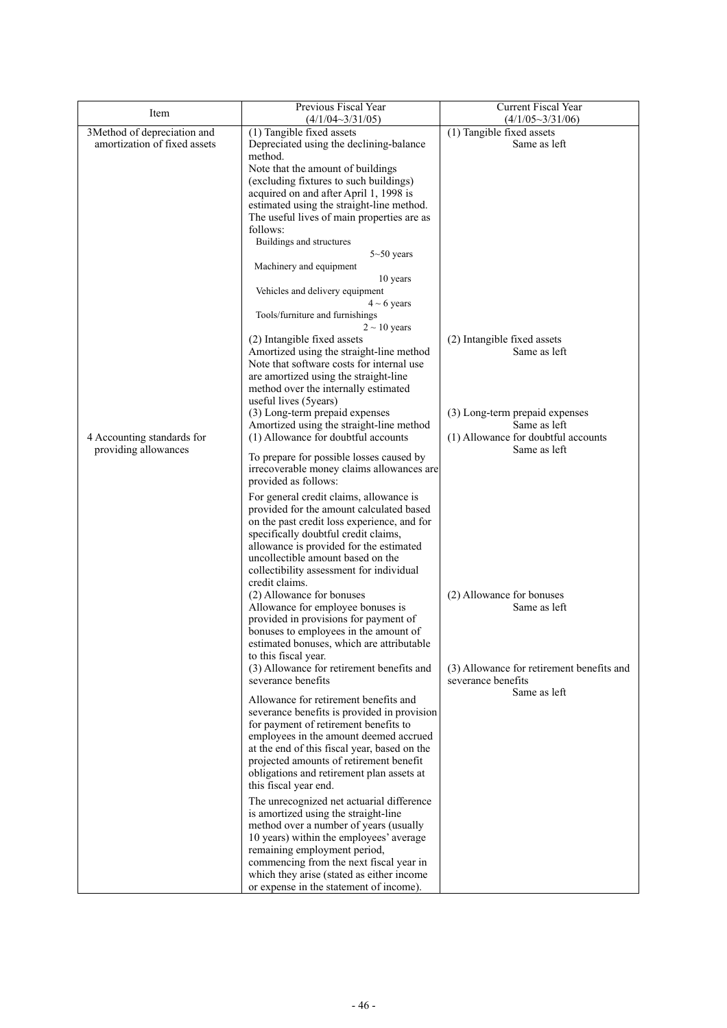| Item                         | Previous Fiscal Year<br>(4/1/04~3/31/05)                                                                                                                                                                                                                                                                                                                                                                                                    | Current Fiscal Year<br>$(4/1/05 \sim 3/31/06)$                                        |
|------------------------------|---------------------------------------------------------------------------------------------------------------------------------------------------------------------------------------------------------------------------------------------------------------------------------------------------------------------------------------------------------------------------------------------------------------------------------------------|---------------------------------------------------------------------------------------|
| 3Method of depreciation and  | (1) Tangible fixed assets                                                                                                                                                                                                                                                                                                                                                                                                                   | $(1)$ Tangible fixed assets                                                           |
| amortization of fixed assets | Depreciated using the declining-balance                                                                                                                                                                                                                                                                                                                                                                                                     | Same as left                                                                          |
|                              | method.<br>Note that the amount of buildings<br>(excluding fixtures to such buildings)<br>acquired on and after April 1, 1998 is<br>estimated using the straight-line method.<br>The useful lives of main properties are as<br>follows:<br>Buildings and structures<br>$5 - 50$ years<br>Machinery and equipment<br>10 years<br>Vehicles and delivery equipment<br>$4 \sim 6$ years<br>Tools/furniture and furnishings<br>$2 \sim 10$ years |                                                                                       |
|                              | (2) Intangible fixed assets<br>Amortized using the straight-line method<br>Note that software costs for internal use<br>are amortized using the straight-line<br>method over the internally estimated<br>useful lives (5 years)                                                                                                                                                                                                             | (2) Intangible fixed assets<br>Same as left                                           |
| 4 Accounting standards for   | (3) Long-term prepaid expenses<br>Amortized using the straight-line method<br>(1) Allowance for doubtful accounts                                                                                                                                                                                                                                                                                                                           | (3) Long-term prepaid expenses<br>Same as left<br>(1) Allowance for doubtful accounts |
| providing allowances         | To prepare for possible losses caused by<br>irrecoverable money claims allowances are<br>provided as follows:                                                                                                                                                                                                                                                                                                                               | Same as left                                                                          |
|                              | For general credit claims, allowance is<br>provided for the amount calculated based<br>on the past credit loss experience, and for<br>specifically doubtful credit claims,<br>allowance is provided for the estimated<br>uncollectible amount based on the<br>collectibility assessment for individual<br>credit claims.                                                                                                                    |                                                                                       |
|                              | (2) Allowance for bonuses<br>Allowance for employee bonuses is<br>provided in provisions for payment of<br>bonuses to employees in the amount of<br>estimated bonuses, which are attributable<br>to this fiscal year.                                                                                                                                                                                                                       | (2) Allowance for bonuses<br>Same as left                                             |
|                              | (3) Allowance for retirement benefits and<br>severance benefits                                                                                                                                                                                                                                                                                                                                                                             | (3) Allowance for retirement benefits and<br>severance benefits<br>Same as left       |
|                              | Allowance for retirement benefits and<br>severance benefits is provided in provision<br>for payment of retirement benefits to<br>employees in the amount deemed accrued<br>at the end of this fiscal year, based on the<br>projected amounts of retirement benefit<br>obligations and retirement plan assets at<br>this fiscal year end.                                                                                                    |                                                                                       |
|                              | The unrecognized net actuarial difference<br>is amortized using the straight-line<br>method over a number of years (usually<br>10 years) within the employees' average<br>remaining employment period,<br>commencing from the next fiscal year in<br>which they arise (stated as either income<br>or expense in the statement of income).                                                                                                   |                                                                                       |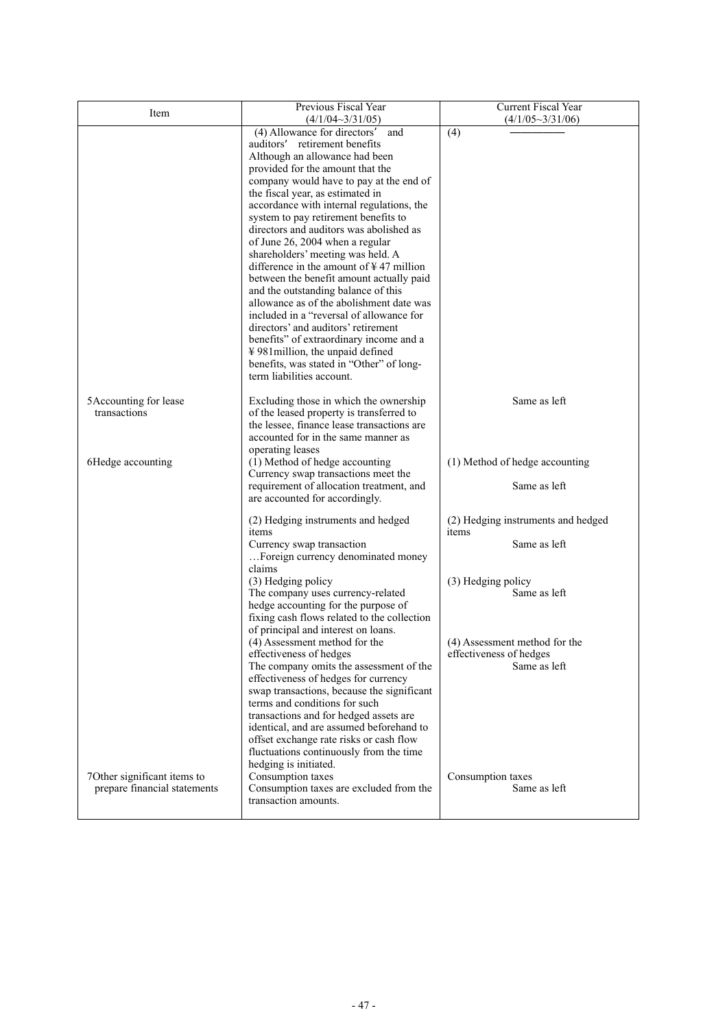| Item                                                       | Previous Fiscal Year<br>$(4/1/04 \sim 3/31/05)$                                                                                                                                                                                                                                                                                                                                                                                                                                                                                                                                                                                                                                                                                                                                                                                                                      | Current Fiscal Year<br>$(4/1/05 \sim 3/31/06)$                                                                                                                                                     |
|------------------------------------------------------------|----------------------------------------------------------------------------------------------------------------------------------------------------------------------------------------------------------------------------------------------------------------------------------------------------------------------------------------------------------------------------------------------------------------------------------------------------------------------------------------------------------------------------------------------------------------------------------------------------------------------------------------------------------------------------------------------------------------------------------------------------------------------------------------------------------------------------------------------------------------------|----------------------------------------------------------------------------------------------------------------------------------------------------------------------------------------------------|
|                                                            | (4) Allowance for directors<br>and<br>retirement benefits<br>auditors<br>Although an allowance had been<br>provided for the amount that the<br>company would have to pay at the end of<br>the fiscal year, as estimated in<br>accordance with internal regulations, the<br>system to pay retirement benefits to<br>directors and auditors was abolished as<br>of June 26, 2004 when a regular<br>shareholders' meeting was held. A<br>difference in the amount of $\frac{1}{2}$ 47 million<br>between the benefit amount actually paid<br>and the outstanding balance of this<br>allowance as of the abolishment date was<br>included in a "reversal of allowance for<br>directors' and auditors' retirement<br>benefits" of extraordinary income and a<br>¥981 million, the unpaid defined<br>benefits, was stated in "Other" of long-<br>term liabilities account. | (4)                                                                                                                                                                                                |
| 5Accounting for lease<br>transactions<br>6Hedge accounting | Excluding those in which the ownership<br>of the leased property is transferred to<br>the lessee, finance lease transactions are<br>accounted for in the same manner as<br>operating leases<br>(1) Method of hedge accounting<br>Currency swap transactions meet the<br>requirement of allocation treatment, and                                                                                                                                                                                                                                                                                                                                                                                                                                                                                                                                                     | Same as left<br>(1) Method of hedge accounting<br>Same as left                                                                                                                                     |
| 7Other significant items to                                | are accounted for accordingly.<br>(2) Hedging instruments and hedged<br>items<br>Currency swap transaction<br>Foreign currency denominated money<br>claims<br>(3) Hedging policy<br>The company uses currency-related<br>hedge accounting for the purpose of<br>fixing cash flows related to the collection<br>of principal and interest on loans.<br>(4) Assessment method for the<br>effectiveness of hedges<br>The company omits the assessment of the<br>effectiveness of hedges for currency<br>swap transactions, because the significant<br>terms and conditions for such<br>transactions and for hedged assets are<br>identical, and are assumed beforehand to<br>offset exchange rate risks or cash flow<br>fluctuations continuously from the time<br>hedging is initiated.<br>Consumption taxes                                                           | (2) Hedging instruments and hedged<br>items<br>Same as left<br>(3) Hedging policy<br>Same as left<br>(4) Assessment method for the<br>effectiveness of hedges<br>Same as left<br>Consumption taxes |
| prepare financial statements                               | Consumption taxes are excluded from the<br>transaction amounts.                                                                                                                                                                                                                                                                                                                                                                                                                                                                                                                                                                                                                                                                                                                                                                                                      | Same as left                                                                                                                                                                                       |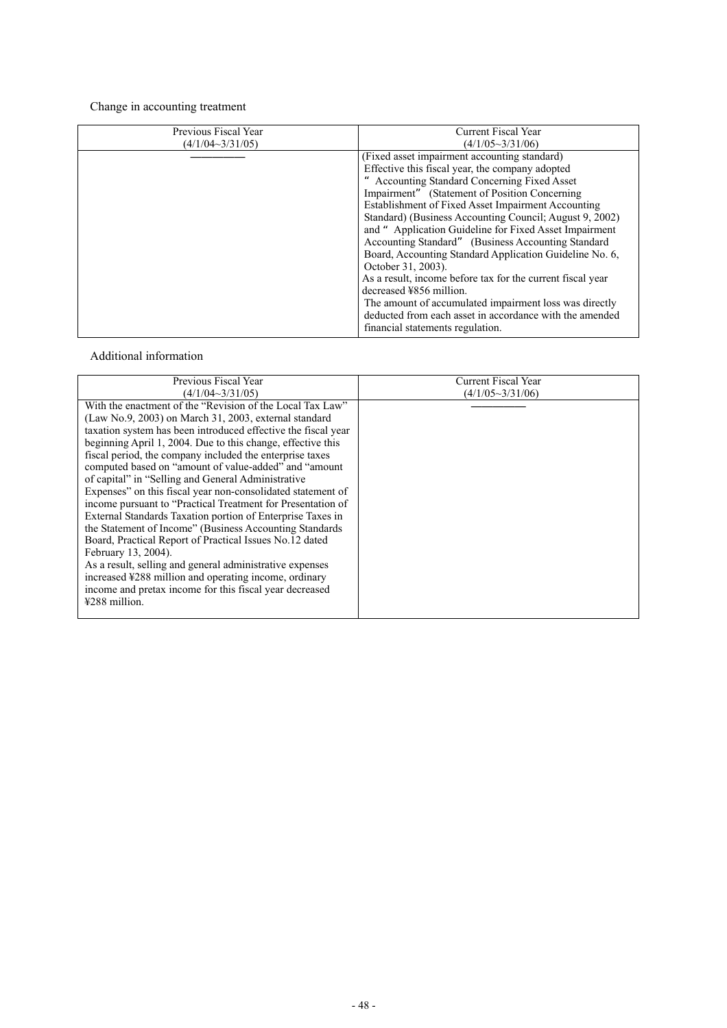# Change in accounting treatment

| Previous Fiscal Year    | Current Fiscal Year                                        |
|-------------------------|------------------------------------------------------------|
|                         |                                                            |
| $(4/1/04 \sim 3/31/05)$ | $(4/1/05 \sim 3/31/06)$                                    |
|                         | (Fixed asset impairment accounting standard)               |
|                         | Effective this fiscal year, the company adopted            |
|                         | Accounting Standard Concerning Fixed Asset                 |
|                         | Impairment" (Statement of Position Concerning)             |
|                         | Establishment of Fixed Asset Impairment Accounting         |
|                         | Standard) (Business Accounting Council; August 9, 2002)    |
|                         | and " Application Guideline for Fixed Asset Impairment     |
|                         | Accounting Standard" (Business Accounting Standard)        |
|                         | Board, Accounting Standard Application Guideline No. 6,    |
|                         | October 31, 2003).                                         |
|                         | As a result, income before tax for the current fiscal year |
|                         | decreased ¥856 million.                                    |
|                         | The amount of accumulated impairment loss was directly     |
|                         | deducted from each asset in accordance with the amended    |
|                         | financial statements regulation.                           |

# Additional information

| Previous Fiscal Year                                                                                                                                                                                                                                                                                                                                                                                                                                                                                                                                                                                                                                                                                                                                                                                                                                                                                                                                                         | Current Fiscal Year     |
|------------------------------------------------------------------------------------------------------------------------------------------------------------------------------------------------------------------------------------------------------------------------------------------------------------------------------------------------------------------------------------------------------------------------------------------------------------------------------------------------------------------------------------------------------------------------------------------------------------------------------------------------------------------------------------------------------------------------------------------------------------------------------------------------------------------------------------------------------------------------------------------------------------------------------------------------------------------------------|-------------------------|
| $(4/1/04 \sim 3/31/05)$                                                                                                                                                                                                                                                                                                                                                                                                                                                                                                                                                                                                                                                                                                                                                                                                                                                                                                                                                      | $(4/1/05 \sim 3/31/06)$ |
| With the enactment of the "Revision of the Local Tax Law"<br>$(Law No.9, 2003)$ on March 31, 2003, external standard<br>taxation system has been introduced effective the fiscal year<br>beginning April 1, 2004. Due to this change, effective this<br>fiscal period, the company included the enterprise taxes<br>computed based on "amount of value-added" and "amount<br>of capital" in "Selling and General Administrative<br>Expenses" on this fiscal year non-consolidated statement of<br>income pursuant to "Practical Treatment for Presentation of<br>External Standards Taxation portion of Enterprise Taxes in<br>the Statement of Income" (Business Accounting Standards)<br>Board, Practical Report of Practical Issues No.12 dated<br>February 13, 2004).<br>As a result, selling and general administrative expenses<br>increased ¥288 million and operating income, ordinary<br>income and pretax income for this fiscal year decreased<br>$4288$ million. |                         |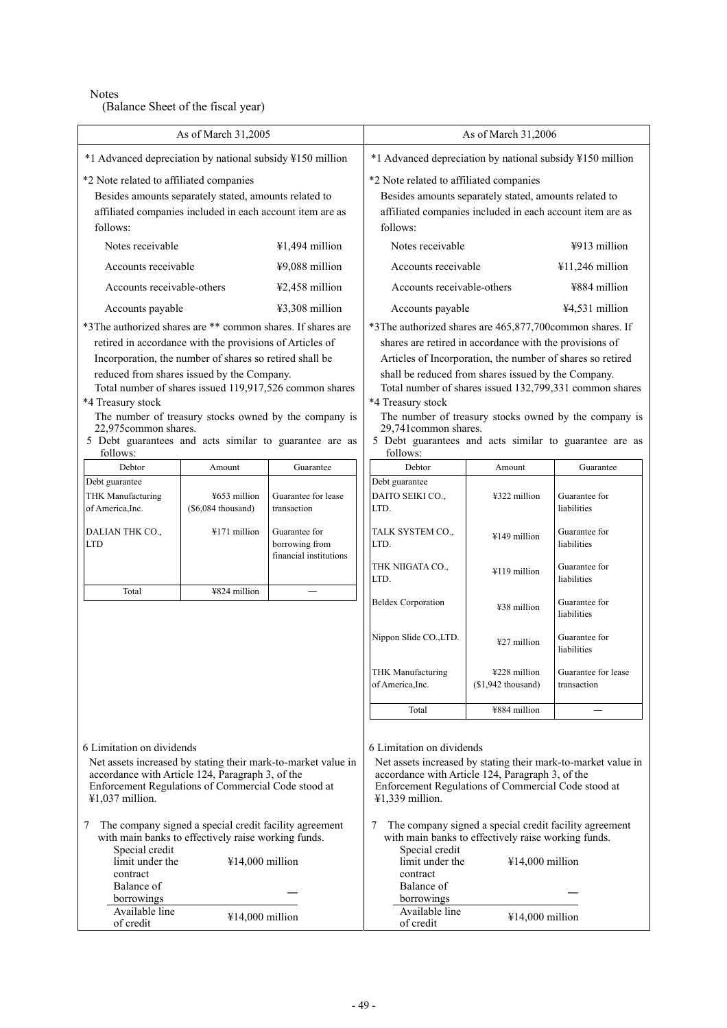Notes

(Balance Sheet of the fiscal year)

|                                                                                                                                                                                                                                                                                                                                                                                                                                                             | As of March 31,2005                  |                                                                                                                                                                                                                                                                                                                                                                                                                                                                                 |                                                                                                                                | As of March 31,2006                 |                                    |
|-------------------------------------------------------------------------------------------------------------------------------------------------------------------------------------------------------------------------------------------------------------------------------------------------------------------------------------------------------------------------------------------------------------------------------------------------------------|--------------------------------------|---------------------------------------------------------------------------------------------------------------------------------------------------------------------------------------------------------------------------------------------------------------------------------------------------------------------------------------------------------------------------------------------------------------------------------------------------------------------------------|--------------------------------------------------------------------------------------------------------------------------------|-------------------------------------|------------------------------------|
| *1 Advanced depreciation by national subsidy ¥150 million                                                                                                                                                                                                                                                                                                                                                                                                   |                                      | *1 Advanced depreciation by national subsidy ¥150 million                                                                                                                                                                                                                                                                                                                                                                                                                       |                                                                                                                                |                                     |                                    |
| *2 Note related to affiliated companies                                                                                                                                                                                                                                                                                                                                                                                                                     |                                      | *2 Note related to affiliated companies                                                                                                                                                                                                                                                                                                                                                                                                                                         |                                                                                                                                |                                     |                                    |
| Besides amounts separately stated, amounts related to<br>affiliated companies included in each account item are as<br>follows:                                                                                                                                                                                                                                                                                                                              |                                      |                                                                                                                                                                                                                                                                                                                                                                                                                                                                                 | Besides amounts separately stated, amounts related to<br>affiliated companies included in each account item are as<br>follows: |                                     |                                    |
| Notes receivable                                                                                                                                                                                                                                                                                                                                                                                                                                            |                                      | ¥1,494 million                                                                                                                                                                                                                                                                                                                                                                                                                                                                  | Notes receivable                                                                                                               |                                     | $\frac{1}{2}913$ million           |
| Accounts receivable                                                                                                                                                                                                                                                                                                                                                                                                                                         |                                      | ¥9,088 million                                                                                                                                                                                                                                                                                                                                                                                                                                                                  | Accounts receivable                                                                                                            |                                     | $¥11,246$ million                  |
| Accounts receivable-others                                                                                                                                                                                                                                                                                                                                                                                                                                  |                                      | ¥2,458 million                                                                                                                                                                                                                                                                                                                                                                                                                                                                  | Accounts receivable-others                                                                                                     |                                     | ¥884 million                       |
| Accounts payable                                                                                                                                                                                                                                                                                                                                                                                                                                            |                                      | ¥3,308 million                                                                                                                                                                                                                                                                                                                                                                                                                                                                  | Accounts payable                                                                                                               |                                     | ¥4,531 million                     |
| *3The authorized shares are ** common shares. If shares are<br>retired in accordance with the provisions of Articles of<br>Incorporation, the number of shares so retired shall be<br>reduced from shares issued by the Company.<br>Total number of shares issued 119,917,526 common shares<br>*4 Treasury stock<br>The number of treasury stocks owned by the company is<br>22,975common shares.<br>5 Debt guarantees and acts similar to guarantee are as |                                      | *3The authorized shares are 465,877,700common shares. If<br>shares are retired in accordance with the provisions of<br>Articles of Incorporation, the number of shares so retired<br>shall be reduced from shares issued by the Company.<br>Total number of shares issued 132,799,331 common shares<br>*4 Treasury stock<br>The number of treasury stocks owned by the company is<br>29,741common shares.<br>5 Debt guarantees and acts similar to guarantee are as<br>follows: |                                                                                                                                |                                     |                                    |
| follows:<br>Debtor                                                                                                                                                                                                                                                                                                                                                                                                                                          | Amount                               | Guarantee                                                                                                                                                                                                                                                                                                                                                                                                                                                                       | Debtor                                                                                                                         | Amount                              | Guarantee                          |
| Debt guarantee<br><b>THK Manufacturing</b><br>of America, Inc.                                                                                                                                                                                                                                                                                                                                                                                              | ¥653 million<br>$(\$6,084$ thousand) | Guarantee for lease<br>transaction                                                                                                                                                                                                                                                                                                                                                                                                                                              | Debt guarantee<br>DAITO SEIKI CO.,<br>LTD.                                                                                     | ¥322 million                        | Guarantee for<br>liabilities       |
| DALIAN THK CO.,<br><b>LTD</b>                                                                                                                                                                                                                                                                                                                                                                                                                               | ¥171 million                         | Guarantee for<br>borrowing from<br>financial institutions                                                                                                                                                                                                                                                                                                                                                                                                                       | TALK SYSTEM CO.,<br>LTD.                                                                                                       | ¥149 million                        | Guarantee for<br>liabilities       |
|                                                                                                                                                                                                                                                                                                                                                                                                                                                             |                                      |                                                                                                                                                                                                                                                                                                                                                                                                                                                                                 | THK NIIGATA CO.,<br>LTD.                                                                                                       | ¥119 million                        | Guarantee for<br>liabilities       |
| Total                                                                                                                                                                                                                                                                                                                                                                                                                                                       | ¥824 million                         |                                                                                                                                                                                                                                                                                                                                                                                                                                                                                 | <b>Beldex Corporation</b>                                                                                                      | ¥38 million                         | Guarantee for<br>liabilities       |
|                                                                                                                                                                                                                                                                                                                                                                                                                                                             |                                      |                                                                                                                                                                                                                                                                                                                                                                                                                                                                                 | Nippon Slide CO., LTD.                                                                                                         | ¥27 million                         | Guarantee for<br>liabilities       |
|                                                                                                                                                                                                                                                                                                                                                                                                                                                             |                                      |                                                                                                                                                                                                                                                                                                                                                                                                                                                                                 | <b>THK Manufacturing</b><br>of America, Inc.                                                                                   | ¥228 million<br>$($1,942$ thousand) | Guarantee for lease<br>transaction |
|                                                                                                                                                                                                                                                                                                                                                                                                                                                             |                                      |                                                                                                                                                                                                                                                                                                                                                                                                                                                                                 | Total                                                                                                                          | ¥884 million                        |                                    |
| 6 Limitation on dividends<br>Net assets increased by stating their mark-to-market value in<br>accordance with Article 124, Paragraph 3, of the<br>Enforcement Regulations of Commercial Code stood at<br>$41,037$ million.<br>The company signed a special credit facility agreement<br>7                                                                                                                                                                   |                                      | 6 Limitation on dividends<br>Net assets increased by stating their mark-to-market value in<br>accordance with Article 124, Paragraph 3, of the<br>Enforcement Regulations of Commercial Code stood at<br>¥1,339 million.<br>7                                                                                                                                                                                                                                                   | The company signed a special credit facility agreement                                                                         |                                     |                                    |
| with main banks to effectively raise working funds.<br>Special credit<br>limit under the<br>¥14,000 million<br>contract                                                                                                                                                                                                                                                                                                                                     |                                      | Special credit<br>limit under the<br>contract                                                                                                                                                                                                                                                                                                                                                                                                                                   | with main banks to effectively raise working funds.<br>¥14,000 million                                                         |                                     |                                    |
| Balance of<br>borrowings                                                                                                                                                                                                                                                                                                                                                                                                                                    |                                      | Balance of<br>borrowings                                                                                                                                                                                                                                                                                                                                                                                                                                                        |                                                                                                                                |                                     |                                    |
| Available line<br>of credit                                                                                                                                                                                                                                                                                                                                                                                                                                 | ¥14,000 million                      |                                                                                                                                                                                                                                                                                                                                                                                                                                                                                 | Available line<br>of credit                                                                                                    | ¥14,000 million                     |                                    |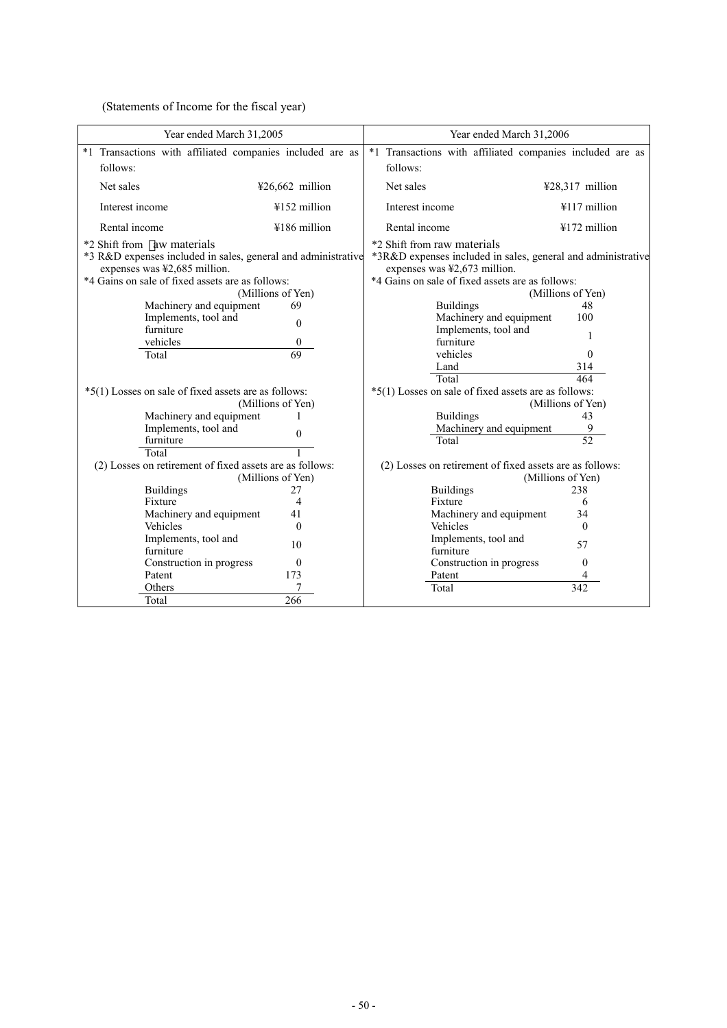(Statements of Income for the fiscal year)

| Year ended March 31,2005                                      |                   | Year ended March 31,2006                                     |                         |
|---------------------------------------------------------------|-------------------|--------------------------------------------------------------|-------------------------|
| *1 Transactions with affiliated companies included are as     |                   | *1 Transactions with affiliated companies included are as    |                         |
| follows:                                                      |                   | follows:                                                     |                         |
| Net sales                                                     | $426,662$ million | Net sales                                                    |                         |
|                                                               |                   |                                                              | ¥28,317 million         |
| Interest income                                               | $4152$ million    | Interest income                                              | ¥117 million            |
| Rental income                                                 | ¥186 million      | Rental income                                                | ¥172 million            |
| *2 Shift from aw materials                                    |                   | *2 Shift from raw materials                                  |                         |
| *3 R&D expenses included in sales, general and administrative |                   | *3R&D expenses included in sales, general and administrative |                         |
| expenses was ¥2,685 million.                                  |                   | expenses was ¥2,673 million.                                 |                         |
| *4 Gains on sale of fixed assets are as follows:              |                   | *4 Gains on sale of fixed assets are as follows:             |                         |
|                                                               | (Millions of Yen) |                                                              | (Millions of Yen)       |
| Machinery and equipment                                       | 69                | <b>Buildings</b>                                             | 48                      |
| Implements, tool and                                          | $\Omega$          | Machinery and equipment                                      | 100                     |
| furniture                                                     |                   | Implements, tool and                                         |                         |
| vehicles                                                      | $\theta$          | furniture                                                    |                         |
| Total                                                         | 69                | vehicles                                                     | $\Omega$                |
|                                                               |                   | Land                                                         | 314                     |
|                                                               |                   | Total                                                        | 464                     |
| *5(1) Losses on sale of fixed assets are as follows:          |                   | *5(1) Losses on sale of fixed assets are as follows:         |                         |
|                                                               | (Millions of Yen) | <b>Buildings</b>                                             | (Millions of Yen)<br>43 |
| Machinery and equipment<br>Implements, tool and               |                   | Machinery and equipment                                      |                         |
| furniture                                                     | $\Omega$          | Total                                                        | 52                      |
| Total                                                         |                   |                                                              |                         |
| (2) Losses on retirement of fixed assets are as follows:      |                   | (2) Losses on retirement of fixed assets are as follows:     |                         |
|                                                               | (Millions of Yen) |                                                              | (Millions of Yen)       |
| <b>Buildings</b>                                              | 27                | <b>Buildings</b>                                             | 238                     |
| Fixture                                                       | 4                 | Fixture                                                      | 6                       |
| Machinery and equipment                                       | 41                | Machinery and equipment                                      | 34                      |
| Vehicles                                                      | $\Omega$          | Vehicles                                                     | $\Omega$                |
| Implements, tool and                                          |                   | Implements, tool and                                         |                         |
| furniture                                                     | 10                | furniture                                                    | 57                      |
| Construction in progress                                      | $\theta$          | Construction in progress                                     | $\mathbf{0}$            |
| Patent                                                        | 173               | Patent                                                       |                         |
| Others                                                        | 7                 | Total                                                        | 342                     |
| Total                                                         | 266               |                                                              |                         |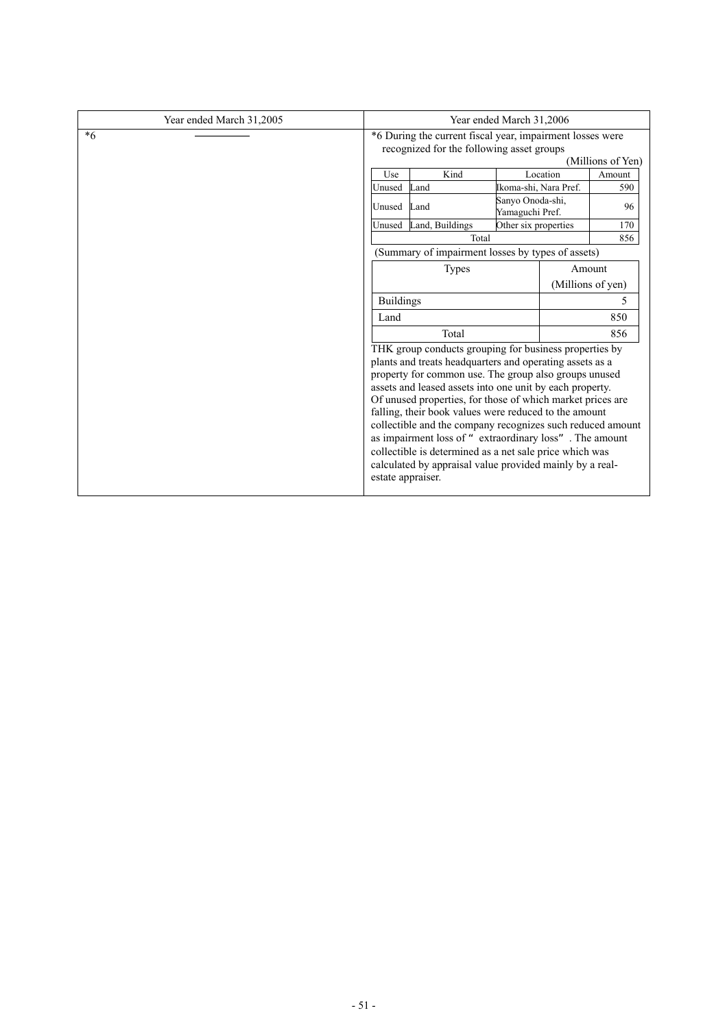| Year ended March 31,2005 | Year ended March 31,2006                                                                                                    |                                                                                                                                                                                                                                                                                                                                                                                                                                                                                                                                                                                                                                    |                                     |          |        |
|--------------------------|-----------------------------------------------------------------------------------------------------------------------------|------------------------------------------------------------------------------------------------------------------------------------------------------------------------------------------------------------------------------------------------------------------------------------------------------------------------------------------------------------------------------------------------------------------------------------------------------------------------------------------------------------------------------------------------------------------------------------------------------------------------------------|-------------------------------------|----------|--------|
| $*6$                     | *6 During the current fiscal year, impairment losses were<br>recognized for the following asset groups<br>(Millions of Yen) |                                                                                                                                                                                                                                                                                                                                                                                                                                                                                                                                                                                                                                    |                                     |          |        |
|                          | Use                                                                                                                         | Kind                                                                                                                                                                                                                                                                                                                                                                                                                                                                                                                                                                                                                               |                                     | Location | Amount |
|                          | Unused                                                                                                                      | Land                                                                                                                                                                                                                                                                                                                                                                                                                                                                                                                                                                                                                               | Ikoma-shi, Nara Pref.               |          | 590    |
|                          | Unused                                                                                                                      | Land                                                                                                                                                                                                                                                                                                                                                                                                                                                                                                                                                                                                                               | Sanyo Onoda-shi,<br>Yamaguchi Pref. |          | 96     |
|                          |                                                                                                                             | Unused Land, Buildings                                                                                                                                                                                                                                                                                                                                                                                                                                                                                                                                                                                                             | Other six properties                |          | 170    |
|                          |                                                                                                                             | Total                                                                                                                                                                                                                                                                                                                                                                                                                                                                                                                                                                                                                              |                                     |          | 856    |
|                          |                                                                                                                             | (Summary of impairment losses by types of assets)                                                                                                                                                                                                                                                                                                                                                                                                                                                                                                                                                                                  |                                     |          |        |
|                          | Amount<br><b>Types</b><br>(Millions of yen)<br><b>Buildings</b><br>Land<br>Total                                            |                                                                                                                                                                                                                                                                                                                                                                                                                                                                                                                                                                                                                                    |                                     |          |        |
|                          |                                                                                                                             |                                                                                                                                                                                                                                                                                                                                                                                                                                                                                                                                                                                                                                    |                                     |          |        |
|                          |                                                                                                                             |                                                                                                                                                                                                                                                                                                                                                                                                                                                                                                                                                                                                                                    | 5.                                  |          |        |
|                          |                                                                                                                             |                                                                                                                                                                                                                                                                                                                                                                                                                                                                                                                                                                                                                                    | 850                                 |          |        |
|                          |                                                                                                                             |                                                                                                                                                                                                                                                                                                                                                                                                                                                                                                                                                                                                                                    | 856                                 |          |        |
|                          |                                                                                                                             | THK group conducts grouping for business properties by<br>plants and treats headquarters and operating assets as a<br>property for common use. The group also groups unused<br>assets and leased assets into one unit by each property.<br>Of unused properties, for those of which market prices are<br>falling, their book values were reduced to the amount<br>collectible and the company recognizes such reduced amount<br>as impairment loss of "extraordinary loss". The amount<br>collectible is determined as a net sale price which was<br>calculated by appraisal value provided mainly by a real-<br>estate appraiser. |                                     |          |        |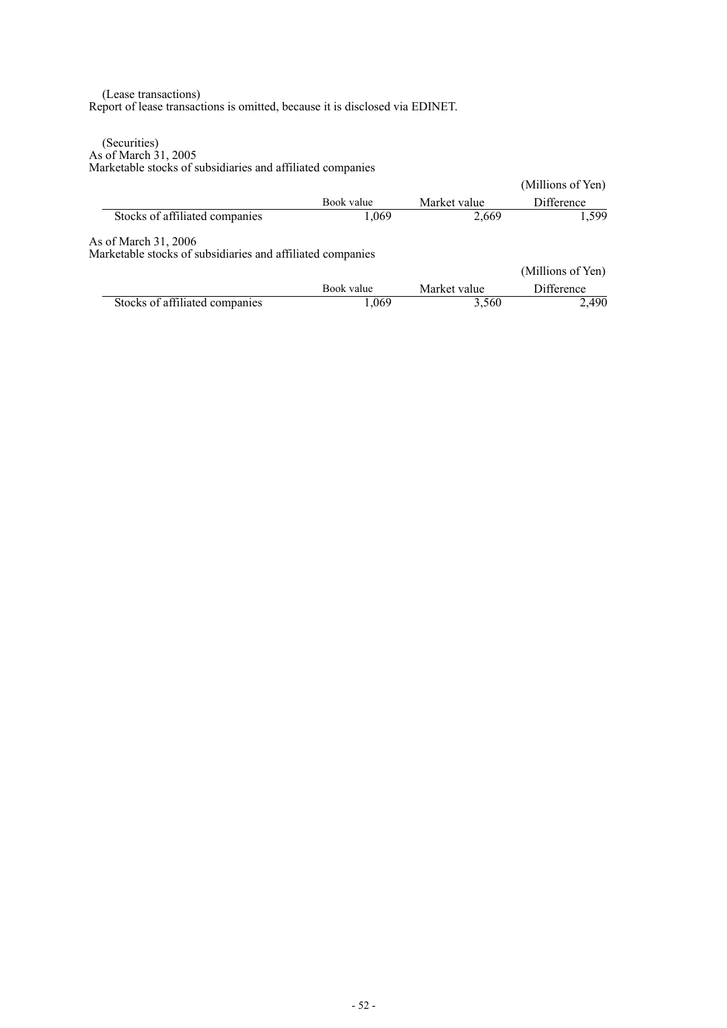### (Lease transactions) Report of lease transactions is omitted, because it is disclosed via EDINET.

(Securities) As of March 31, 2005 Marketable stocks of subsidiaries and affiliated companies

|                                                                                    |            |              | (Millions of Yen) |
|------------------------------------------------------------------------------------|------------|--------------|-------------------|
|                                                                                    | Book value | Market value | <b>Difference</b> |
| Stocks of affiliated companies                                                     | 1,069      | 2,669        | 1.599             |
| As of March 31, 2006<br>Marketable stocks of subsidiaries and affiliated companies |            |              |                   |
|                                                                                    |            |              | (Millions of Yen) |
|                                                                                    | Book value | Market value | Difference        |
| Stocks of affiliated companies                                                     | 1,069      | 3,560        | 2,490             |
|                                                                                    |            |              |                   |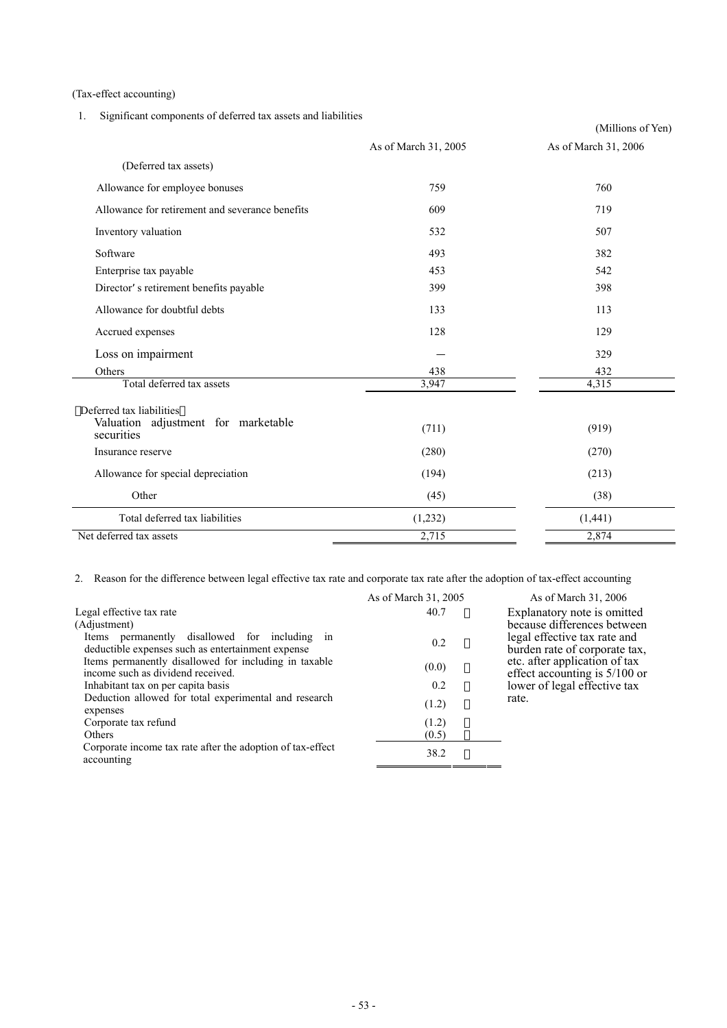(Tax-effect accounting)

1. Significant components of deferred tax assets and liabilities

|                                                                 |                      | (Millions of Yen)    |
|-----------------------------------------------------------------|----------------------|----------------------|
|                                                                 | As of March 31, 2005 | As of March 31, 2006 |
| (Deferred tax assets)                                           |                      |                      |
| Allowance for employee bonuses                                  | 759                  | 760                  |
| Allowance for retirement and severance benefits                 | 609                  | 719                  |
| Inventory valuation                                             | 532                  | 507                  |
| Software                                                        | 493                  | 382                  |
| Enterprise tax payable                                          | 453                  | 542                  |
| Director s retirement benefits payable                          | 399                  | 398                  |
| Allowance for doubtful debts                                    | 133                  | 113                  |
| Accrued expenses                                                | 128                  | 129                  |
| Loss on impairment                                              |                      | 329                  |
| Others                                                          | 438                  | 432                  |
| Total deferred tax assets                                       | 3,947                | 4,315                |
| Deferred tax liabilities<br>Valuation adjustment for marketable |                      |                      |
| securities                                                      | (711)                | (919)                |
| Insurance reserve                                               | (280)                | (270)                |
| Allowance for special depreciation                              | (194)                | (213)                |
| Other                                                           | (45)                 | (38)                 |
| Total deferred tax liabilities                                  | (1,232)              | (1,441)              |
| Net deferred tax assets                                         | 2,715                | 2,874                |

2. Reason for the difference between legal effective tax rate and corporate tax rate after the adoption of tax-effect accounting

|                                                                          | As of March 31, 2005 | As of March 31, 2006          |
|--------------------------------------------------------------------------|----------------------|-------------------------------|
| Legal effective tax rate                                                 | 40.7                 | Explanatory note is omitted   |
| (Adjustment)                                                             |                      | because differences between   |
| Items permanently disallowed for including in                            | 0.2                  | legal effective tax rate and  |
| deductible expenses such as entertainment expense                        |                      | burden rate of corporate tax, |
| Items permanently disallowed for including in taxable                    | (0.0)                | etc. after application of tax |
| income such as dividend received.                                        |                      | effect accounting is 5/100 or |
| Inhabitant tax on per capita basis                                       | 0.2                  | lower of legal effective tax  |
| Deduction allowed for total experimental and research                    | (1.2)                | rate.                         |
| expenses                                                                 |                      |                               |
| Corporate tax refund                                                     | (1.2)                |                               |
| Others                                                                   | (0.5)                |                               |
| Corporate income tax rate after the adoption of tax-effect<br>accounting | 38.2                 |                               |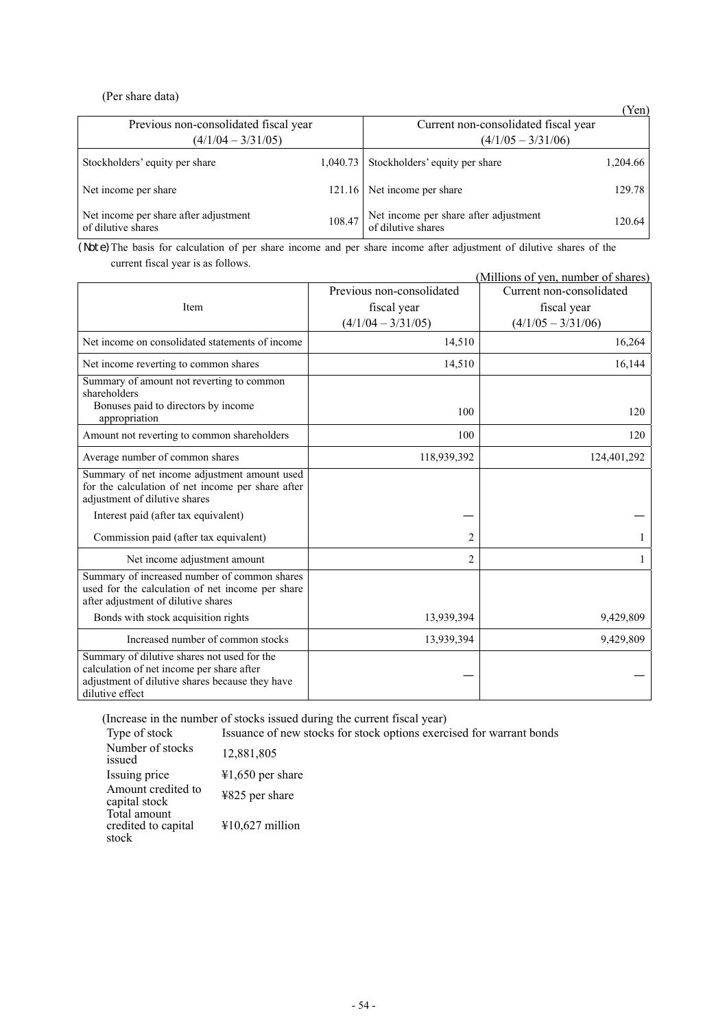# (Per share data)

|                                                             |          |                                                             | (Yen)    |
|-------------------------------------------------------------|----------|-------------------------------------------------------------|----------|
| Previous non-consolidated fiscal year                       |          | Current non-consolidated fiscal year                        |          |
| $(4/1/04 - 3/31/05)$                                        |          | $(4/1/05 - 3/31/06)$                                        |          |
| Stockholders' equity per share                              | 1.040.73 | Stockholders' equity per share                              | 1,204.66 |
| Net income per share                                        | 121.16   | Net income per share                                        | 129.78   |
| Net income per share after adjustment<br>of dilutive shares | 108.47   | Net income per share after adjustment<br>of dilutive shares | 120.64   |

(Note)The basis for calculation of per share income and per share income after adjustment of dilutive shares of the current fiscal year is as follows.

| (Millions of yen, number of shares)                                                                                                                            |                           |                          |  |
|----------------------------------------------------------------------------------------------------------------------------------------------------------------|---------------------------|--------------------------|--|
|                                                                                                                                                                | Previous non-consolidated | Current non-consolidated |  |
| Item                                                                                                                                                           | fiscal year               | fiscal year              |  |
|                                                                                                                                                                | $(4/1/04 - 3/31/05)$      | $(4/1/05 - 3/31/06)$     |  |
| Net income on consolidated statements of income                                                                                                                | 14,510                    | 16,264                   |  |
| Net income reverting to common shares                                                                                                                          | 14,510                    | 16,144                   |  |
| Summary of amount not reverting to common<br>shareholders                                                                                                      |                           |                          |  |
| Bonuses paid to directors by income<br>appropriation                                                                                                           | 100                       | 120                      |  |
| Amount not reverting to common shareholders                                                                                                                    | 100                       | 120                      |  |
| Average number of common shares                                                                                                                                | 118,939,392               | 124,401,292              |  |
| Summary of net income adjustment amount used<br>for the calculation of net income per share after<br>adjustment of dilutive shares                             |                           |                          |  |
| Interest paid (after tax equivalent)                                                                                                                           |                           |                          |  |
| Commission paid (after tax equivalent)                                                                                                                         | $\overline{2}$            |                          |  |
| Net income adjustment amount                                                                                                                                   | $\overline{2}$            |                          |  |
| Summary of increased number of common shares<br>used for the calculation of net income per share<br>after adjustment of dilutive shares                        |                           |                          |  |
| Bonds with stock acquisition rights                                                                                                                            | 13,939,394                | 9,429,809                |  |
| Increased number of common stocks                                                                                                                              | 13,939,394                | 9,429,809                |  |
| Summary of dilutive shares not used for the<br>calculation of net income per share after<br>adjustment of dilutive shares because they have<br>dilutive effect |                           |                          |  |

(Increase in the number of stocks issued during the current fiscal year)

Type of stock Issuance of new stocks for stock options exercised for warrant bonds

| Number of stocks<br>issued                   | 12,881,805         |
|----------------------------------------------|--------------------|
| Issuing price                                | $41,650$ per share |
| Amount credited to<br>capital stock          | ¥825 per share     |
| Total amount<br>credited to capital<br>stock | ¥10,627 million    |